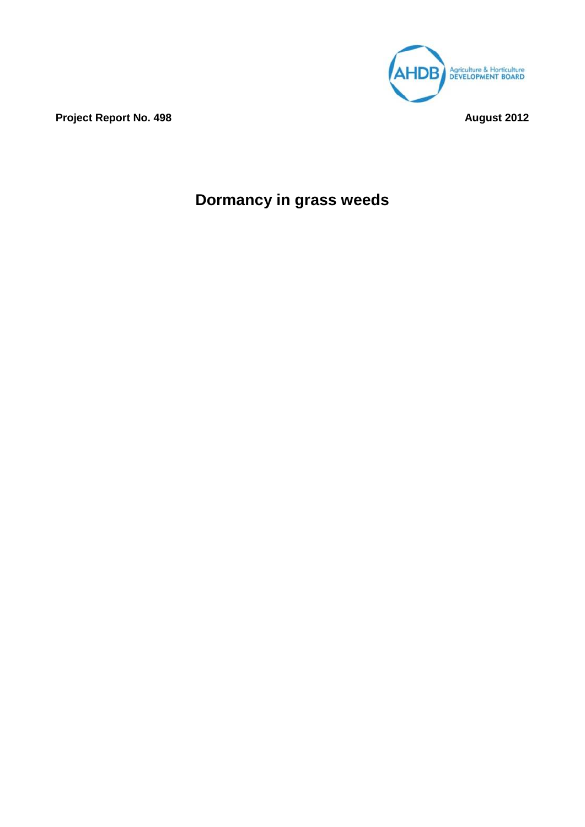

**Project Report No. 498 August 2012** 

# **Dormancy in grass weeds**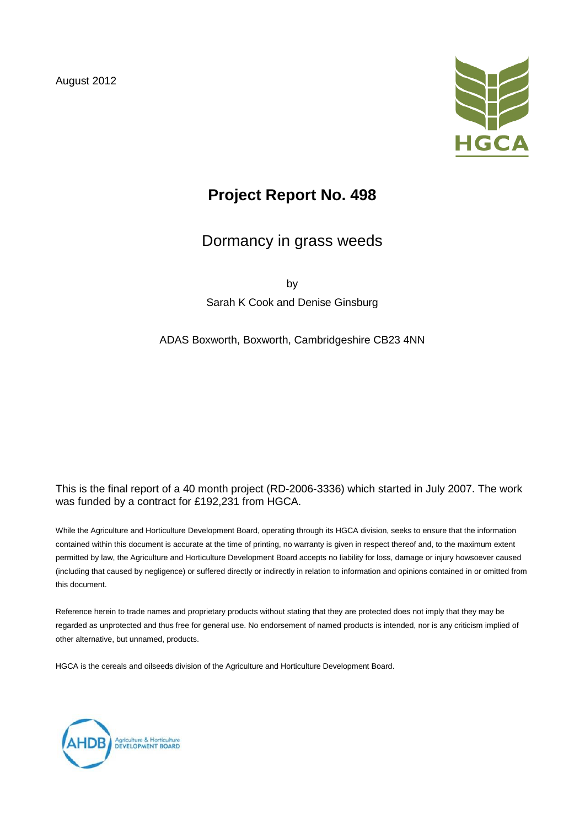August 2012



# **Project Report No. 498**

# Dormancy in grass weeds

by

Sarah K Cook and Denise Ginsburg

### ADAS Boxworth, Boxworth, Cambridgeshire CB23 4NN

### This is the final report of a 40 month project (RD-2006-3336) which started in July 2007. The work was funded by a contract for £192,231 from HGCA.

While the Agriculture and Horticulture Development Board, operating through its HGCA division, seeks to ensure that the information contained within this document is accurate at the time of printing, no warranty is given in respect thereof and, to the maximum extent permitted by law, the Agriculture and Horticulture Development Board accepts no liability for loss, damage or injury howsoever caused (including that caused by negligence) or suffered directly or indirectly in relation to information and opinions contained in or omitted from this document.

Reference herein to trade names and proprietary products without stating that they are protected does not imply that they may be regarded as unprotected and thus free for general use. No endorsement of named products is intended, nor is any criticism implied of other alternative, but unnamed, products.

HGCA is the cereals and oilseeds division of the Agriculture and Horticulture Development Board.

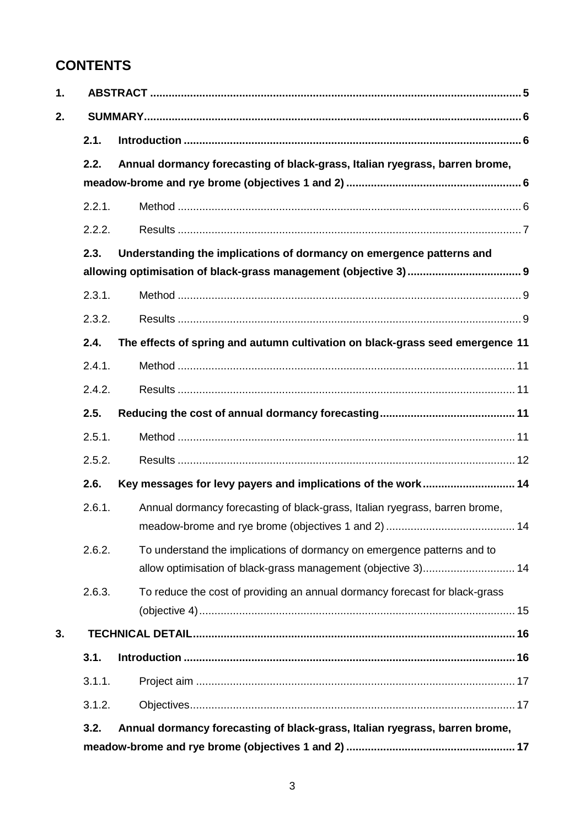# **CONTENTS**

| 2.1.   |                                                                                                                                          |
|--------|------------------------------------------------------------------------------------------------------------------------------------------|
| 2.2.   | Annual dormancy forecasting of black-grass, Italian ryegrass, barren brome,                                                              |
|        |                                                                                                                                          |
| 2.2.1. |                                                                                                                                          |
| 2.2.2. |                                                                                                                                          |
| 2.3.   | Understanding the implications of dormancy on emergence patterns and                                                                     |
|        |                                                                                                                                          |
| 2.3.1. |                                                                                                                                          |
| 2.3.2. |                                                                                                                                          |
| 2.4.   | The effects of spring and autumn cultivation on black-grass seed emergence 11                                                            |
| 2.4.1. |                                                                                                                                          |
| 2.4.2. |                                                                                                                                          |
| 2.5.   |                                                                                                                                          |
| 2.5.1. |                                                                                                                                          |
| 2.5.2. |                                                                                                                                          |
| 2.6.   | Key messages for levy payers and implications of the work 14                                                                             |
| 2.6.1. | Annual dormancy forecasting of black-grass, Italian ryegrass, barren brome,                                                              |
| 2.6.2. | To understand the implications of dormancy on emergence patterns and to<br>allow optimisation of black-grass management (objective 3) 14 |
| 2.6.3. | To reduce the cost of providing an annual dormancy forecast for black-grass                                                              |
|        |                                                                                                                                          |
| 3.1.   |                                                                                                                                          |
|        |                                                                                                                                          |
| 3.1.1. |                                                                                                                                          |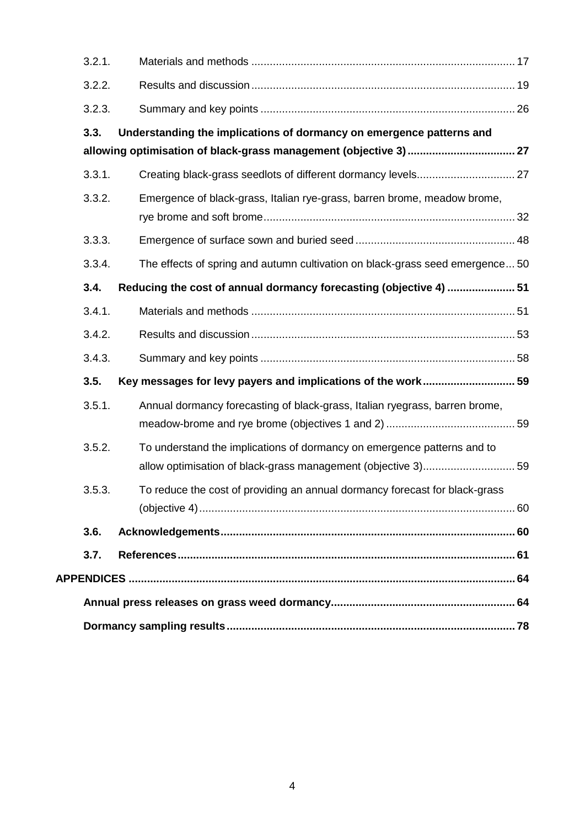| 3.2.1. |                                                                               |
|--------|-------------------------------------------------------------------------------|
| 3.2.2. |                                                                               |
| 3.2.3. |                                                                               |
| 3.3.   | Understanding the implications of dormancy on emergence patterns and          |
|        |                                                                               |
| 3.3.1. |                                                                               |
| 3.3.2. | Emergence of black-grass, Italian rye-grass, barren brome, meadow brome,      |
| 3.3.3. |                                                                               |
| 3.3.4. | The effects of spring and autumn cultivation on black-grass seed emergence 50 |
| 3.4.   | Reducing the cost of annual dormancy forecasting (objective 4)  51            |
| 3.4.1. |                                                                               |
| 3.4.2. |                                                                               |
| 3.4.3. |                                                                               |
| 3.5.   | Key messages for levy payers and implications of the work 59                  |
| 3.5.1. | Annual dormancy forecasting of black-grass, Italian ryegrass, barren brome,   |
| 3.5.2. | To understand the implications of dormancy on emergence patterns and to       |
| 3.5.3. | To reduce the cost of providing an annual dormancy forecast for black-grass   |
| 3.6.   |                                                                               |
| 3.7.   |                                                                               |
|        |                                                                               |
|        |                                                                               |
|        |                                                                               |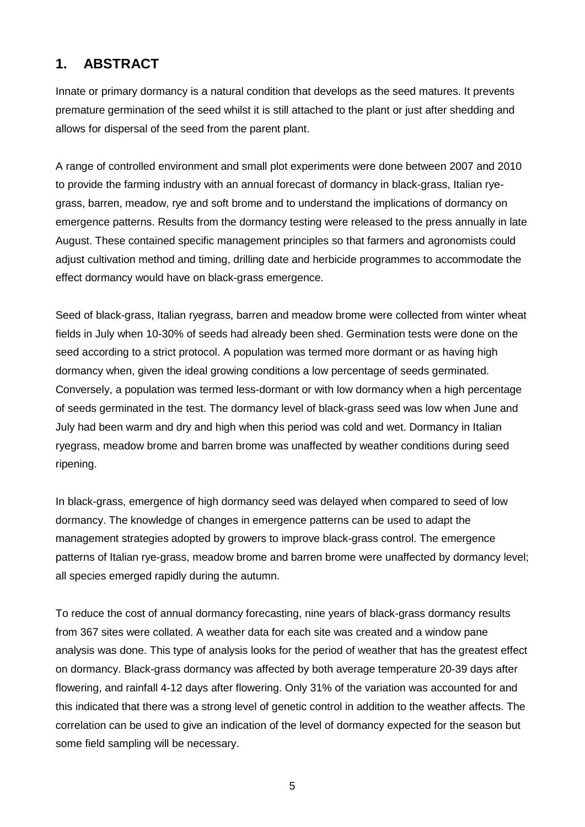# **1. ABSTRACT**

Innate or primary dormancy is a natural condition that develops as the seed matures. It prevents premature germination of the seed whilst it is still attached to the plant or just after shedding and allows for dispersal of the seed from the parent plant.

A range of controlled environment and small plot experiments were done between 2007 and 2010 to provide the farming industry with an annual forecast of dormancy in black-grass, Italian ryegrass, barren, meadow, rye and soft brome and to understand the implications of dormancy on emergence patterns. Results from the dormancy testing were released to the press annually in late August. These contained specific management principles so that farmers and agronomists could adjust cultivation method and timing, drilling date and herbicide programmes to accommodate the effect dormancy would have on black-grass emergence.

Seed of black-grass, Italian ryegrass, barren and meadow brome were collected from winter wheat fields in July when 10-30% of seeds had already been shed. Germination tests were done on the seed according to a strict protocol. A population was termed more dormant or as having high dormancy when, given the ideal growing conditions a low percentage of seeds germinated. Conversely, a population was termed less-dormant or with low dormancy when a high percentage of seeds germinated in the test. The dormancy level of black-grass seed was low when June and July had been warm and dry and high when this period was cold and wet. Dormancy in Italian ryegrass, meadow brome and barren brome was unaffected by weather conditions during seed ripening.

In black-grass, emergence of high dormancy seed was delayed when compared to seed of low dormancy. The knowledge of changes in emergence patterns can be used to adapt the management strategies adopted by growers to improve black-grass control. The emergence patterns of Italian rye-grass, meadow brome and barren brome were unaffected by dormancy level; all species emerged rapidly during the autumn.

To reduce the cost of annual dormancy forecasting, nine years of black-grass dormancy results from 367 sites were collated. A weather data for each site was created and a window pane analysis was done. This type of analysis looks for the period of weather that has the greatest effect on dormancy. Black-grass dormancy was affected by both average temperature 20-39 days after flowering, and rainfall 4-12 days after flowering. Only 31% of the variation was accounted for and this indicated that there was a strong level of genetic control in addition to the weather affects. The correlation can be used to give an indication of the level of dormancy expected for the season but some field sampling will be necessary.

5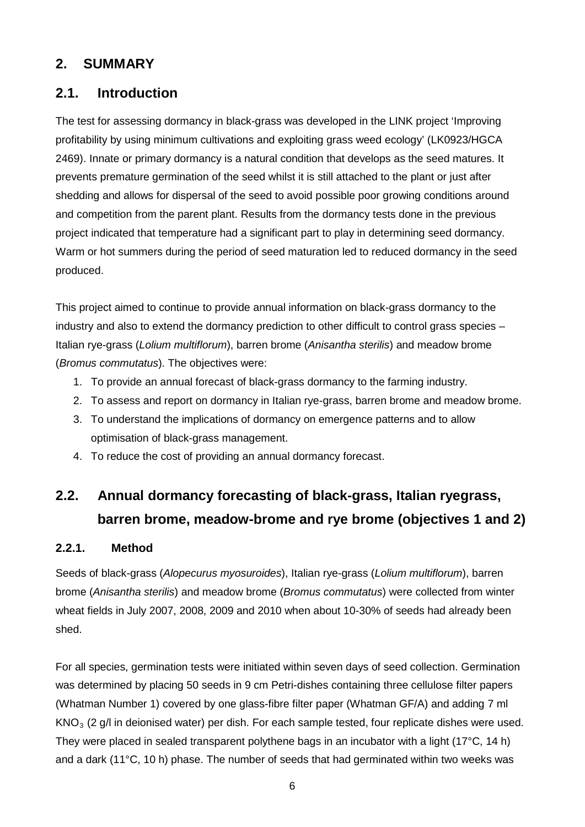## **2. SUMMARY**

## **2.1. Introduction**

The test for assessing dormancy in black-grass was developed in the LINK project 'Improving profitability by using minimum cultivations and exploiting grass weed ecology' (LK0923/HGCA 2469). Innate or primary dormancy is a natural condition that develops as the seed matures. It prevents premature germination of the seed whilst it is still attached to the plant or just after shedding and allows for dispersal of the seed to avoid possible poor growing conditions around and competition from the parent plant. Results from the dormancy tests done in the previous project indicated that temperature had a significant part to play in determining seed dormancy. Warm or hot summers during the period of seed maturation led to reduced dormancy in the seed produced.

This project aimed to continue to provide annual information on black-grass dormancy to the industry and also to extend the dormancy prediction to other difficult to control grass species – Italian rye-grass (*Lolium multiflorum*), barren brome (*Anisantha sterilis*) and meadow brome (*Bromus commutatus*). The objectives were:

- 1. To provide an annual forecast of black-grass dormancy to the farming industry.
- 2. To assess and report on dormancy in Italian rye-grass, barren brome and meadow brome.
- 3. To understand the implications of dormancy on emergence patterns and to allow optimisation of black-grass management.
- 4. To reduce the cost of providing an annual dormancy forecast.

# **2.2. Annual dormancy forecasting of black-grass, Italian ryegrass, barren brome, meadow-brome and rye brome (objectives 1 and 2)**

### **2.2.1. Method**

Seeds of black-grass (*Alopecurus myosuroides*), Italian rye-grass (*Lolium multiflorum*), barren brome (*Anisantha sterilis*) and meadow brome (*Bromus commutatus*) were collected from winter wheat fields in July 2007, 2008, 2009 and 2010 when about 10-30% of seeds had already been shed.

For all species, germination tests were initiated within seven days of seed collection. Germination was determined by placing 50 seeds in 9 cm Petri-dishes containing three cellulose filter papers (Whatman Number 1) covered by one glass-fibre filter paper (Whatman GF/A) and adding 7 ml  $KNO<sub>3</sub>$  (2 g/l in deionised water) per dish. For each sample tested, four replicate dishes were used. They were placed in sealed transparent polythene bags in an incubator with a light (17°C, 14 h) and a dark (11°C, 10 h) phase. The number of seeds that had germinated within two weeks was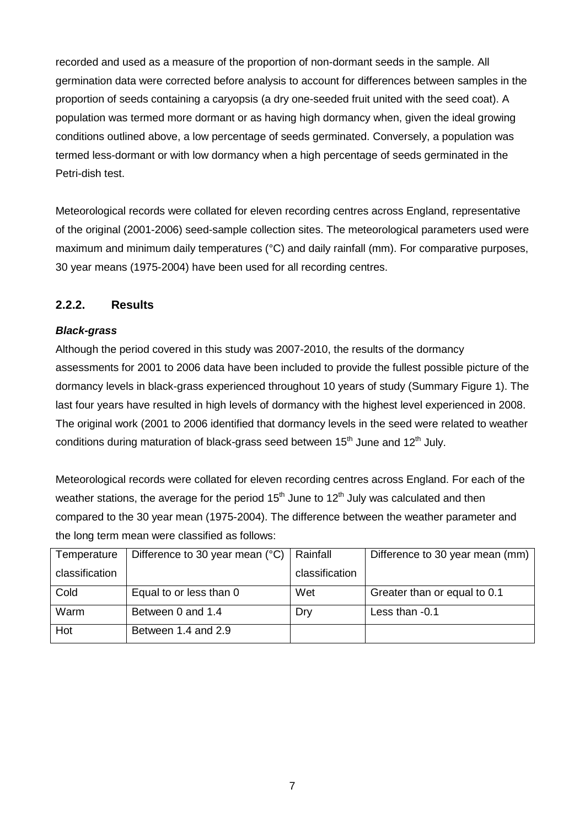recorded and used as a measure of the proportion of non-dormant seeds in the sample. All germination data were corrected before analysis to account for differences between samples in the proportion of seeds containing a caryopsis (a dry one-seeded fruit united with the seed coat). A population was termed more dormant or as having high dormancy when, given the ideal growing conditions outlined above, a low percentage of seeds germinated. Conversely, a population was termed less-dormant or with low dormancy when a high percentage of seeds germinated in the Petri-dish test.

Meteorological records were collated for eleven recording centres across England, representative of the original (2001-2006) seed-sample collection sites. The meteorological parameters used were maximum and minimum daily temperatures (°C) and daily rainfall (mm). For comparative purposes, 30 year means (1975-2004) have been used for all recording centres.

## **2.2.2. Results**

### *Black-grass*

Although the period covered in this study was 2007-2010, the results of the dormancy assessments for 2001 to 2006 data have been included to provide the fullest possible picture of the dormancy levels in black-grass experienced throughout 10 years of study (Summary Figure 1). The last four years have resulted in high levels of dormancy with the highest level experienced in 2008. The original work (2001 to 2006 identified that dormancy levels in the seed were related to weather conditions during maturation of black-grass seed between  $15<sup>th</sup>$  June and  $12<sup>th</sup>$  July.

Meteorological records were collated for eleven recording centres across England. For each of the weather stations, the average for the period  $15<sup>th</sup>$  June to  $12<sup>th</sup>$  July was calculated and then compared to the 30 year mean (1975-2004). The difference between the weather parameter and the long term mean were classified as follows:

| Temperature    | Difference to 30 year mean (°C) | Rainfall       | Difference to 30 year mean (mm) |
|----------------|---------------------------------|----------------|---------------------------------|
| classification |                                 | classification |                                 |
| Cold           | Equal to or less than 0         | Wet            | Greater than or equal to 0.1    |
| Warm           | Between 0 and 1.4               | Dry            | Less than -0.1                  |
| Hot            | Between 1.4 and 2.9             |                |                                 |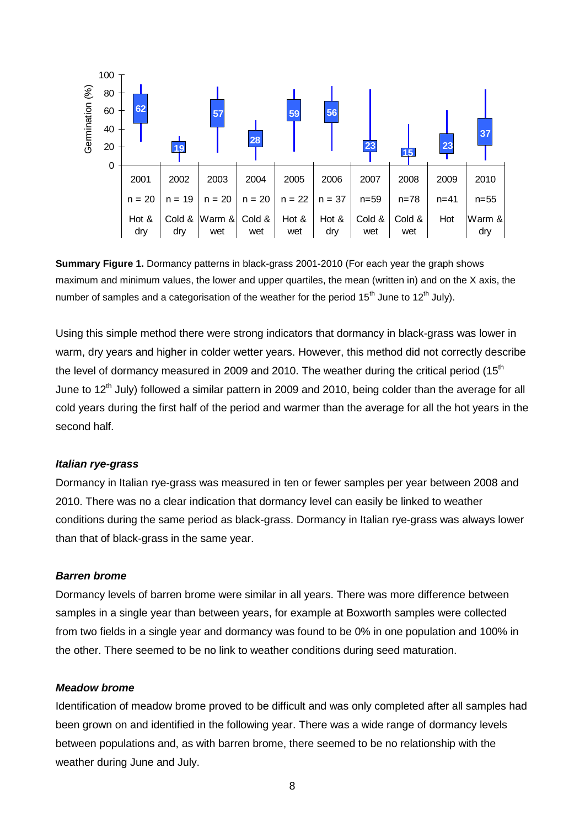

**Summary Figure 1.** Dormancy patterns in black-grass 2001-2010 (For each year the graph shows maximum and minimum values, the lower and upper quartiles, the mean (written in) and on the X axis, the number of samples and a categorisation of the weather for the period  $15<sup>th</sup>$  June to  $12<sup>th</sup>$  July).

Using this simple method there were strong indicators that dormancy in black-grass was lower in warm, dry years and higher in colder wetter years. However, this method did not correctly describe the level of dormancy measured in 2009 and 2010. The weather during the critical period  $(15<sup>th</sup>$ June to 12<sup>th</sup> July) followed a similar pattern in 2009 and 2010, being colder than the average for all cold years during the first half of the period and warmer than the average for all the hot years in the second half.

#### *Italian rye-grass*

Dormancy in Italian rye-grass was measured in ten or fewer samples per year between 2008 and 2010. There was no a clear indication that dormancy level can easily be linked to weather conditions during the same period as black-grass. Dormancy in Italian rye-grass was always lower than that of black-grass in the same year.

#### *Barren brome*

Dormancy levels of barren brome were similar in all years. There was more difference between samples in a single year than between years, for example at Boxworth samples were collected from two fields in a single year and dormancy was found to be 0% in one population and 100% in the other. There seemed to be no link to weather conditions during seed maturation.

#### *Meadow brome*

Identification of meadow brome proved to be difficult and was only completed after all samples had been grown on and identified in the following year. There was a wide range of dormancy levels between populations and, as with barren brome, there seemed to be no relationship with the weather during June and July.

8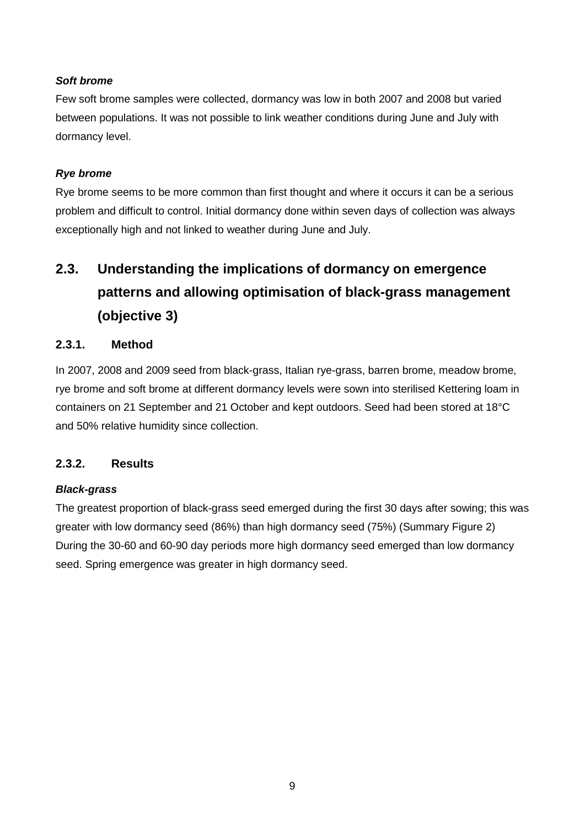### *Soft brome*

Few soft brome samples were collected, dormancy was low in both 2007 and 2008 but varied between populations. It was not possible to link weather conditions during June and July with dormancy level.

## *Rye brome*

Rye brome seems to be more common than first thought and where it occurs it can be a serious problem and difficult to control. Initial dormancy done within seven days of collection was always exceptionally high and not linked to weather during June and July.

# **2.3. Understanding the implications of dormancy on emergence patterns and allowing optimisation of black-grass management (objective 3)**

## **2.3.1. Method**

In 2007, 2008 and 2009 seed from black-grass, Italian rye-grass, barren brome, meadow brome, rye brome and soft brome at different dormancy levels were sown into sterilised Kettering loam in containers on 21 September and 21 October and kept outdoors. Seed had been stored at 18°C and 50% relative humidity since collection.

### **2.3.2. Results**

### *Black-grass*

The greatest proportion of black-grass seed emerged during the first 30 days after sowing; this was greater with low dormancy seed (86%) than high dormancy seed (75%) (Summary Figure 2) During the 30-60 and 60-90 day periods more high dormancy seed emerged than low dormancy seed. Spring emergence was greater in high dormancy seed.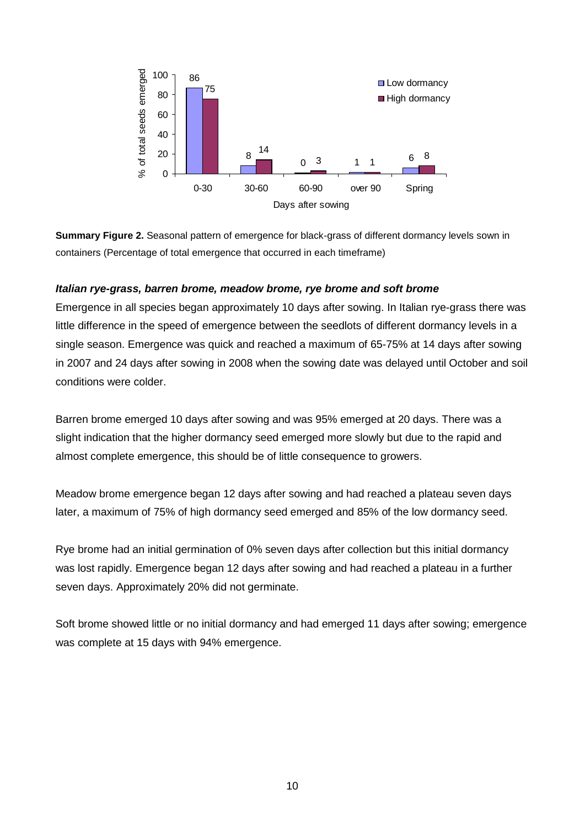

**Summary Figure 2.** Seasonal pattern of emergence for black-grass of different dormancy levels sown in containers (Percentage of total emergence that occurred in each timeframe)

#### *Italian rye-grass, barren brome, meadow brome, rye brome and soft brome*

Emergence in all species began approximately 10 days after sowing. In Italian rye-grass there was little difference in the speed of emergence between the seedlots of different dormancy levels in a single season. Emergence was quick and reached a maximum of 65-75% at 14 days after sowing in 2007 and 24 days after sowing in 2008 when the sowing date was delayed until October and soil conditions were colder.

Barren brome emerged 10 days after sowing and was 95% emerged at 20 days. There was a slight indication that the higher dormancy seed emerged more slowly but due to the rapid and almost complete emergence, this should be of little consequence to growers.

Meadow brome emergence began 12 days after sowing and had reached a plateau seven days later, a maximum of 75% of high dormancy seed emerged and 85% of the low dormancy seed.

Rye brome had an initial germination of 0% seven days after collection but this initial dormancy was lost rapidly. Emergence began 12 days after sowing and had reached a plateau in a further seven days. Approximately 20% did not germinate.

Soft brome showed little or no initial dormancy and had emerged 11 days after sowing; emergence was complete at 15 days with 94% emergence.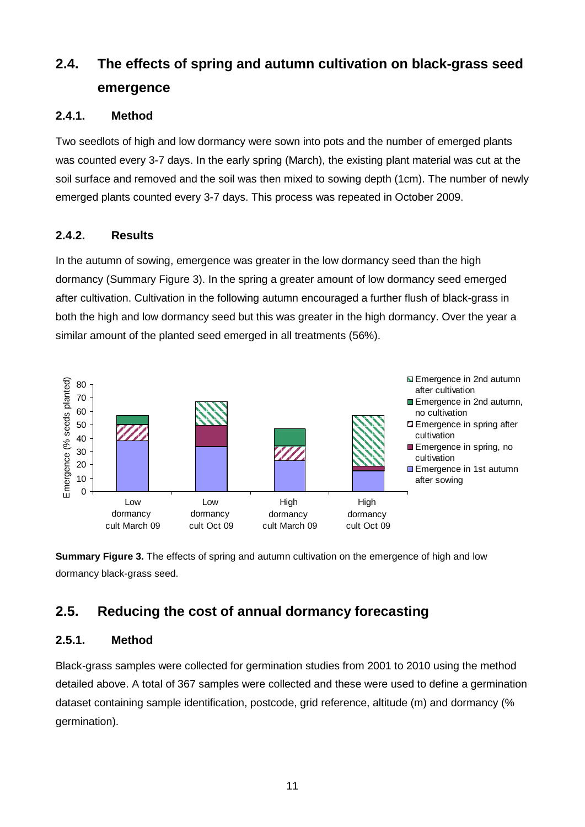# **2.4. The effects of spring and autumn cultivation on black-grass seed emergence**

## **2.4.1. Method**

Two seedlots of high and low dormancy were sown into pots and the number of emerged plants was counted every 3-7 days. In the early spring (March), the existing plant material was cut at the soil surface and removed and the soil was then mixed to sowing depth (1cm). The number of newly emerged plants counted every 3-7 days. This process was repeated in October 2009.

## **2.4.2. Results**

In the autumn of sowing, emergence was greater in the low dormancy seed than the high dormancy (Summary Figure 3). In the spring a greater amount of low dormancy seed emerged after cultivation. Cultivation in the following autumn encouraged a further flush of black-grass in both the high and low dormancy seed but this was greater in the high dormancy. Over the year a similar amount of the planted seed emerged in all treatments (56%).



**Summary Figure 3.** The effects of spring and autumn cultivation on the emergence of high and low dormancy black-grass seed.

# **2.5. Reducing the cost of annual dormancy forecasting**

## **2.5.1. Method**

Black-grass samples were collected for germination studies from 2001 to 2010 using the method detailed above. A total of 367 samples were collected and these were used to define a germination dataset containing sample identification, postcode, grid reference, altitude (m) and dormancy (% germination).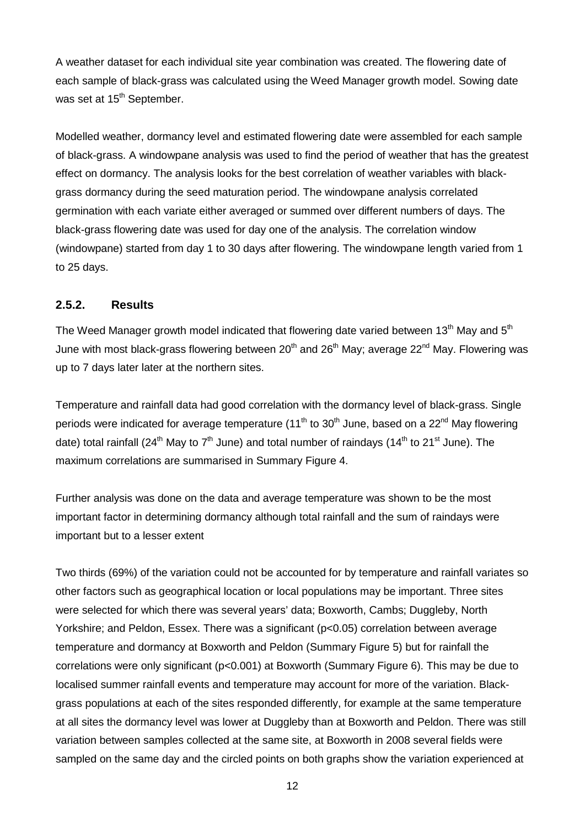A weather dataset for each individual site year combination was created. The flowering date of each sample of black-grass was calculated using the Weed Manager growth model. Sowing date was set at 15<sup>th</sup> September.

Modelled weather, dormancy level and estimated flowering date were assembled for each sample of black-grass. A windowpane analysis was used to find the period of weather that has the greatest effect on dormancy. The analysis looks for the best correlation of weather variables with blackgrass dormancy during the seed maturation period. The windowpane analysis correlated germination with each variate either averaged or summed over different numbers of days. The black-grass flowering date was used for day one of the analysis. The correlation window (windowpane) started from day 1 to 30 days after flowering. The windowpane length varied from 1 to 25 days.

### **2.5.2. Results**

The Weed Manager growth model indicated that flowering date varied between 13<sup>th</sup> May and 5<sup>th</sup> June with most black-grass flowering between  $20<sup>th</sup>$  and  $26<sup>th</sup>$  May; average  $22<sup>nd</sup>$  May. Flowering was up to 7 days later later at the northern sites.

Temperature and rainfall data had good correlation with the dormancy level of black-grass. Single periods were indicated for average temperature (11<sup>th</sup> to 30<sup>th</sup> June, based on a 22<sup>nd</sup> May flowering date) total rainfall (24<sup>th</sup> May to  $7<sup>th</sup>$  June) and total number of raindays (14<sup>th</sup> to 21<sup>st</sup> June). The maximum correlations are summarised in Summary Figure 4.

Further analysis was done on the data and average temperature was shown to be the most important factor in determining dormancy although total rainfall and the sum of raindays were important but to a lesser extent

Two thirds (69%) of the variation could not be accounted for by temperature and rainfall variates so other factors such as geographical location or local populations may be important. Three sites were selected for which there was several years' data; Boxworth, Cambs; Duggleby, North Yorkshire; and Peldon, Essex. There was a significant (p<0.05) correlation between average temperature and dormancy at Boxworth and Peldon (Summary Figure 5) but for rainfall the correlations were only significant (p<0.001) at Boxworth (Summary Figure 6). This may be due to localised summer rainfall events and temperature may account for more of the variation. Blackgrass populations at each of the sites responded differently, for example at the same temperature at all sites the dormancy level was lower at Duggleby than at Boxworth and Peldon. There was still variation between samples collected at the same site, at Boxworth in 2008 several fields were sampled on the same day and the circled points on both graphs show the variation experienced at

12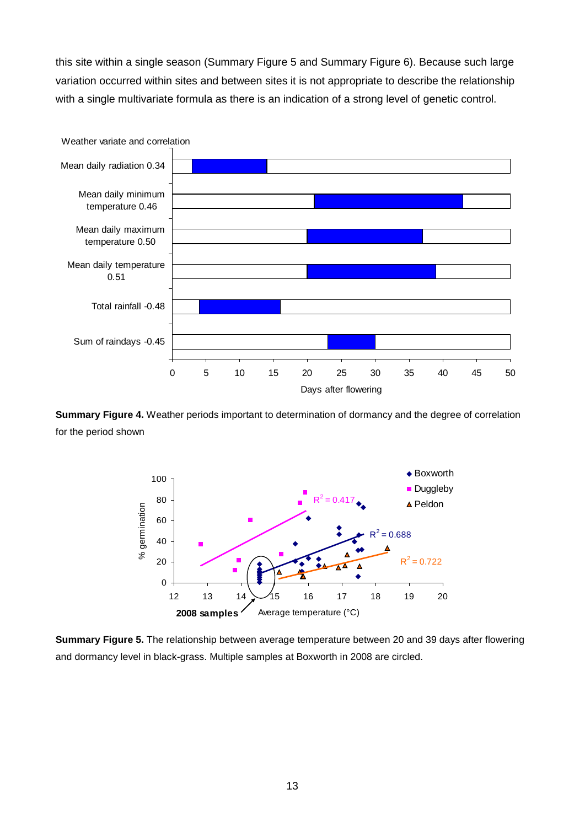this site within a single season (Summary Figure 5 and Summary Figure 6). Because such large variation occurred within sites and between sites it is not appropriate to describe the relationship with a single multivariate formula as there is an indication of a strong level of genetic control.



**Summary Figure 4.** Weather periods important to determination of dormancy and the degree of correlation for the period shown



**Summary Figure 5.** The relationship between average temperature between 20 and 39 days after flowering and dormancy level in black-grass. Multiple samples at Boxworth in 2008 are circled.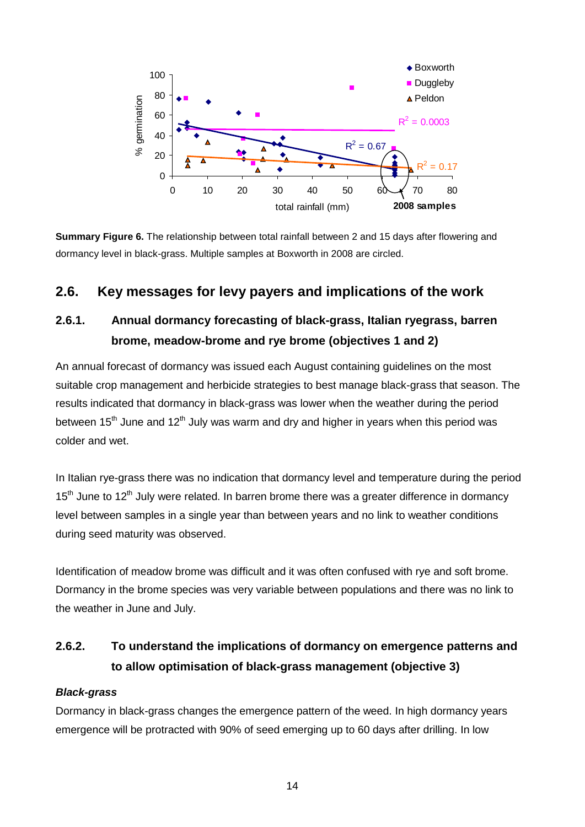

**Summary Figure 6.** The relationship between total rainfall between 2 and 15 days after flowering and dormancy level in black-grass. Multiple samples at Boxworth in 2008 are circled.

## **2.6. Key messages for levy payers and implications of the work**

## **2.6.1. Annual dormancy forecasting of black-grass, Italian ryegrass, barren brome, meadow-brome and rye brome (objectives 1 and 2)**

An annual forecast of dormancy was issued each August containing guidelines on the most suitable crop management and herbicide strategies to best manage black-grass that season. The results indicated that dormancy in black-grass was lower when the weather during the period between 15<sup>th</sup> June and 12<sup>th</sup> July was warm and dry and higher in years when this period was colder and wet.

In Italian rye-grass there was no indication that dormancy level and temperature during the period  $15<sup>th</sup>$  June to  $12<sup>th</sup>$  July were related. In barren brome there was a greater difference in dormancy level between samples in a single year than between years and no link to weather conditions during seed maturity was observed.

Identification of meadow brome was difficult and it was often confused with rye and soft brome. Dormancy in the brome species was very variable between populations and there was no link to the weather in June and July.

# **2.6.2. To understand the implications of dormancy on emergence patterns and to allow optimisation of black-grass management (objective 3)**

### *Black-grass*

Dormancy in black-grass changes the emergence pattern of the weed. In high dormancy years emergence will be protracted with 90% of seed emerging up to 60 days after drilling. In low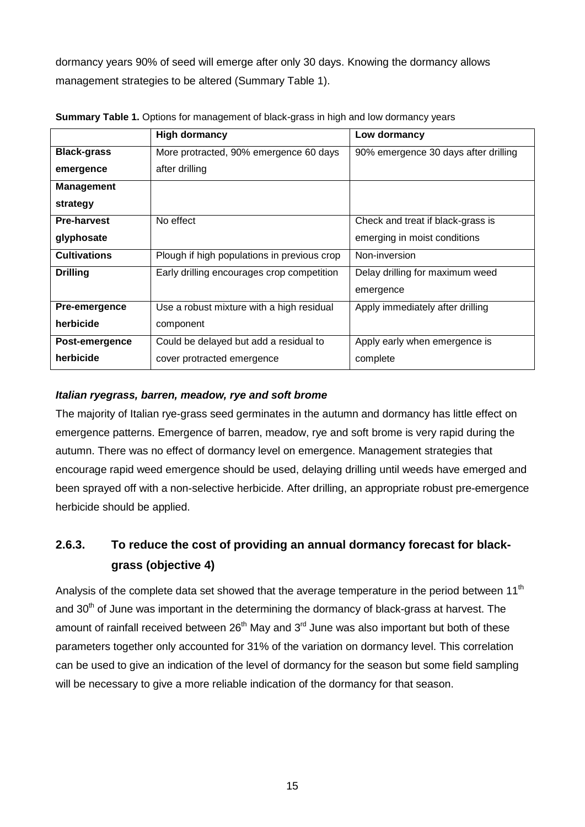dormancy years 90% of seed will emerge after only 30 days. Knowing the dormancy allows management strategies to be altered (Summary Table 1).

|                     | <b>High dormancy</b>                        | Low dormancy                         |
|---------------------|---------------------------------------------|--------------------------------------|
| <b>Black-grass</b>  | More protracted, 90% emergence 60 days      | 90% emergence 30 days after drilling |
| emergence           | after drilling                              |                                      |
| <b>Management</b>   |                                             |                                      |
| strategy            |                                             |                                      |
| <b>Pre-harvest</b>  | No effect                                   | Check and treat if black-grass is    |
| glyphosate          |                                             | emerging in moist conditions         |
| <b>Cultivations</b> | Plough if high populations in previous crop | Non-inversion                        |
| <b>Drilling</b>     | Early drilling encourages crop competition  | Delay drilling for maximum weed      |
|                     |                                             | emergence                            |
| Pre-emergence       | Use a robust mixture with a high residual   | Apply immediately after drilling     |
| herbicide           | component                                   |                                      |
| Post-emergence      | Could be delayed but add a residual to      | Apply early when emergence is        |
| herbicide           | cover protracted emergence                  | complete                             |

**Summary Table 1.** Options for management of black-grass in high and low dormancy years

## *Italian ryegrass, barren, meadow, rye and soft brome*

The majority of Italian rye-grass seed germinates in the autumn and dormancy has little effect on emergence patterns. Emergence of barren, meadow, rye and soft brome is very rapid during the autumn. There was no effect of dormancy level on emergence. Management strategies that encourage rapid weed emergence should be used, delaying drilling until weeds have emerged and been sprayed off with a non-selective herbicide. After drilling, an appropriate robust pre-emergence herbicide should be applied.

# **2.6.3. To reduce the cost of providing an annual dormancy forecast for blackgrass (objective 4)**

Analysis of the complete data set showed that the average temperature in the period between  $11<sup>th</sup>$ and 30<sup>th</sup> of June was important in the determining the dormancy of black-grass at harvest. The amount of rainfall received between  $26<sup>th</sup>$  May and  $3<sup>rd</sup>$  June was also important but both of these parameters together only accounted for 31% of the variation on dormancy level. This correlation can be used to give an indication of the level of dormancy for the season but some field sampling will be necessary to give a more reliable indication of the dormancy for that season.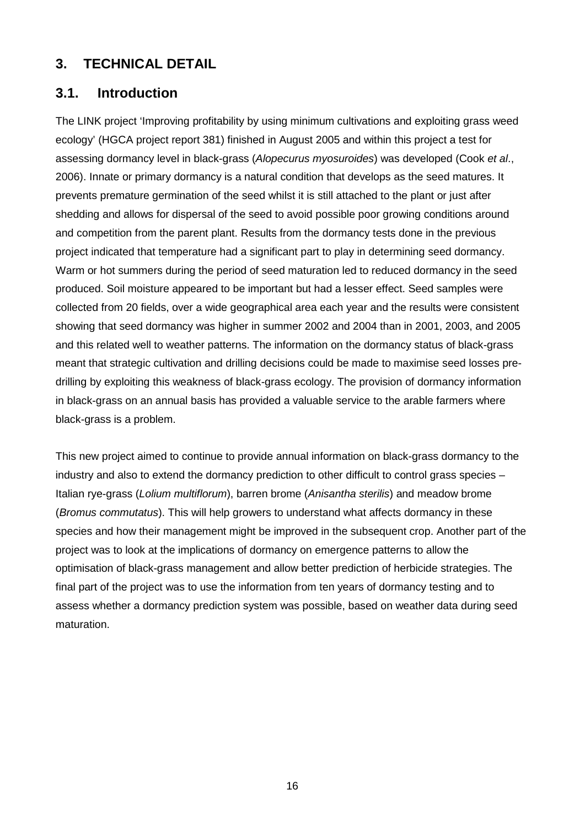## **3. TECHNICAL DETAIL**

## **3.1. Introduction**

The LINK project 'Improving profitability by using minimum cultivations and exploiting grass weed ecology' (HGCA project report 381) finished in August 2005 and within this project a test for assessing dormancy level in black-grass (*Alopecurus myosuroides*) was developed (Cook *et al*., 2006). Innate or primary dormancy is a natural condition that develops as the seed matures. It prevents premature germination of the seed whilst it is still attached to the plant or just after shedding and allows for dispersal of the seed to avoid possible poor growing conditions around and competition from the parent plant. Results from the dormancy tests done in the previous project indicated that temperature had a significant part to play in determining seed dormancy. Warm or hot summers during the period of seed maturation led to reduced dormancy in the seed produced. Soil moisture appeared to be important but had a lesser effect. Seed samples were collected from 20 fields, over a wide geographical area each year and the results were consistent showing that seed dormancy was higher in summer 2002 and 2004 than in 2001, 2003, and 2005 and this related well to weather patterns. The information on the dormancy status of black-grass meant that strategic cultivation and drilling decisions could be made to maximise seed losses predrilling by exploiting this weakness of black-grass ecology. The provision of dormancy information in black-grass on an annual basis has provided a valuable service to the arable farmers where black-grass is a problem.

This new project aimed to continue to provide annual information on black-grass dormancy to the industry and also to extend the dormancy prediction to other difficult to control grass species – Italian rye-grass (*Lolium multiflorum*), barren brome (*Anisantha sterilis*) and meadow brome (*Bromus commutatus*). This will help growers to understand what affects dormancy in these species and how their management might be improved in the subsequent crop. Another part of the project was to look at the implications of dormancy on emergence patterns to allow the optimisation of black-grass management and allow better prediction of herbicide strategies. The final part of the project was to use the information from ten years of dormancy testing and to assess whether a dormancy prediction system was possible, based on weather data during seed maturation.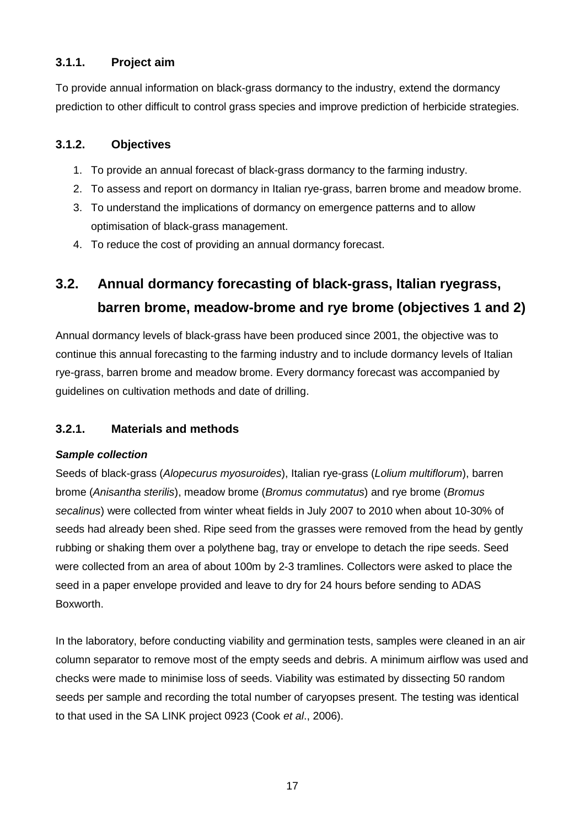## **3.1.1. Project aim**

To provide annual information on black-grass dormancy to the industry, extend the dormancy prediction to other difficult to control grass species and improve prediction of herbicide strategies.

## **3.1.2. Objectives**

- 1. To provide an annual forecast of black-grass dormancy to the farming industry.
- 2. To assess and report on dormancy in Italian rye-grass, barren brome and meadow brome.
- 3. To understand the implications of dormancy on emergence patterns and to allow optimisation of black-grass management.
- 4. To reduce the cost of providing an annual dormancy forecast.

# **3.2. Annual dormancy forecasting of black-grass, Italian ryegrass, barren brome, meadow-brome and rye brome (objectives 1 and 2)**

Annual dormancy levels of black-grass have been produced since 2001, the objective was to continue this annual forecasting to the farming industry and to include dormancy levels of Italian rye-grass, barren brome and meadow brome. Every dormancy forecast was accompanied by guidelines on cultivation methods and date of drilling.

## **3.2.1. Materials and methods**

### *Sample collection*

Seeds of black-grass (*Alopecurus myosuroides*), Italian rye-grass (*Lolium multiflorum*), barren brome (*Anisantha sterilis*), meadow brome (*Bromus commutatus*) and rye brome (*Bromus secalinus*) were collected from winter wheat fields in July 2007 to 2010 when about 10-30% of seeds had already been shed. Ripe seed from the grasses were removed from the head by gently rubbing or shaking them over a polythene bag, tray or envelope to detach the ripe seeds. Seed were collected from an area of about 100m by 2-3 tramlines. Collectors were asked to place the seed in a paper envelope provided and leave to dry for 24 hours before sending to ADAS Boxworth.

In the laboratory, before conducting viability and germination tests, samples were cleaned in an air column separator to remove most of the empty seeds and debris. A minimum airflow was used and checks were made to minimise loss of seeds. Viability was estimated by dissecting 50 random seeds per sample and recording the total number of caryopses present. The testing was identical to that used in the SA LINK project 0923 (Cook *et al*., 2006).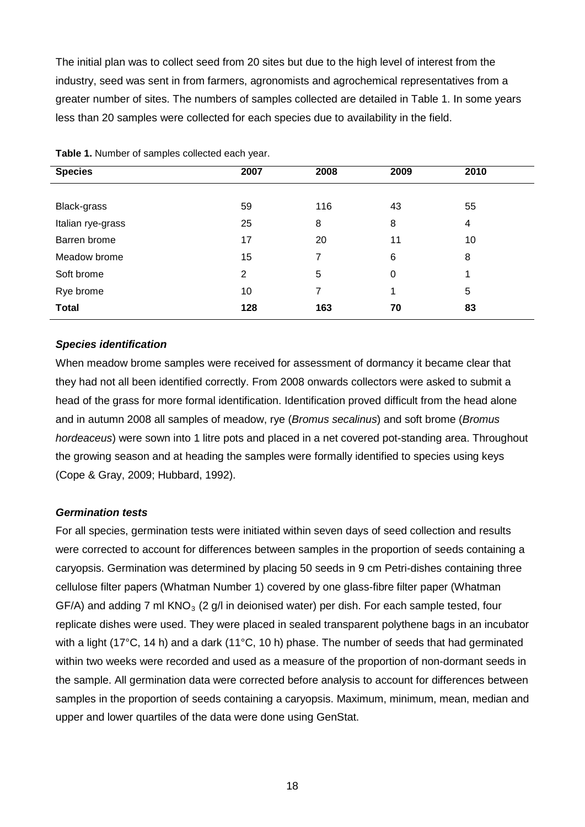The initial plan was to collect seed from 20 sites but due to the high level of interest from the industry, seed was sent in from farmers, agronomists and agrochemical representatives from a greater number of sites. The numbers of samples collected are detailed in Table 1. In some years less than 20 samples were collected for each species due to availability in the field.

| <b>Species</b>    | 2007 | 2008 | 2009 | 2010 |
|-------------------|------|------|------|------|
|                   |      |      |      |      |
| Black-grass       | 59   | 116  | 43   | 55   |
| Italian rye-grass | 25   | 8    | 8    | 4    |
| Barren brome      | 17   | 20   | 11   | 10   |
| Meadow brome      | 15   | 7    | 6    | 8    |
| Soft brome        | 2    | 5    | 0    | 1    |
| Rye brome         | 10   | 7    | 1    | 5    |
| <b>Total</b>      | 128  | 163  | 70   | 83   |

**Table 1.** Number of samples collected each year.

#### *Species identification*

When meadow brome samples were received for assessment of dormancy it became clear that they had not all been identified correctly. From 2008 onwards collectors were asked to submit a head of the grass for more formal identification. Identification proved difficult from the head alone and in autumn 2008 all samples of meadow, rye (*Bromus secalinus*) and soft brome (*Bromus hordeaceus*) were sown into 1 litre pots and placed in a net covered pot-standing area. Throughout the growing season and at heading the samples were formally identified to species using keys (Cope & Gray, 2009; Hubbard, 1992).

#### <span id="page-17-0"></span>*Germination tests*

For all species, germination tests were initiated within seven days of seed collection and results were corrected to account for differences between samples in the proportion of seeds containing a caryopsis. Germination was determined by placing 50 seeds in 9 cm Petri-dishes containing three cellulose filter papers (Whatman Number 1) covered by one glass-fibre filter paper (Whatman GF/A) and adding 7 ml  $KNO<sub>3</sub>$  (2 g/l in deionised water) per dish. For each sample tested, four replicate dishes were used. They were placed in sealed transparent polythene bags in an incubator with a light (17°C, 14 h) and a dark (11°C, 10 h) phase. The number of seeds that had germinated within two weeks were recorded and used as a measure of the proportion of non-dormant seeds in the sample. All germination data were corrected before analysis to account for differences between samples in the proportion of seeds containing a caryopsis. Maximum, minimum, mean, median and upper and lower quartiles of the data were done using GenStat.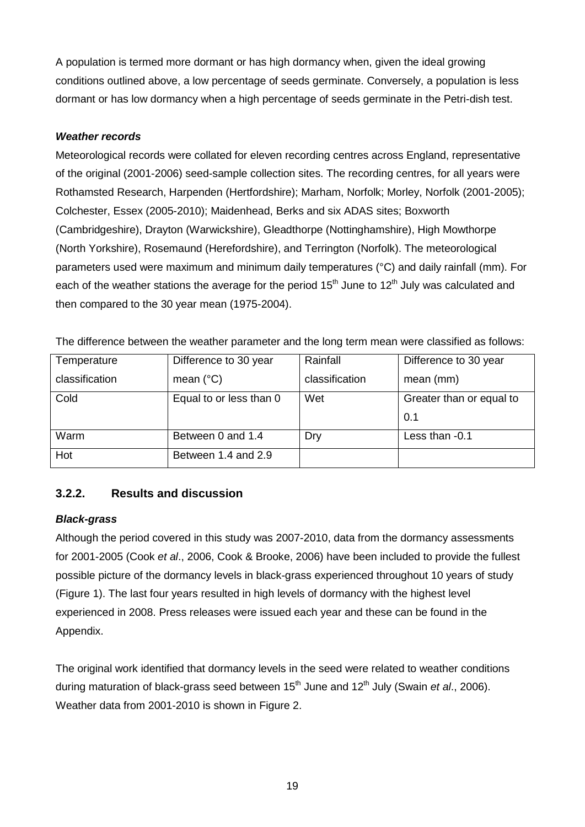A population is termed more dormant or has high dormancy when, given the ideal growing conditions outlined above, a low percentage of seeds germinate. Conversely, a population is less dormant or has low dormancy when a high percentage of seeds germinate in the Petri-dish test.

### *Weather records*

Meteorological records were collated for eleven recording centres across England, representative of the original (2001-2006) seed-sample collection sites. The recording centres, for all years were Rothamsted Research, Harpenden (Hertfordshire); Marham, Norfolk; Morley, Norfolk (2001-2005); Colchester, Essex (2005-2010); Maidenhead, Berks and six ADAS sites; Boxworth (Cambridgeshire), Drayton (Warwickshire), Gleadthorpe (Nottinghamshire), High Mowthorpe (North Yorkshire), Rosemaund (Herefordshire), and Terrington (Norfolk). The meteorological parameters used were maximum and minimum daily temperatures (°C) and daily rainfall (mm). For each of the weather stations the average for the period  $15<sup>th</sup>$  June to  $12<sup>th</sup>$  July was calculated and then compared to the 30 year mean (1975-2004).

| The difference between the weather parameter and the long term mean were classified as follows: |  |  |
|-------------------------------------------------------------------------------------------------|--|--|
|-------------------------------------------------------------------------------------------------|--|--|

| Temperature    | Difference to 30 year   | Rainfall       | Difference to 30 year    |
|----------------|-------------------------|----------------|--------------------------|
| classification | mean $(^{\circ}C)$      | classification | mean (mm)                |
| Cold           | Equal to or less than 0 | Wet            | Greater than or equal to |
|                |                         |                | 0.1                      |
| Warm           | Between 0 and 1.4       | Dry            | Less than -0.1           |
| Hot            | Between 1.4 and 2.9     |                |                          |

## **3.2.2. Results and discussion**

## *Black-grass*

Although the period covered in this study was 2007-2010, data from the dormancy assessments for 2001-2005 (Cook *et al*., 2006, Cook & Brooke, 2006) have been included to provide the fullest possible picture of the dormancy levels in black-grass experienced throughout 10 years of study (Figure 1). The last four years resulted in high levels of dormancy with the highest level experienced in 2008. Press releases were issued each year and these can be found in the Appendix.

The original work identified that dormancy levels in the seed were related to weather conditions during maturation of black-grass seed between 15<sup>th</sup> June and 12<sup>th</sup> July (Swain *et al.*, 2006). Weather data from 2001-2010 is shown in Figure 2.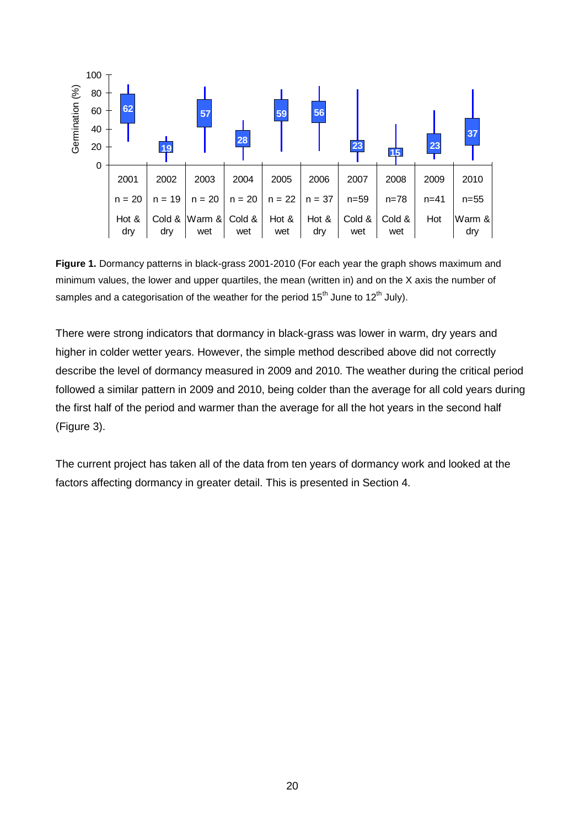

**Figure 1.** Dormancy patterns in black-grass 2001-2010 (For each year the graph shows maximum and minimum values, the lower and upper quartiles, the mean (written in) and on the X axis the number of samples and a categorisation of the weather for the period  $15<sup>th</sup>$  June to  $12<sup>th</sup>$  July).

There were strong indicators that dormancy in black-grass was lower in warm, dry years and higher in colder wetter years. However, the simple method described above did not correctly describe the level of dormancy measured in 2009 and 2010. The weather during the critical period followed a similar pattern in 2009 and 2010, being colder than the average for all cold years during the first half of the period and warmer than the average for all the hot years in the second half (Figure 3).

The current project has taken all of the data from ten years of dormancy work and looked at the factors affecting dormancy in greater detail. This is presented in Section 4.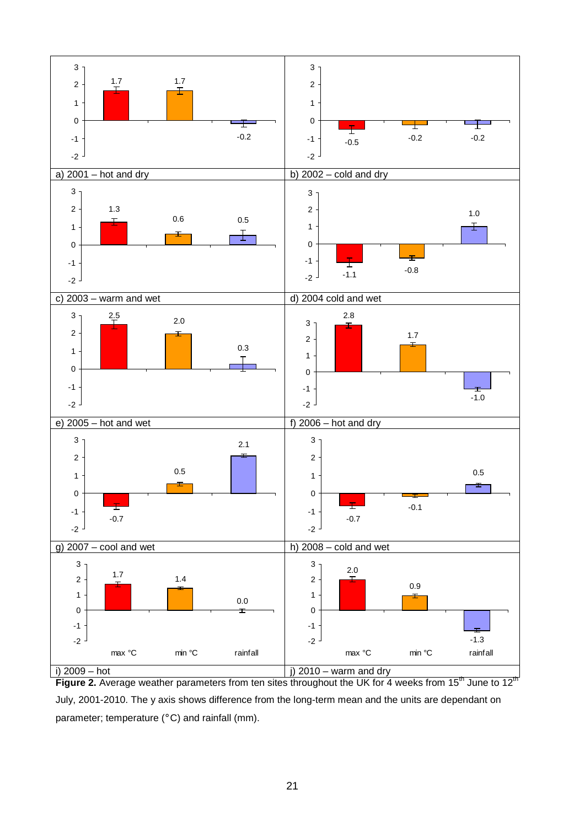

**Figure 2.** Average weather parameters from ten sites throughout the UK for 4 weeks from 15<sup>th</sup> June to 12<sup>th</sup> July, 2001-2010. The y axis shows difference from the long-term mean and the units are dependant on parameter; temperature (°C) and rainfall (mm).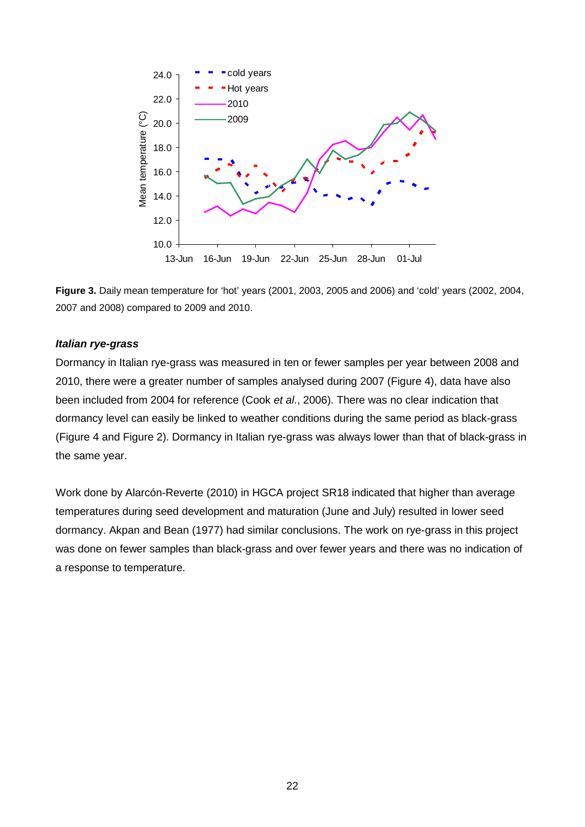



#### *Italian rye-grass*

Dormancy in Italian rye-grass was measured in ten or fewer samples per year between 2008 and 2010, there were a greater number of samples analysed during 2007 (Figure 4), data have also been included from 2004 for reference (Cook *et al*., 2006). There was no clear indication that dormancy level can easily be linked to weather conditions during the same period as black-grass (Figure 4 and Figure 2). Dormancy in Italian rye-grass was always lower than that of black-grass in the same year.

Work done by Alarcón-Reverte (2010) in HGCA project SR18 indicated that higher than average temperatures during seed development and maturation (June and July) resulted in lower seed dormancy. Akpan and Bean (1977) had similar conclusions. The work on rye-grass in this project was done on fewer samples than black-grass and over fewer years and there was no indication of a response to temperature.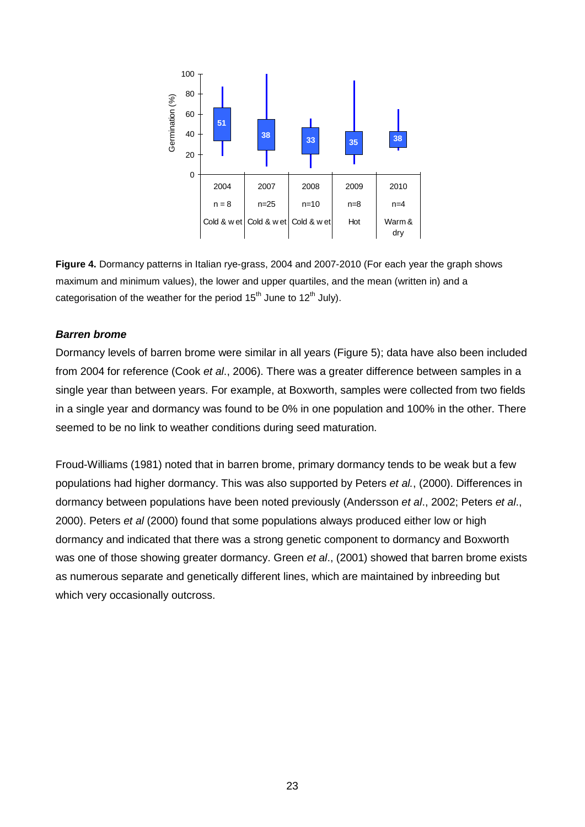

**Figure 4.** Dormancy patterns in Italian rye-grass, 2004 and 2007-2010 (For each year the graph shows maximum and minimum values), the lower and upper quartiles, and the mean (written in) and a categorisation of the weather for the period  $15<sup>th</sup>$  June to  $12<sup>th</sup>$  July).

#### *Barren brome*

Dormancy levels of barren brome were similar in all years (Figure 5); data have also been included from 2004 for reference (Cook *et al*., 2006). There was a greater difference between samples in a single year than between years. For example, at Boxworth, samples were collected from two fields in a single year and dormancy was found to be 0% in one population and 100% in the other. There seemed to be no link to weather conditions during seed maturation.

Froud-Williams (1981) noted that in barren brome, primary dormancy tends to be weak but a few populations had higher dormancy. This was also supported by Peters *et al.*, (2000). Differences in dormancy between populations have been noted previously (Andersson *et al*., 2002; Peters *et al*., 2000). Peters *et al* (2000) found that some populations always produced either low or high dormancy and indicated that there was a strong genetic component to dormancy and Boxworth was one of those showing greater dormancy. Green *et al*., (2001) showed that barren brome exists as numerous separate and genetically different lines, which are maintained by inbreeding but which very occasionally outcross.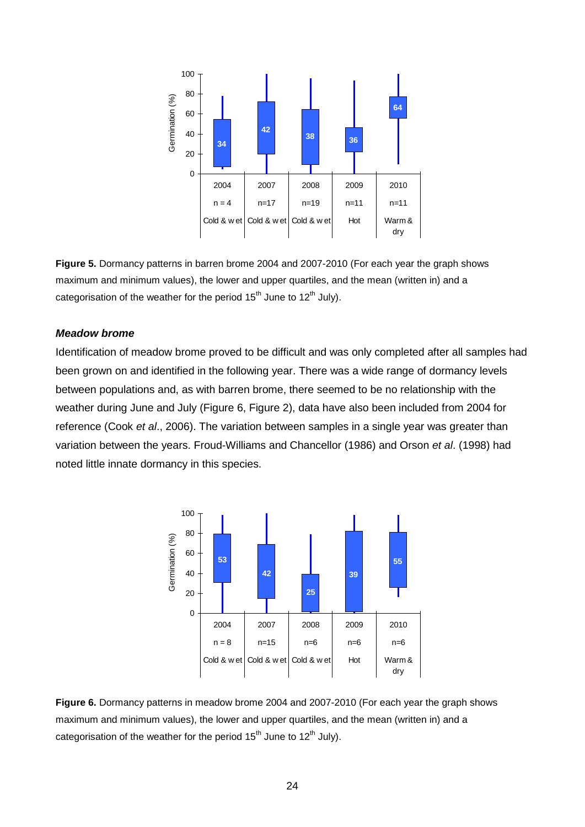

**Figure 5.** Dormancy patterns in barren brome 2004 and 2007-2010 (For each year the graph shows maximum and minimum values), the lower and upper quartiles, and the mean (written in) and a categorisation of the weather for the period  $15<sup>th</sup>$  June to  $12<sup>th</sup>$  July).

#### *Meadow brome*

Identification of meadow brome proved to be difficult and was only completed after all samples had been grown on and identified in the following year. There was a wide range of dormancy levels between populations and, as with barren brome, there seemed to be no relationship with the weather during June and July (Figure 6, Figure 2), data have also been included from 2004 for reference (Cook *et al*., 2006). The variation between samples in a single year was greater than variation between the years. Froud-Williams and Chancellor (1986) and Orson *et al*. (1998) had noted little innate dormancy in this species.



**Figure 6.** Dormancy patterns in meadow brome 2004 and 2007-2010 (For each year the graph shows maximum and minimum values), the lower and upper quartiles, and the mean (written in) and a categorisation of the weather for the period  $15<sup>th</sup>$  June to  $12<sup>th</sup>$  July).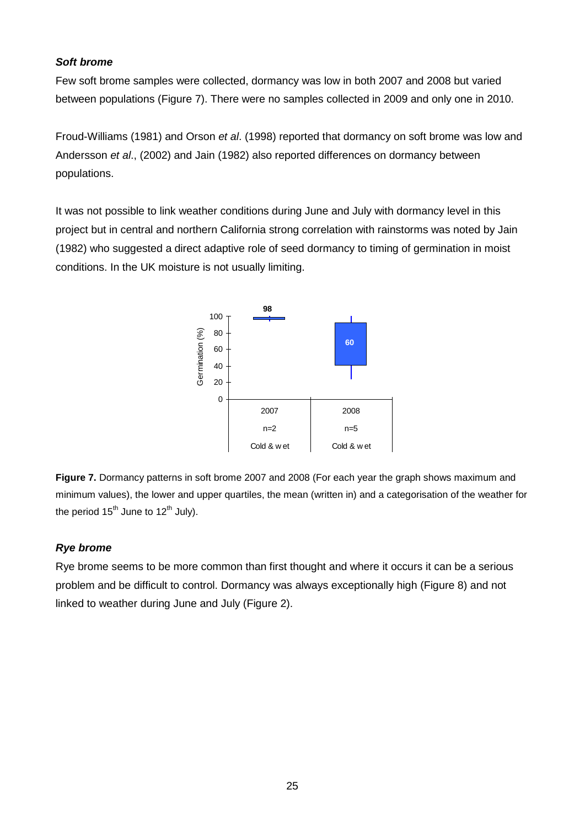#### *Soft brome*

Few soft brome samples were collected, dormancy was low in both 2007 and 2008 but varied between populations (Figure 7). There were no samples collected in 2009 and only one in 2010.

Froud-Williams (1981) and Orson *et al*. (1998) reported that dormancy on soft brome was low and Andersson *et al*., (2002) and Jain (1982) also reported differences on dormancy between populations.

It was not possible to link weather conditions during June and July with dormancy level in this project but in central and northern California strong correlation with rainstorms was noted by Jain (1982) who suggested a direct adaptive role of seed dormancy to timing of germination in moist conditions. In the UK moisture is not usually limiting.



**Figure 7.** Dormancy patterns in soft brome 2007 and 2008 (For each year the graph shows maximum and minimum values), the lower and upper quartiles, the mean (written in) and a categorisation of the weather for the period  $15^{th}$  June to  $12^{th}$  July).

### *Rye brome*

Rye brome seems to be more common than first thought and where it occurs it can be a serious problem and be difficult to control. Dormancy was always exceptionally high (Figure 8) and not linked to weather during June and July (Figure 2).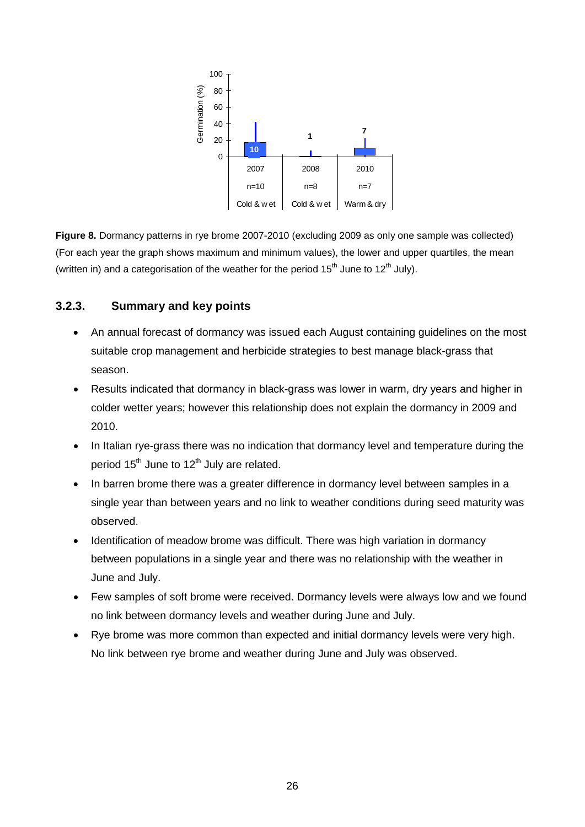

**Figure 8.** Dormancy patterns in rye brome 2007-2010 (excluding 2009 as only one sample was collected) (For each year the graph shows maximum and minimum values), the lower and upper quartiles, the mean (written in) and a categorisation of the weather for the period  $15<sup>th</sup>$  June to  $12<sup>th</sup>$  July).

## **3.2.3. Summary and key points**

- An annual forecast of dormancy was issued each August containing guidelines on the most suitable crop management and herbicide strategies to best manage black-grass that season.
- Results indicated that dormancy in black-grass was lower in warm, dry years and higher in colder wetter years; however this relationship does not explain the dormancy in 2009 and 2010.
- In Italian rye-grass there was no indication that dormancy level and temperature during the period  $15<sup>th</sup>$  June to  $12<sup>th</sup>$  July are related.
- In barren brome there was a greater difference in dormancy level between samples in a single year than between years and no link to weather conditions during seed maturity was observed.
- Identification of meadow brome was difficult. There was high variation in dormancy between populations in a single year and there was no relationship with the weather in June and July.
- Few samples of soft brome were received. Dormancy levels were always low and we found no link between dormancy levels and weather during June and July.
- Rye brome was more common than expected and initial dormancy levels were very high. No link between rye brome and weather during June and July was observed.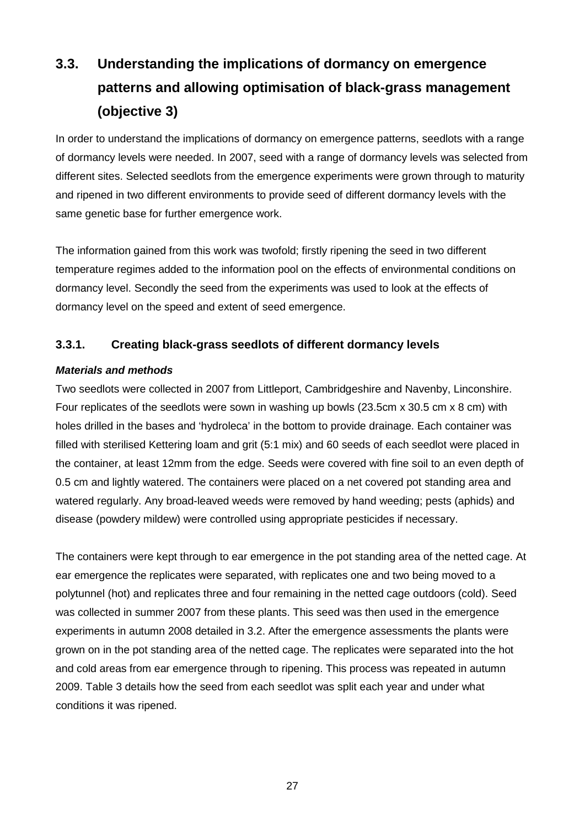# **3.3. Understanding the implications of dormancy on emergence patterns and allowing optimisation of black-grass management (objective 3)**

In order to understand the implications of dormancy on emergence patterns, seedlots with a range of dormancy levels were needed. In 2007, seed with a range of dormancy levels was selected from different sites. Selected seedlots from the emergence experiments were grown through to maturity and ripened in two different environments to provide seed of different dormancy levels with the same genetic base for further emergence work.

The information gained from this work was twofold; firstly ripening the seed in two different temperature regimes added to the information pool on the effects of environmental conditions on dormancy level. Secondly the seed from the experiments was used to look at the effects of dormancy level on the speed and extent of seed emergence.

## <span id="page-26-0"></span>**3.3.1. Creating black-grass seedlots of different dormancy levels**

## *Materials and methods*

Two seedlots were collected in 2007 from Littleport, Cambridgeshire and Navenby, Linconshire. Four replicates of the seedlots were sown in washing up bowls (23.5cm x 30.5 cm x 8 cm) with holes drilled in the bases and 'hydroleca' in the bottom to provide drainage. Each container was filled with sterilised Kettering loam and grit (5:1 mix) and 60 seeds of each seedlot were placed in the container, at least 12mm from the edge. Seeds were covered with fine soil to an even depth of 0.5 cm and lightly watered. The containers were placed on a net covered pot standing area and watered regularly. Any broad-leaved weeds were removed by hand weeding; pests (aphids) and disease (powdery mildew) were controlled using appropriate pesticides if necessary.

The containers were kept through to ear emergence in the pot standing area of the netted cage. At ear emergence the replicates were separated, with replicates one and two being moved to a polytunnel (hot) and replicates three and four remaining in the netted cage outdoors (cold). Seed was collected in summer 2007 from these plants. This seed was then used in the emergence experiments in autumn 2008 detailed in 3.2. After the emergence assessments the plants were grown on in the pot standing area of the netted cage. The replicates were separated into the hot and cold areas from ear emergence through to ripening. This process was repeated in autumn 2009. Table 3 details how the seed from each seedlot was split each year and under what conditions it was ripened.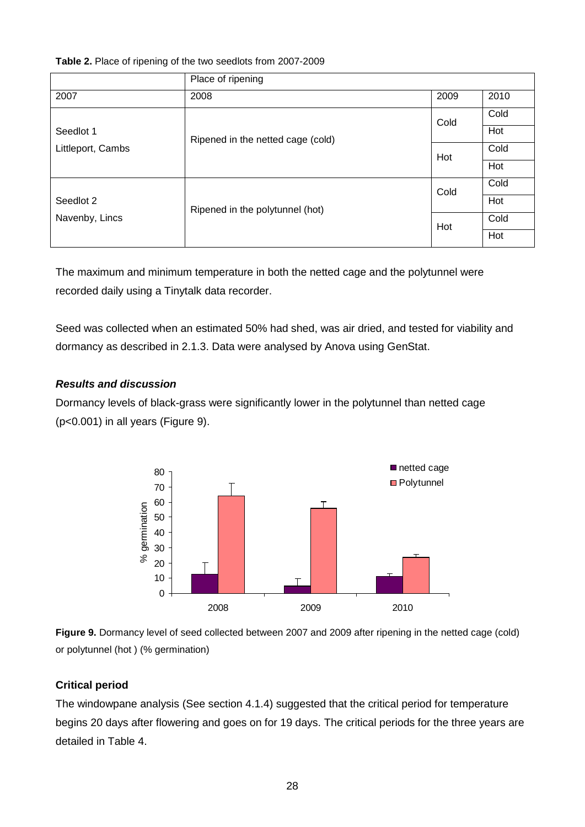#### **Table 2.** Place of ripening of the two seedlots from 2007-2009

|                   | Place of ripening                 |      |      |
|-------------------|-----------------------------------|------|------|
| 2007              | 2008                              | 2009 | 2010 |
|                   | Ripened in the netted cage (cold) | Cold | Cold |
| Seedlot 1         |                                   |      | Hot  |
| Littleport, Cambs |                                   | Hot  | Cold |
|                   |                                   |      | Hot  |
|                   |                                   | Cold | Cold |
| Seedlot 2         | Ripened in the polytunnel (hot)   |      | Hot  |
| Navenby, Lincs    |                                   | Hot  | Cold |
|                   |                                   |      | Hot  |

The maximum and minimum temperature in both the netted cage and the polytunnel were recorded daily using a Tinytalk data recorder.

Seed was collected when an estimated 50% had shed, was air dried, and tested for viability and dormancy as described in [2.1.3.](#page-17-0) Data were analysed by Anova using GenStat.

#### *Results and discussion*

Dormancy levels of black-grass were significantly lower in the polytunnel than netted cage (p<0.001) in all years (Figure 9).



**Figure 9.** Dormancy level of seed collected between 2007 and 2009 after ripening in the netted cage (cold) or polytunnel (hot ) (% germination)

### **Critical period**

The windowpane analysis (See section 4.1.4) suggested that the critical period for temperature begins 20 days after flowering and goes on for 19 days. The critical periods for the three years are detailed in Table 4.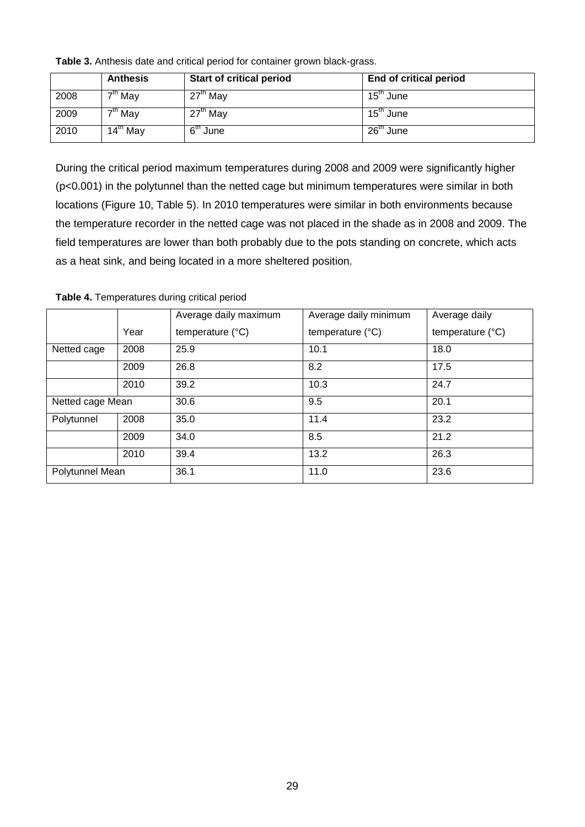**Table 3.** Anthesis date and critical period for container grown black-grass.

|      | <b>Anthesis</b>                | <b>Start of critical period</b> | <b>End of critical period</b> |
|------|--------------------------------|---------------------------------|-------------------------------|
| 2008 | $\overline{7}^{\text{th}}$ May | $27th$ May                      | 15 <sup>th</sup> June         |
| 2009 | $7th$ May                      | $27th$ May                      | $15^{\text{th}}$ June         |
| 2010 | $14^{\text{th}}$ May           | $6th$ June                      | $26th$ June                   |

During the critical period maximum temperatures during 2008 and 2009 were significantly higher (p<0.001) in the polytunnel than the netted cage but minimum temperatures were similar in both locations (Figure 10, Table 5). In 2010 temperatures were similar in both environments because the temperature recorder in the netted cage was not placed in the shade as in 2008 and 2009. The field temperatures are lower than both probably due to the pots standing on concrete, which acts as a heat sink, and being located in a more sheltered position.

|                  |      | Average daily maximum     | Average daily minimum     | Average daily             |
|------------------|------|---------------------------|---------------------------|---------------------------|
|                  | Year | temperature $(^{\circ}C)$ | temperature $(^{\circ}C)$ | temperature $(^{\circ}C)$ |
| Netted cage      | 2008 | 25.9                      | 10.1                      | 18.0                      |
|                  | 2009 | 26.8                      | 8.2                       | 17.5                      |
|                  | 2010 | 39.2                      | 10.3                      | 24.7                      |
| Netted cage Mean |      | 30.6                      | 9.5                       | 20.1                      |
| Polytunnel       | 2008 | 35.0                      | 11.4                      | 23.2                      |
|                  | 2009 | 34.0                      | 8.5                       | 21.2                      |
|                  | 2010 | 39.4                      | 13.2                      | 26.3                      |
| Polytunnel Mean  |      | 36.1                      | 11.0                      | 23.6                      |

**Table 4.** Temperatures during critical period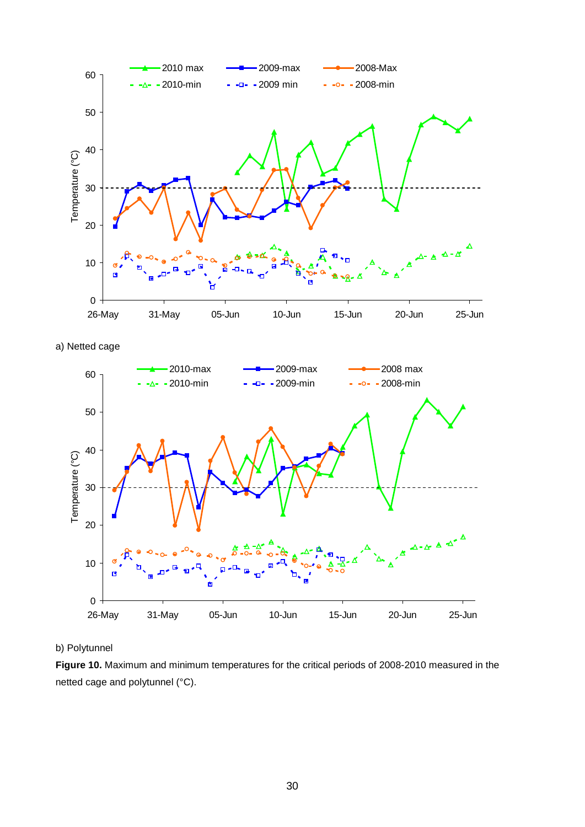

a) Netted cage



#### b) Polytunnel

**Figure 10.** Maximum and minimum temperatures for the critical periods of 2008-2010 measured in the netted cage and polytunnel (°C).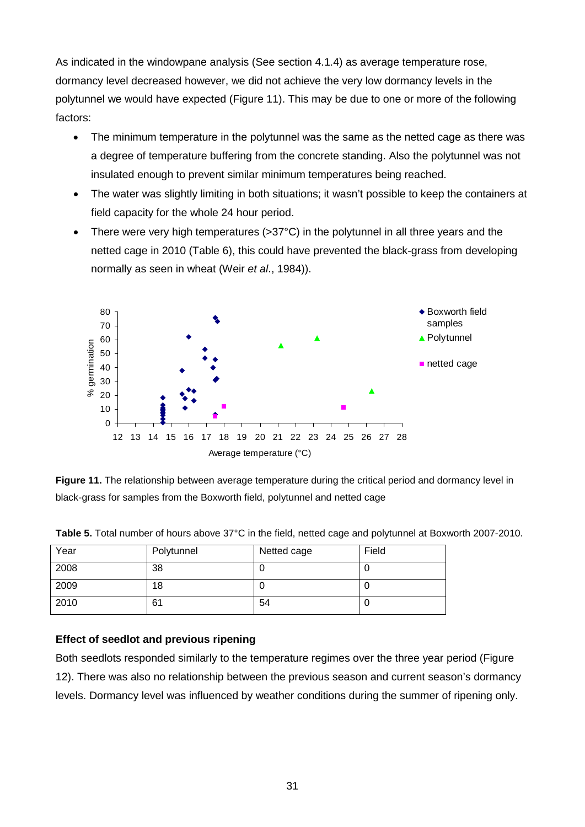As indicated in the windowpane analysis (See section 4.1.4) as average temperature rose, dormancy level decreased however, we did not achieve the very low dormancy levels in the polytunnel we would have expected (Figure 11). This may be due to one or more of the following factors:

- The minimum temperature in the polytunnel was the same as the netted cage as there was a degree of temperature buffering from the concrete standing. Also the polytunnel was not insulated enough to prevent similar minimum temperatures being reached.
- The water was slightly limiting in both situations; it wasn't possible to keep the containers at field capacity for the whole 24 hour period.
- There were very high temperatures (>37°C) in the polytunnel in all three years and the netted cage in 2010 (Table 6), this could have prevented the black-grass from developing normally as seen in wheat (Weir *et al*., 1984)).



**Figure 11.** The relationship between average temperature during the critical period and dormancy level in black-grass for samples from the Boxworth field, polytunnel and netted cage

| Year | Polytunnel | Netted cage | Field |
|------|------------|-------------|-------|
| 2008 | 38         |             | U     |
| 2009 | 18         |             | υ     |
| 2010 | 61         | 54          | U     |

**Table 5.** Total number of hours above 37°C in the field, netted cage and polytunnel at Boxworth 2007-2010.

### **Effect of seedlot and previous ripening**

Both seedlots responded similarly to the temperature regimes over the three year period (Figure 12). There was also no relationship between the previous season and current season's dormancy levels. Dormancy level was influenced by weather conditions during the summer of ripening only.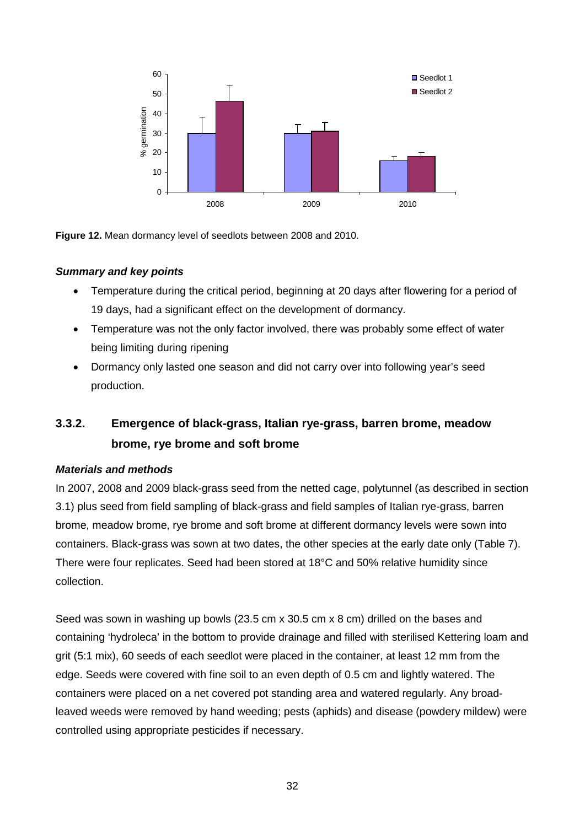

**Figure 12.** Mean dormancy level of seedlots between 2008 and 2010.

#### *Summary and key points*

- Temperature during the critical period, beginning at 20 days after flowering for a period of 19 days, had a significant effect on the development of dormancy.
- Temperature was not the only factor involved, there was probably some effect of water being limiting during ripening
- Dormancy only lasted one season and did not carry over into following year's seed production.

## **3.3.2. Emergence of black-grass, Italian rye-grass, barren brome, meadow brome, rye brome and soft brome**

#### *Materials and methods*

In 2007, 2008 and 2009 black-grass seed from the netted cage, polytunnel (as described in section [3.1\)](#page-26-0) plus seed from field sampling of black-grass and field samples of Italian rye-grass, barren brome, meadow brome, rye brome and soft brome at different dormancy levels were sown into containers. Black-grass was sown at two dates, the other species at the early date only (Table 7). There were four replicates. Seed had been stored at 18°C and 50% relative humidity since collection.

Seed was sown in washing up bowls (23.5 cm x 30.5 cm x 8 cm) drilled on the bases and containing 'hydroleca' in the bottom to provide drainage and filled with sterilised Kettering loam and grit (5:1 mix), 60 seeds of each seedlot were placed in the container, at least 12 mm from the edge. Seeds were covered with fine soil to an even depth of 0.5 cm and lightly watered. The containers were placed on a net covered pot standing area and watered regularly. Any broadleaved weeds were removed by hand weeding; pests (aphids) and disease (powdery mildew) were controlled using appropriate pesticides if necessary.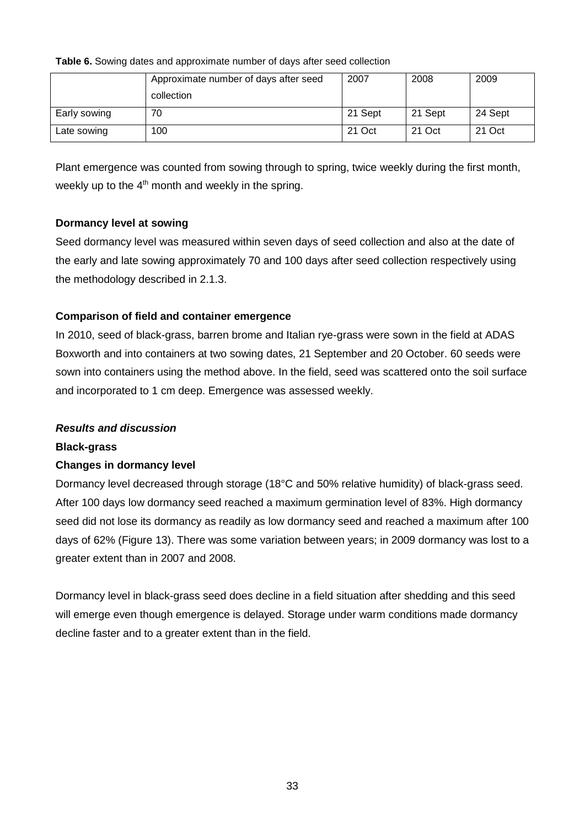#### **Table 6.** Sowing dates and approximate number of days after seed collection

|              | Approximate number of days after seed | 2007    | 2008    | 2009    |
|--------------|---------------------------------------|---------|---------|---------|
|              | collection                            |         |         |         |
| Early sowing | 70                                    | 21 Sept | 21 Sept | 24 Sept |
| Late sowing  | 100                                   | 21 Oct  | 21 Oct  | 21 Oct  |

Plant emergence was counted from sowing through to spring, twice weekly during the first month, weekly up to the  $4<sup>th</sup>$  month and weekly in the spring.

### **Dormancy level at sowing**

Seed dormancy level was measured within seven days of seed collection and also at the date of the early and late sowing approximately 70 and 100 days after seed collection respectively using the methodology described in 2.1.3.

### **Comparison of field and container emergence**

In 2010, seed of black-grass, barren brome and Italian rye-grass were sown in the field at ADAS Boxworth and into containers at two sowing dates, 21 September and 20 October. 60 seeds were sown into containers using the method above. In the field, seed was scattered onto the soil surface and incorporated to 1 cm deep. Emergence was assessed weekly.

#### *Results and discussion*

#### **Black-grass**

#### **Changes in dormancy level**

Dormancy level decreased through storage (18°C and 50% relative humidity) of black-grass seed. After 100 days low dormancy seed reached a maximum germination level of 83%. High dormancy seed did not lose its dormancy as readily as low dormancy seed and reached a maximum after 100 days of 62% (Figure 13). There was some variation between years; in 2009 dormancy was lost to a greater extent than in 2007 and 2008.

Dormancy level in black-grass seed does decline in a field situation after shedding and this seed will emerge even though emergence is delayed. Storage under warm conditions made dormancy decline faster and to a greater extent than in the field.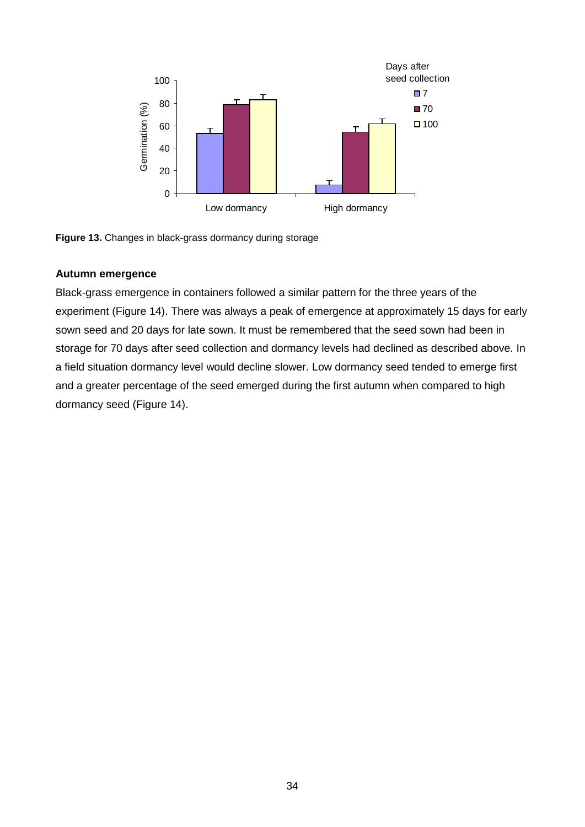

**Figure 13.** Changes in black-grass dormancy during storage

#### **Autumn emergence**

Black-grass emergence in containers followed a similar pattern for the three years of the experiment (Figure 14). There was always a peak of emergence at approximately 15 days for early sown seed and 20 days for late sown. It must be remembered that the seed sown had been in storage for 70 days after seed collection and dormancy levels had declined as described above. In a field situation dormancy level would decline slower. Low dormancy seed tended to emerge first and a greater percentage of the seed emerged during the first autumn when compared to high dormancy seed (Figure 14).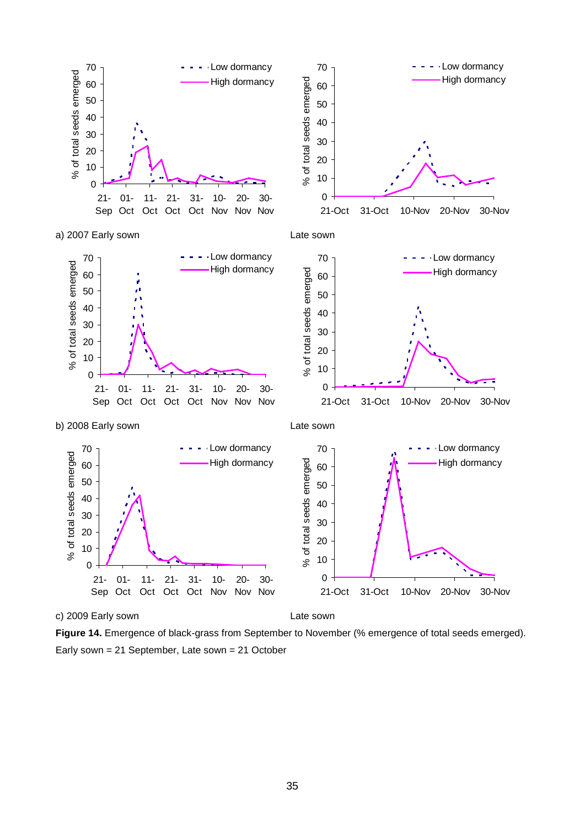

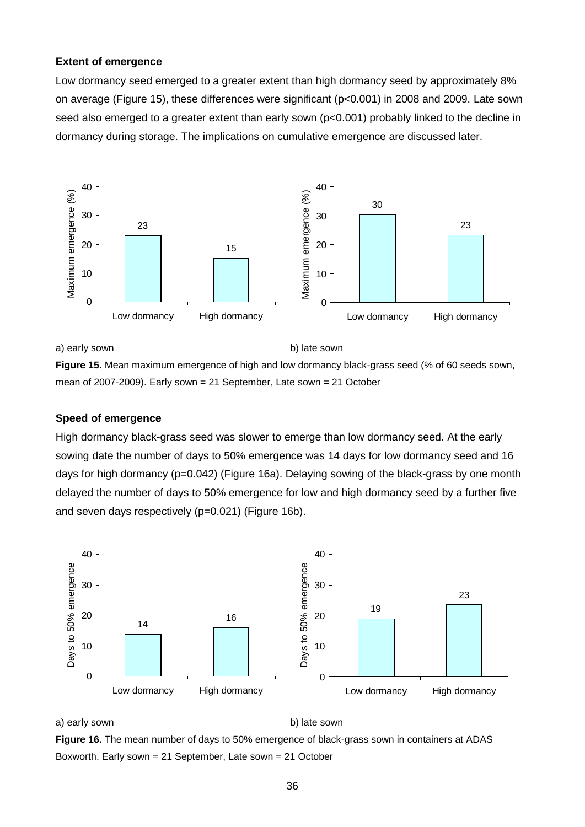#### **Extent of emergence**

Low dormancy seed emerged to a greater extent than high dormancy seed by approximately 8% on average (Figure 15), these differences were significant (p<0.001) in 2008 and 2009. Late sown seed also emerged to a greater extent than early sown (p<0.001) probably linked to the decline in dormancy during storage. The implications on cumulative emergence are discussed later.



a) early sown b) late sown

**Figure 15.** Mean maximum emergence of high and low dormancy black-grass seed (% of 60 seeds sown, mean of 2007-2009). Early sown = 21 September, Late sown = 21 October

#### **Speed of emergence**

High dormancy black-grass seed was slower to emerge than low dormancy seed. At the early sowing date the number of days to 50% emergence was 14 days for low dormancy seed and 16 days for high dormancy (p=0.042) (Figure 16a). Delaying sowing of the black-grass by one month delayed the number of days to 50% emergence for low and high dormancy seed by a further five and seven days respectively (p=0.021) (Figure 16b).



a) early sown b) late sown

**Figure 16.** The mean number of days to 50% emergence of black-grass sown in containers at ADAS Boxworth. Early sown = 21 September, Late sown = 21 October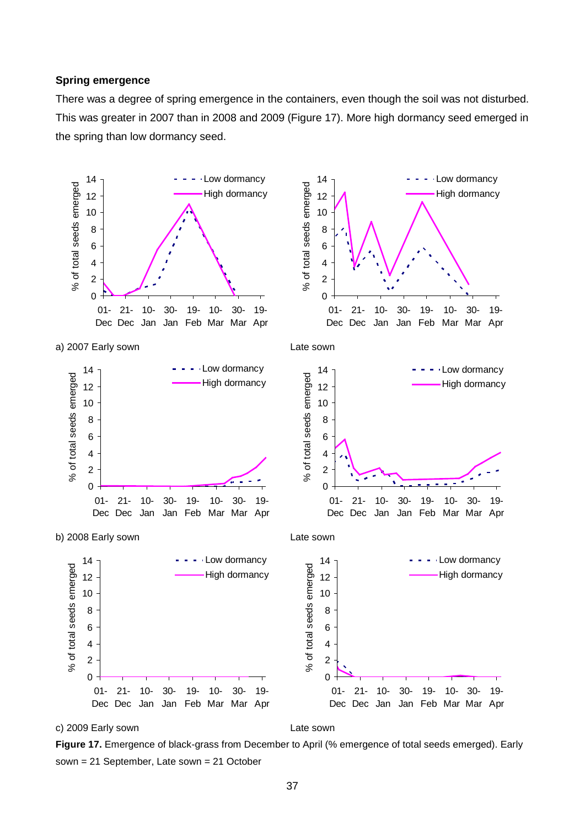#### **Spring emergence**

There was a degree of spring emergence in the containers, even though the soil was not disturbed. This was greater in 2007 than in 2008 and 2009 (Figure 17). More high dormancy seed emerged in the spring than low dormancy seed.



**Figure 17.** Emergence of black-grass from December to April (% emergence of total seeds emerged). Early sown = 21 September, Late sown = 21 October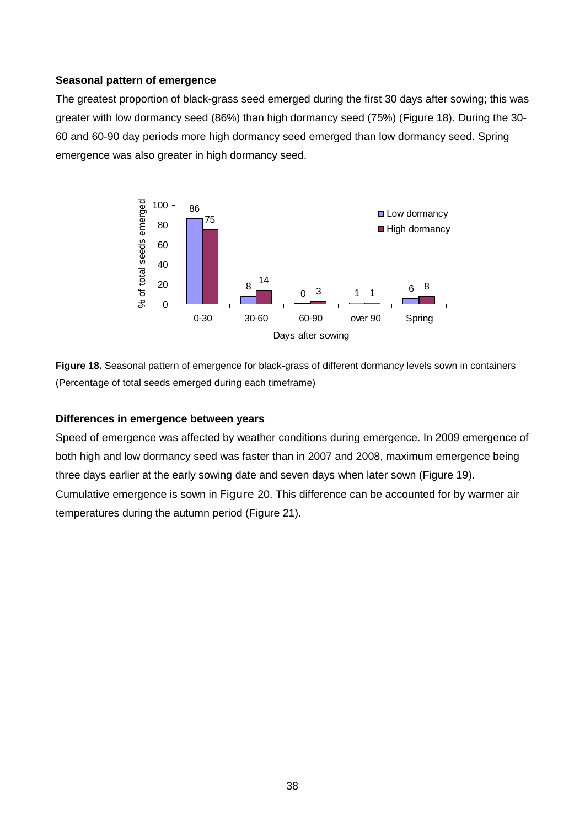### **Seasonal pattern of emergence**

The greatest proportion of black-grass seed emerged during the first 30 days after sowing; this was greater with low dormancy seed (86%) than high dormancy seed (75%) (Figure 18). During the 30- 60 and 60-90 day periods more high dormancy seed emerged than low dormancy seed. Spring emergence was also greater in high dormancy seed.



**Figure 18.** Seasonal pattern of emergence for black-grass of different dormancy levels sown in containers (Percentage of total seeds emerged during each timeframe)

### **Differences in emergence between years**

Speed of emergence was affected by weather conditions during emergence. In 2009 emergence of both high and low dormancy seed was faster than in 2007 and 2008, maximum emergence being three days earlier at the early sowing date and seven days when later sown (Figure 19). Cumulative emergence is sown in Figure 20. This difference can be accounted for by warmer air temperatures during the autumn period (Figure 21).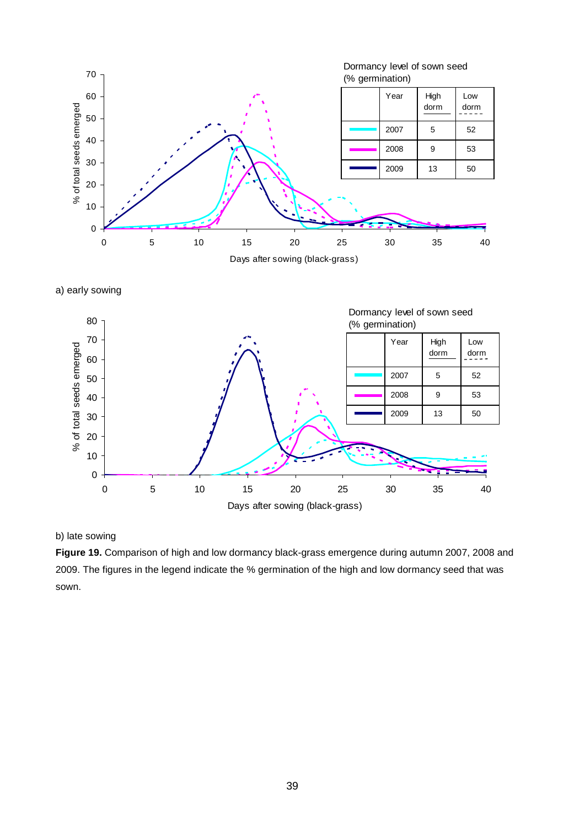

a) early sowing



b) late sowing

**Figure 19.** Comparison of high and low dormancy black-grass emergence during autumn 2007, 2008 and 2009. The figures in the legend indicate the % germination of the high and low dormancy seed that was sown.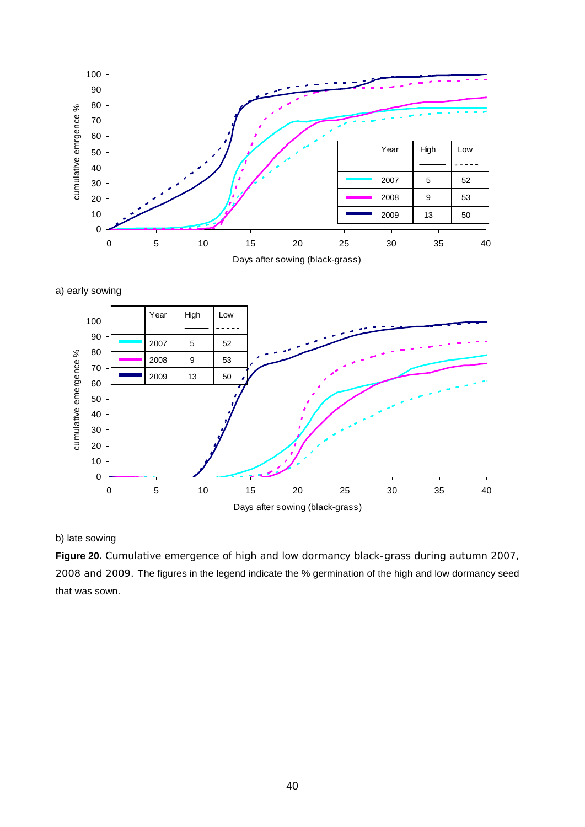

a) early sowing



b) late sowing

**Figure 20.** Cumulative emergence of high and low dormancy black-grass during autumn 2007, 2008 and 2009. The figures in the legend indicate the % germination of the high and low dormancy seed that was sown.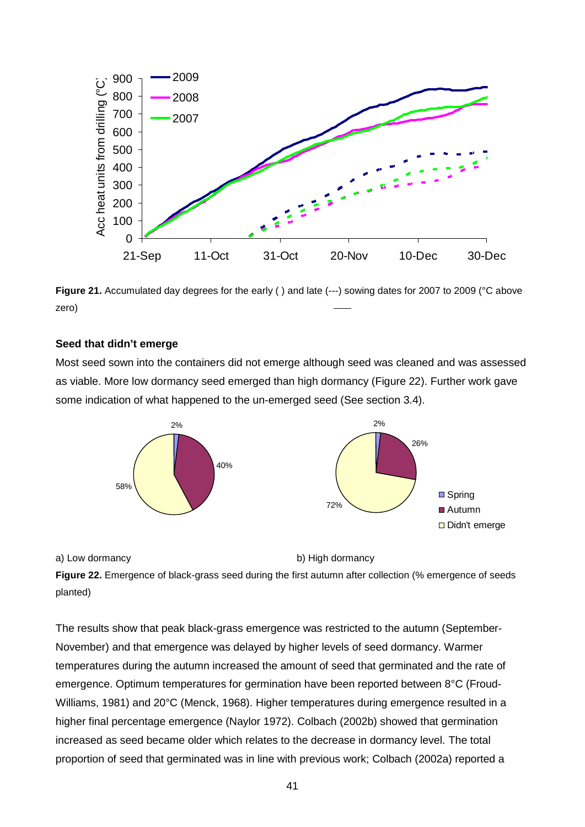

**Figure 21.** Accumulated day degrees for the early () and late (---) sowing dates for 2007 to 2009 (°C above zero)

### **Seed that didn't emerge**

Most seed sown into the containers did not emerge although seed was cleaned and was assessed as viable. More low dormancy seed emerged than high dormancy (Figure 22). Further work gave some indication of what happened to the un-emerged seed (See section 3.4).



a) Low dormancy b) High dormancy

**Figure 22.** Emergence of black-grass seed during the first autumn after collection (% emergence of seeds planted)

The results show that peak black-grass emergence was restricted to the autumn (September-November) and that emergence was delayed by higher levels of seed dormancy. Warmer temperatures during the autumn increased the amount of seed that germinated and the rate of emergence. Optimum temperatures for germination have been reported between 8°C (Froud-Williams, 1981) and 20°C (Menck, 1968). Higher temperatures during emergence resulted in a higher final percentage emergence (Naylor 1972). Colbach (2002b) showed that germination increased as seed became older which relates to the decrease in dormancy level. The total proportion of seed that germinated was in line with previous work; Colbach (2002a) reported a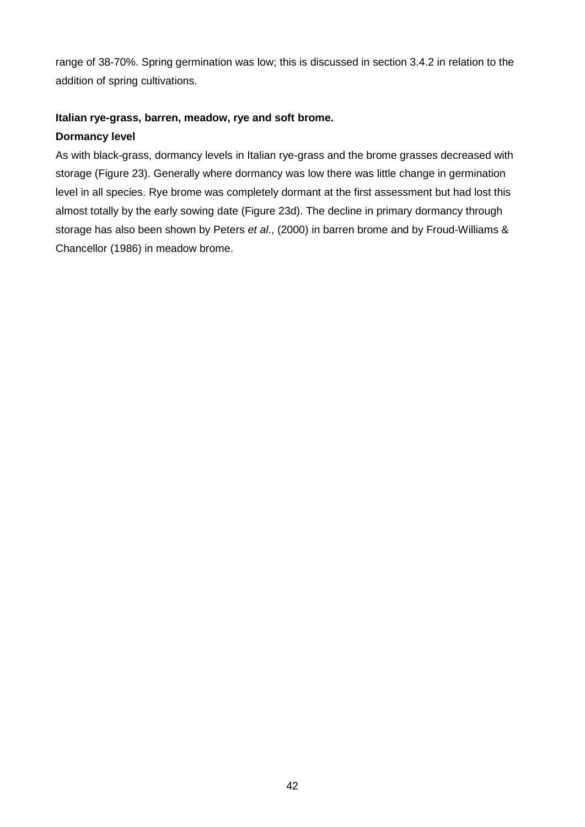range of 38-70%. Spring germination was low; this is discussed in section 3.4.2 in relation to the addition of spring cultivations.

### **Italian rye-grass, barren, meadow, rye and soft brome.**

### **Dormancy level**

As with black-grass, dormancy levels in Italian rye-grass and the brome grasses decreased with storage (Figure 23). Generally where dormancy was low there was little change in germination level in all species. Rye brome was completely dormant at the first assessment but had lost this almost totally by the early sowing date (Figure 23d). The decline in primary dormancy through storage has also been shown by Peters *et al*., (2000) in barren brome and by Froud-Williams & Chancellor (1986) in meadow brome.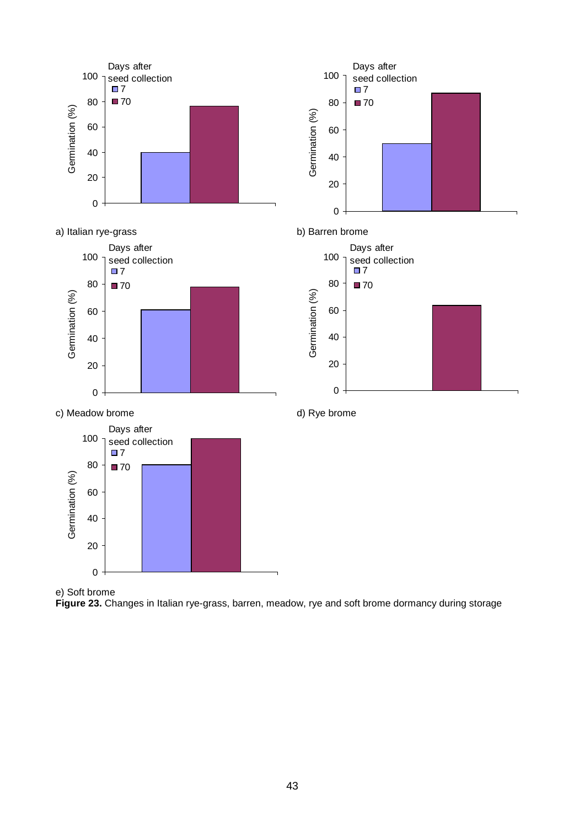

e) Soft brome

**Figure 23.** Changes in Italian rye-grass, barren, meadow, rye and soft brome dormancy during storage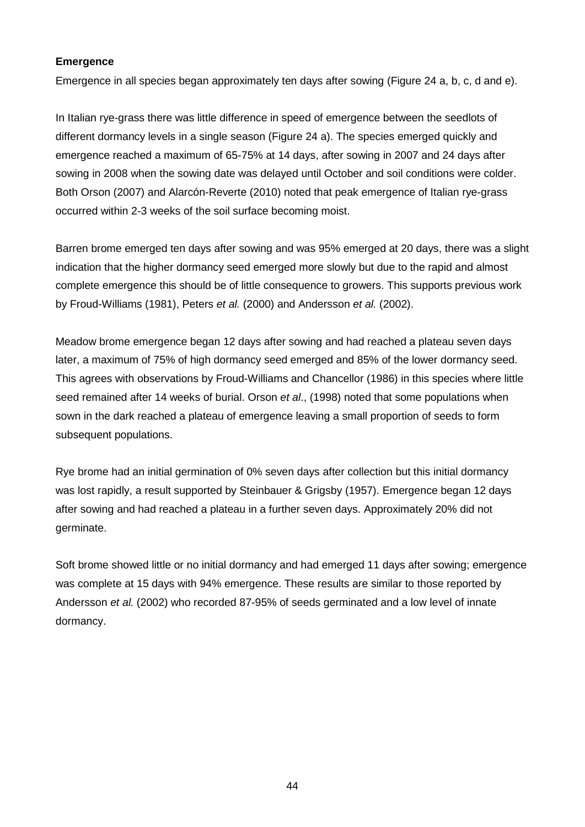### **Emergence**

Emergence in all species began approximately ten days after sowing (Figure 24 a, b, c, d and e).

In Italian rye-grass there was little difference in speed of emergence between the seedlots of different dormancy levels in a single season (Figure 24 a). The species emerged quickly and emergence reached a maximum of 65-75% at 14 days, after sowing in 2007 and 24 days after sowing in 2008 when the sowing date was delayed until October and soil conditions were colder. Both Orson (2007) and Alarcón-Reverte (2010) noted that peak emergence of Italian rye-grass occurred within 2-3 weeks of the soil surface becoming moist.

Barren brome emerged ten days after sowing and was 95% emerged at 20 days, there was a slight indication that the higher dormancy seed emerged more slowly but due to the rapid and almost complete emergence this should be of little consequence to growers. This supports previous work by Froud-Williams (1981), Peters *et al.* (2000) and Andersson *et al.* (2002).

Meadow brome emergence began 12 days after sowing and had reached a plateau seven days later, a maximum of 75% of high dormancy seed emerged and 85% of the lower dormancy seed. This agrees with observations by Froud-Williams and Chancellor (1986) in this species where little seed remained after 14 weeks of burial. Orson *et al*., (1998) noted that some populations when sown in the dark reached a plateau of emergence leaving a small proportion of seeds to form subsequent populations.

Rye brome had an initial germination of 0% seven days after collection but this initial dormancy was lost rapidly, a result supported by Steinbauer & Grigsby (1957). Emergence began 12 days after sowing and had reached a plateau in a further seven days. Approximately 20% did not germinate.

Soft brome showed little or no initial dormancy and had emerged 11 days after sowing; emergence was complete at 15 days with 94% emergence. These results are similar to those reported by Andersson *et al.* (2002) who recorded 87-95% of seeds germinated and a low level of innate dormancy.

44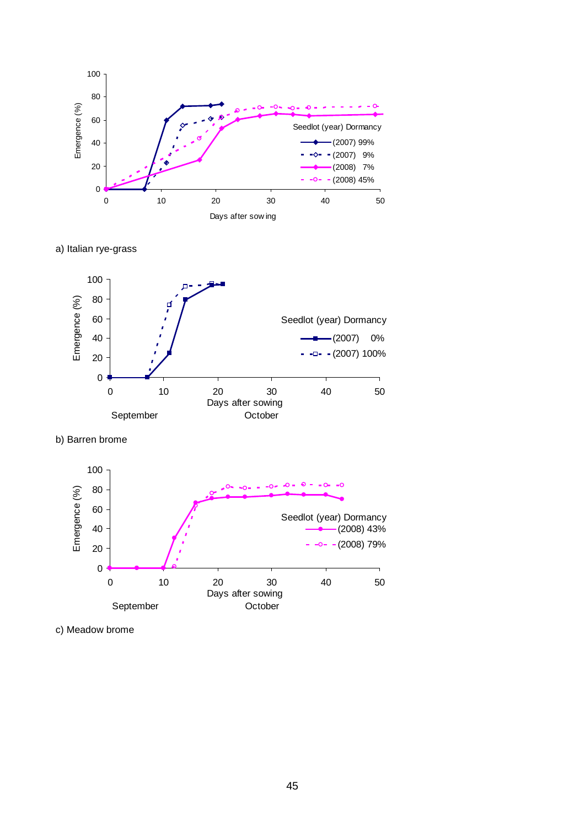

a) Italian rye-grass



b) Barren brome



c) Meadow brome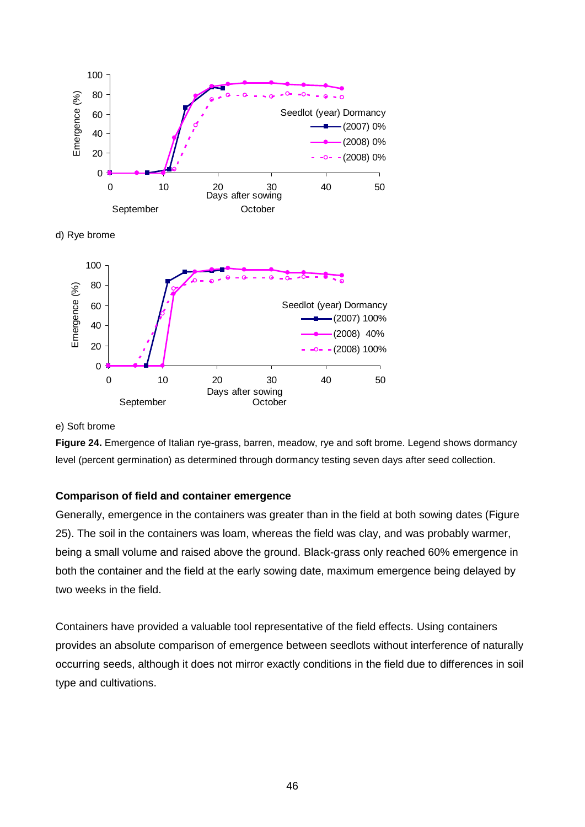





#### e) Soft brome

**Figure 24.** Emergence of Italian rye-grass, barren, meadow, rye and soft brome. Legend shows dormancy level (percent germination) as determined through dormancy testing seven days after seed collection.

### **Comparison of field and container emergence**

Generally, emergence in the containers was greater than in the field at both sowing dates (Figure 25). The soil in the containers was loam, whereas the field was clay, and was probably warmer, being a small volume and raised above the ground. Black-grass only reached 60% emergence in both the container and the field at the early sowing date, maximum emergence being delayed by two weeks in the field.

Containers have provided a valuable tool representative of the field effects. Using containers provides an absolute comparison of emergence between seedlots without interference of naturally occurring seeds, although it does not mirror exactly conditions in the field due to differences in soil type and cultivations.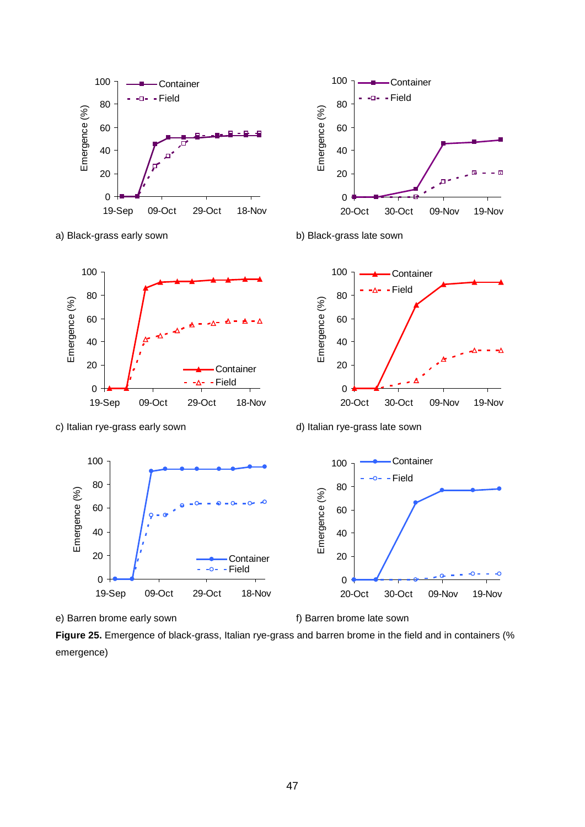



a) Black-grass early sown b) Black-grass late sown





 $\bullet$ 

c) Italian rye-grass early sown d) Italian rye-grass late sown





**Figure 25.** Emergence of black-grass, Italian rye-grass and barren brome in the field and in containers (% emergence)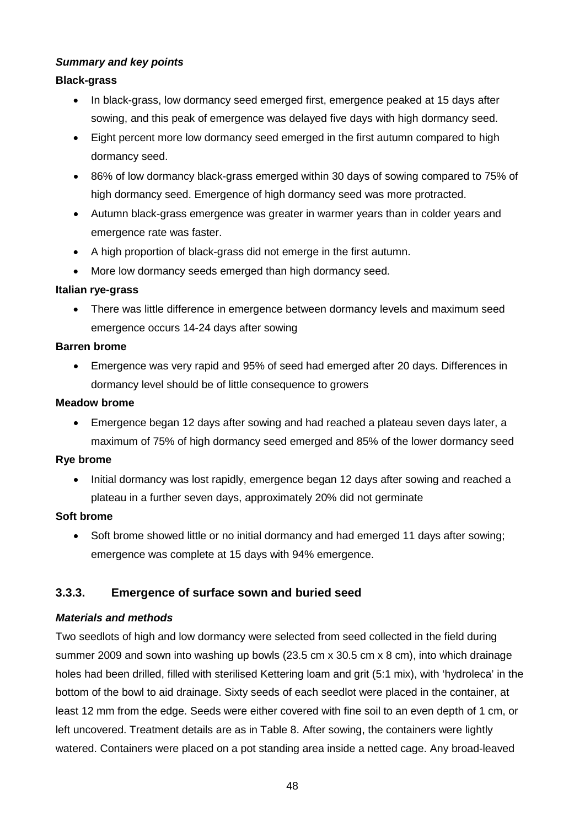### *Summary and key points*

### **Black-grass**

- In black-grass, low dormancy seed emerged first, emergence peaked at 15 days after sowing, and this peak of emergence was delayed five days with high dormancy seed.
- Eight percent more low dormancy seed emerged in the first autumn compared to high dormancy seed.
- 86% of low dormancy black-grass emerged within 30 days of sowing compared to 75% of high dormancy seed. Emergence of high dormancy seed was more protracted.
- Autumn black-grass emergence was greater in warmer years than in colder years and emergence rate was faster.
- A high proportion of black-grass did not emerge in the first autumn.
- More low dormancy seeds emerged than high dormancy seed.

### **Italian rye-grass**

• There was little difference in emergence between dormancy levels and maximum seed emergence occurs 14-24 days after sowing

### **Barren brome**

• Emergence was very rapid and 95% of seed had emerged after 20 days. Differences in dormancy level should be of little consequence to growers

### **Meadow brome**

• Emergence began 12 days after sowing and had reached a plateau seven days later, a maximum of 75% of high dormancy seed emerged and 85% of the lower dormancy seed

### **Rye brome**

• Initial dormancy was lost rapidly, emergence began 12 days after sowing and reached a plateau in a further seven days, approximately 20% did not germinate

### **Soft brome**

• Soft brome showed little or no initial dormancy and had emerged 11 days after sowing; emergence was complete at 15 days with 94% emergence.

# **3.3.3. Emergence of surface sown and buried seed**

## *Materials and methods*

Two seedlots of high and low dormancy were selected from seed collected in the field during summer 2009 and sown into washing up bowls (23.5 cm x 30.5 cm x 8 cm), into which drainage holes had been drilled, filled with sterilised Kettering loam and grit (5:1 mix), with 'hydroleca' in the bottom of the bowl to aid drainage. Sixty seeds of each seedlot were placed in the container, at least 12 mm from the edge. Seeds were either covered with fine soil to an even depth of 1 cm, or left uncovered. Treatment details are as in Table 8. After sowing, the containers were lightly watered. Containers were placed on a pot standing area inside a netted cage. Any broad-leaved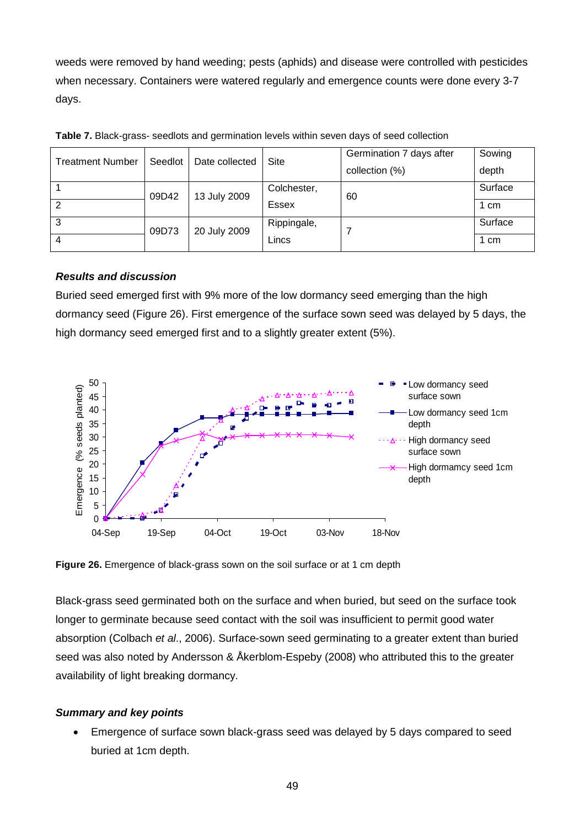weeds were removed by hand weeding; pests (aphids) and disease were controlled with pesticides when necessary. Containers were watered regularly and emergence counts were done every 3-7 days.

| <b>Treatment Number</b> | Seedlot | Date collected | Site        | Germination 7 days after | Sowing  |
|-------------------------|---------|----------------|-------------|--------------------------|---------|
|                         |         |                |             | collection (%)           | depth   |
|                         | 09D42   | 13 July 2009   | Colchester, | 60                       | Surface |
| $\overline{2}$          |         |                | Essex       |                          | 1 cm    |
| 3                       | 09D73   | 20 July 2009   | Rippingale, |                          | Surface |
| 4                       |         |                | Lincs       |                          | 1 cm    |

**Table 7.** Black-grass- seedlots and germination levels within seven days of seed collection

### *Results and discussion*

Buried seed emerged first with 9% more of the low dormancy seed emerging than the high dormancy seed (Figure 26). First emergence of the surface sown seed was delayed by 5 days, the high dormancy seed emerged first and to a slightly greater extent (5%).



**Figure 26.** Emergence of black-grass sown on the soil surface or at 1 cm depth

Black-grass seed germinated both on the surface and when buried, but seed on the surface took longer to germinate because seed contact with the soil was insufficient to permit good water absorption (Colbach *et al*., 2006). Surface-sown seed germinating to a greater extent than buried seed was also noted by Andersson & Åkerblom-Espeby (2008) who attributed this to the greater availability of light breaking dormancy.

### *Summary and key points*

• Emergence of surface sown black-grass seed was delayed by 5 days compared to seed buried at 1cm depth.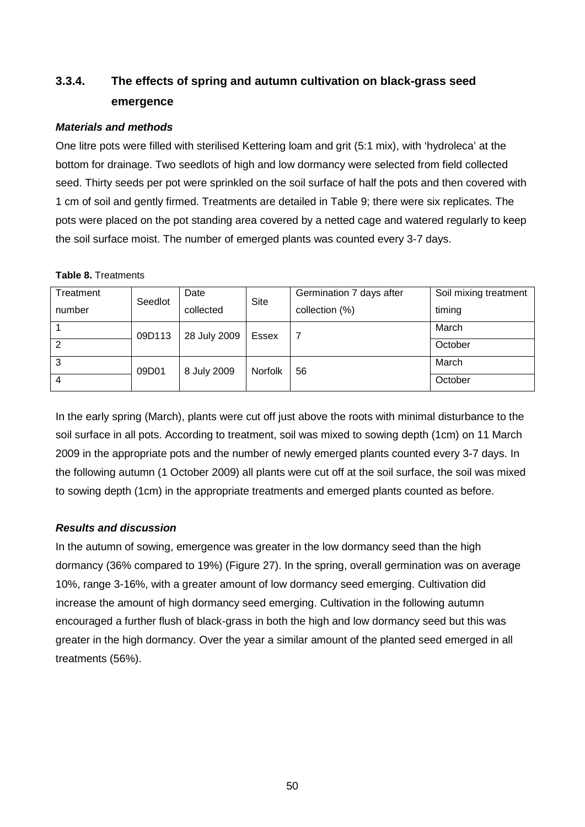# **3.3.4. The effects of spring and autumn cultivation on black-grass seed emergence**

### *Materials and methods*

One litre pots were filled with sterilised Kettering loam and grit (5:1 mix), with 'hydroleca' at the bottom for drainage. Two seedlots of high and low dormancy were selected from field collected seed. Thirty seeds per pot were sprinkled on the soil surface of half the pots and then covered with 1 cm of soil and gently firmed. Treatments are detailed in Table 9; there were six replicates. The pots were placed on the pot standing area covered by a netted cage and watered regularly to keep the soil surface moist. The number of emerged plants was counted every 3-7 days.

### **Table 8.** Treatments

| Treatment      | Seedlot | Date         | Site           | Germination 7 days after | Soil mixing treatment |
|----------------|---------|--------------|----------------|--------------------------|-----------------------|
| number         |         | collected    |                | collection (%)           | timing                |
|                | 09D113  | 28 July 2009 | Essex          |                          | March                 |
| $\overline{2}$ |         |              |                |                          | October               |
| 3              | 09D01   | 8 July 2009  | <b>Norfolk</b> | 56                       | March                 |
| 4              |         |              |                |                          | October               |

In the early spring (March), plants were cut off just above the roots with minimal disturbance to the soil surface in all pots. According to treatment, soil was mixed to sowing depth (1cm) on 11 March 2009 in the appropriate pots and the number of newly emerged plants counted every 3-7 days. In the following autumn (1 October 2009) all plants were cut off at the soil surface, the soil was mixed to sowing depth (1cm) in the appropriate treatments and emerged plants counted as before.

## *Results and discussion*

In the autumn of sowing, emergence was greater in the low dormancy seed than the high dormancy (36% compared to 19%) (Figure 27). In the spring, overall germination was on average 10%, range 3-16%, with a greater amount of low dormancy seed emerging. Cultivation did increase the amount of high dormancy seed emerging. Cultivation in the following autumn encouraged a further flush of black-grass in both the high and low dormancy seed but this was greater in the high dormancy. Over the year a similar amount of the planted seed emerged in all treatments (56%).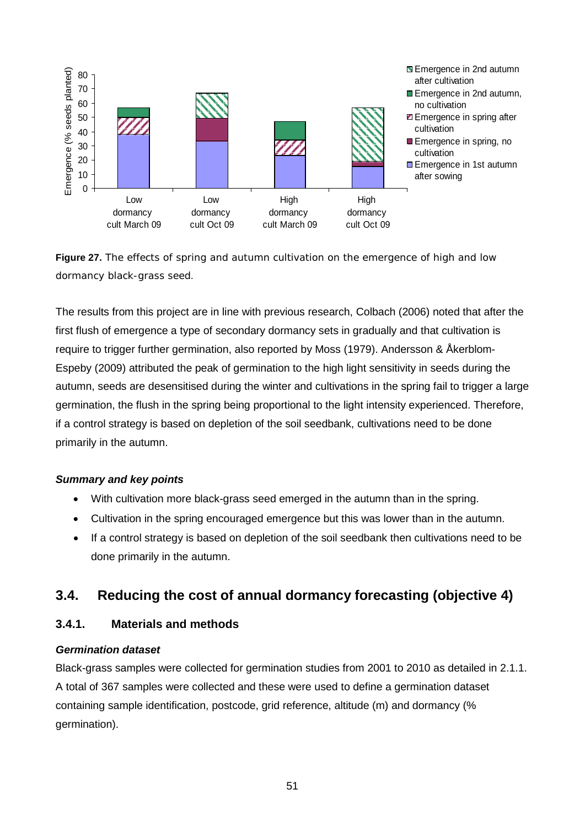



The results from this project are in line with previous research, Colbach (2006) noted that after the first flush of emergence a type of secondary dormancy sets in gradually and that cultivation is require to trigger further germination, also reported by Moss (1979). Andersson & Åkerblom-Espeby (2009) attributed the peak of germination to the high light sensitivity in seeds during the autumn, seeds are desensitised during the winter and cultivations in the spring fail to trigger a large germination, the flush in the spring being proportional to the light intensity experienced. Therefore, if a control strategy is based on depletion of the soil seedbank, cultivations need to be done primarily in the autumn.

### *Summary and key points*

- With cultivation more black-grass seed emerged in the autumn than in the spring.
- Cultivation in the spring encouraged emergence but this was lower than in the autumn.
- If a control strategy is based on depletion of the soil seedbank then cultivations need to be done primarily in the autumn.

# **3.4. Reducing the cost of annual dormancy forecasting (objective 4)**

## **3.4.1. Materials and methods**

## *Germination dataset*

Black-grass samples were collected for germination studies from 2001 to 2010 as detailed in 2.1.1. A total of 367 samples were collected and these were used to define a germination dataset containing sample identification, postcode, grid reference, altitude (m) and dormancy (% germination).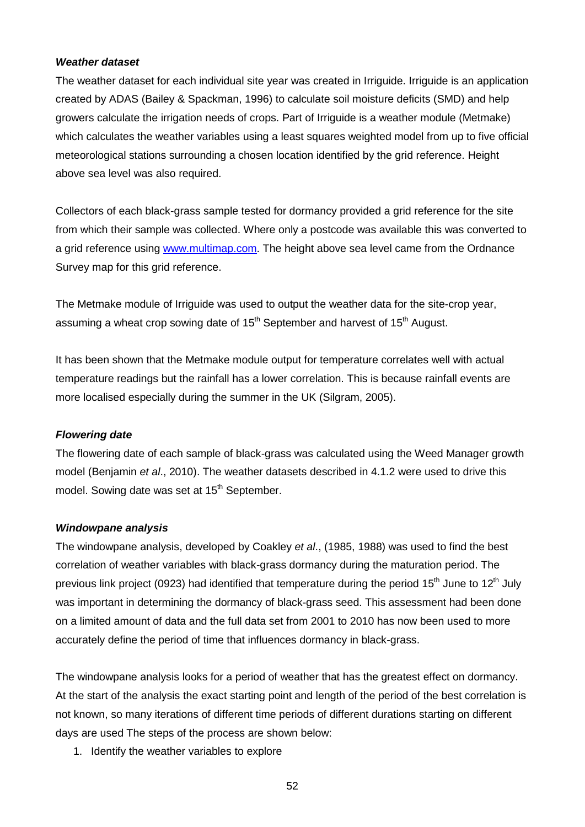#### <span id="page-51-0"></span>*Weather dataset*

The weather dataset for each individual site year was created in Irriguide. Irriguide is an application created by ADAS (Bailey & Spackman, 1996) to calculate soil moisture deficits (SMD) and help growers calculate the irrigation needs of crops. Part of Irriguide is a weather module (Metmake) which calculates the weather variables using a least squares weighted model from up to five official meteorological stations surrounding a chosen location identified by the grid reference. Height above sea level was also required.

Collectors of each black-grass sample tested for dormancy provided a grid reference for the site from which their sample was collected. Where only a postcode was available this was converted to a grid reference using [www.multimap.com.](http://www.multimap.com/) The height above sea level came from the Ordnance Survey map for this grid reference.

The Metmake module of Irriguide was used to output the weather data for the site-crop year, assuming a wheat crop sowing date of  $15<sup>th</sup>$  September and harvest of  $15<sup>th</sup>$  August.

It has been shown that the Metmake module output for temperature correlates well with actual temperature readings but the rainfall has a lower correlation. This is because rainfall events are more localised especially during the summer in the UK (Silgram, 2005).

### *Flowering date*

The flowering date of each sample of black-grass was calculated using the Weed Manager growth model (Benjamin *et al*., 2010). The weather datasets described in [4.1.2](#page-51-0) were used to drive this model. Sowing date was set at 15<sup>th</sup> September.

### *Windowpane analysis*

The windowpane analysis, developed by Coakley *et al*., (1985, 1988) was used to find the best correlation of weather variables with black-grass dormancy during the maturation period. The previous link project (0923) had identified that temperature during the period  $15<sup>th</sup>$  June to  $12<sup>th</sup>$  July was important in determining the dormancy of black-grass seed. This assessment had been done on a limited amount of data and the full data set from 2001 to 2010 has now been used to more accurately define the period of time that influences dormancy in black-grass.

The windowpane analysis looks for a period of weather that has the greatest effect on dormancy. At the start of the analysis the exact starting point and length of the period of the best correlation is not known, so many iterations of different time periods of different durations starting on different days are used The steps of the process are shown below:

1. Identify the weather variables to explore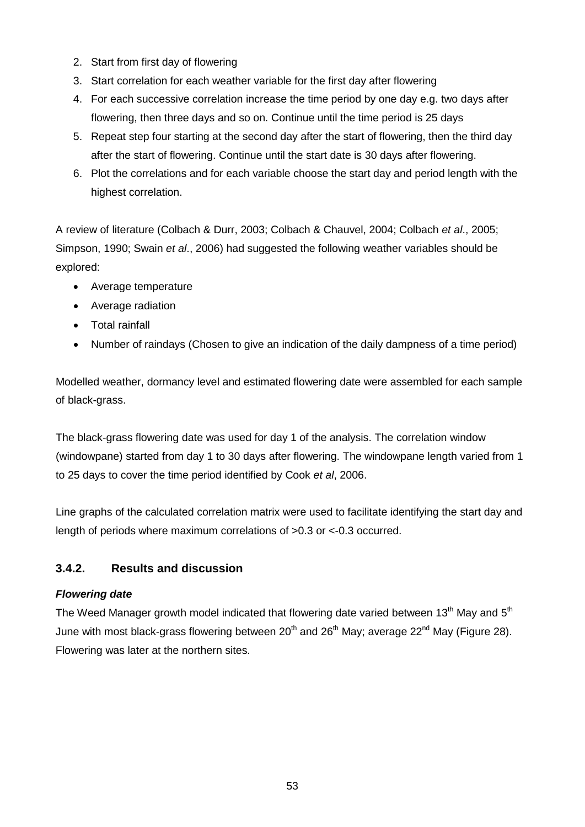- 2. Start from first day of flowering
- 3. Start correlation for each weather variable for the first day after flowering
- 4. For each successive correlation increase the time period by one day e.g. two days after flowering, then three days and so on. Continue until the time period is 25 days
- 5. Repeat step four starting at the second day after the start of flowering, then the third day after the start of flowering. Continue until the start date is 30 days after flowering.
- 6. Plot the correlations and for each variable choose the start day and period length with the highest correlation.

A review of literature (Colbach & Durr, 2003; Colbach & Chauvel, 2004; Colbach *et al*., 2005; Simpson, 1990; Swain *et al*., 2006) had suggested the following weather variables should be explored:

- Average temperature
- Average radiation
- Total rainfall
- Number of raindays (Chosen to give an indication of the daily dampness of a time period)

Modelled weather, dormancy level and estimated flowering date were assembled for each sample of black-grass.

The black-grass flowering date was used for day 1 of the analysis. The correlation window (windowpane) started from day 1 to 30 days after flowering. The windowpane length varied from 1 to 25 days to cover the time period identified by Cook *et al*, 2006.

Line graphs of the calculated correlation matrix were used to facilitate identifying the start day and length of periods where maximum correlations of >0.3 or <-0.3 occurred.

# **3.4.2. Results and discussion**

# *Flowering date*

The Weed Manager growth model indicated that flowering date varied between 13<sup>th</sup> May and 5<sup>th</sup> June with most black-grass flowering between 20<sup>th</sup> and 26<sup>th</sup> May; average 22<sup>nd</sup> May (Figure 28). Flowering was later at the northern sites.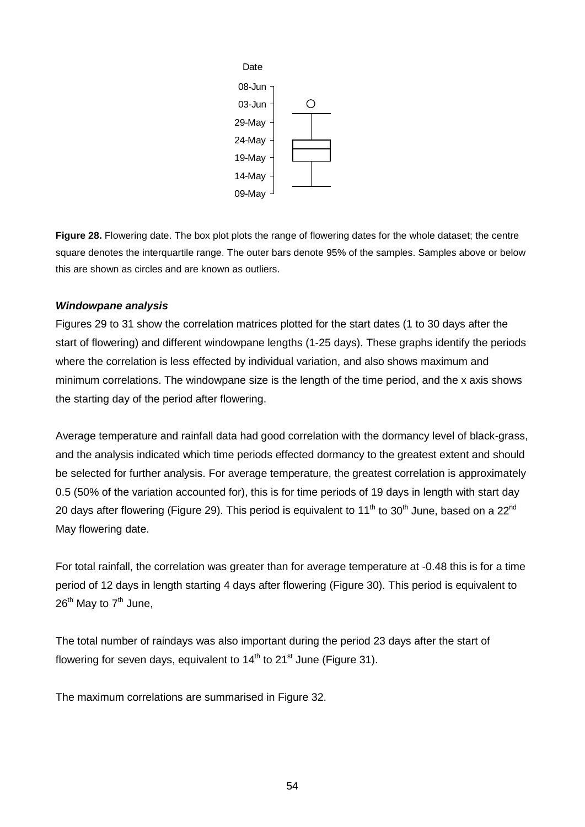

**Figure 28.** Flowering date. The box plot plots the range of flowering dates for the whole dataset; the centre square denotes the interquartile range. The outer bars denote 95% of the samples. Samples above or below this are shown as circles and are known as outliers.

## *Windowpane analysis*

Figures 29 to 31 show the correlation matrices plotted for the start dates (1 to 30 days after the start of flowering) and different windowpane lengths (1-25 days). These graphs identify the periods where the correlation is less effected by individual variation, and also shows maximum and minimum correlations. The windowpane size is the length of the time period, and the x axis shows the starting day of the period after flowering.

Average temperature and rainfall data had good correlation with the dormancy level of black-grass, and the analysis indicated which time periods effected dormancy to the greatest extent and should be selected for further analysis. For average temperature, the greatest correlation is approximately 0.5 (50% of the variation accounted for), this is for time periods of 19 days in length with start day 20 days after flowering (Figure 29). This period is equivalent to 11<sup>th</sup> to 30<sup>th</sup> June, based on a 22<sup>nd</sup> May flowering date.

For total rainfall, the correlation was greater than for average temperature at -0.48 this is for a time period of 12 days in length starting 4 days after flowering (Figure 30). This period is equivalent to  $26^{th}$  May to  $7^{th}$  June,

The total number of raindays was also important during the period 23 days after the start of flowering for seven days, equivalent to  $14<sup>th</sup>$  to  $21<sup>st</sup>$  June (Figure 31).

The maximum correlations are summarised in Figure 32.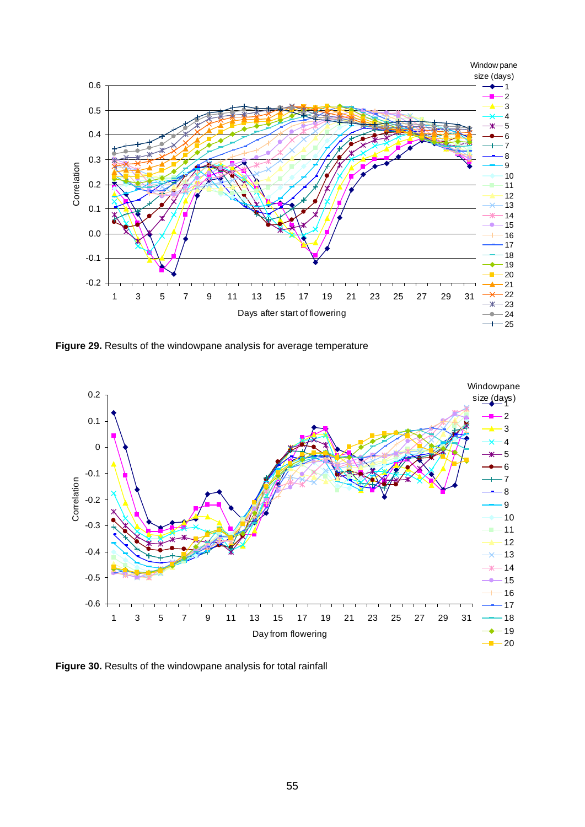

**Figure 29.** Results of the windowpane analysis for average temperature



**Figure 30.** Results of the windowpane analysis for total rainfall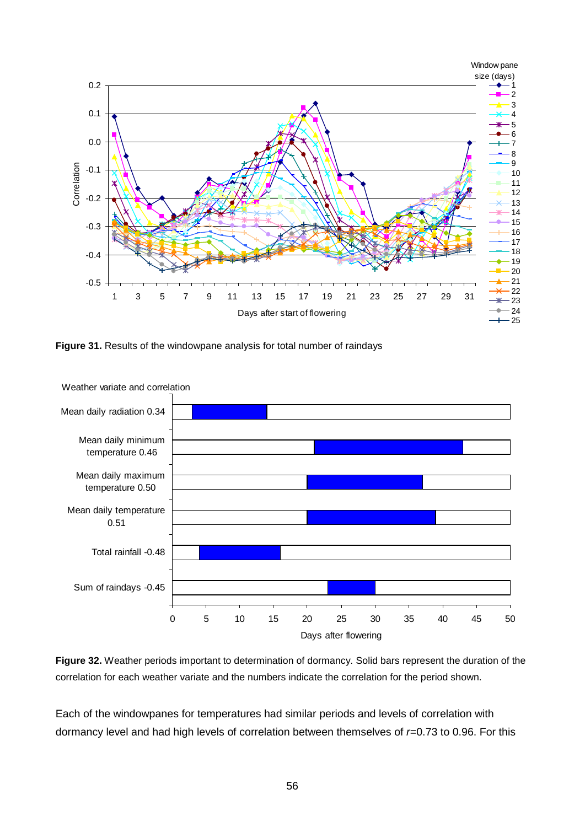

**Figure 31.** Results of the windowpane analysis for total number of raindays



**Figure 32.** Weather periods important to determination of dormancy. Solid bars represent the duration of the correlation for each weather variate and the numbers indicate the correlation for the period shown.

Each of the windowpanes for temperatures had similar periods and levels of correlation with dormancy level and had high levels of correlation between themselves of *r*=0.73 to 0.96. For this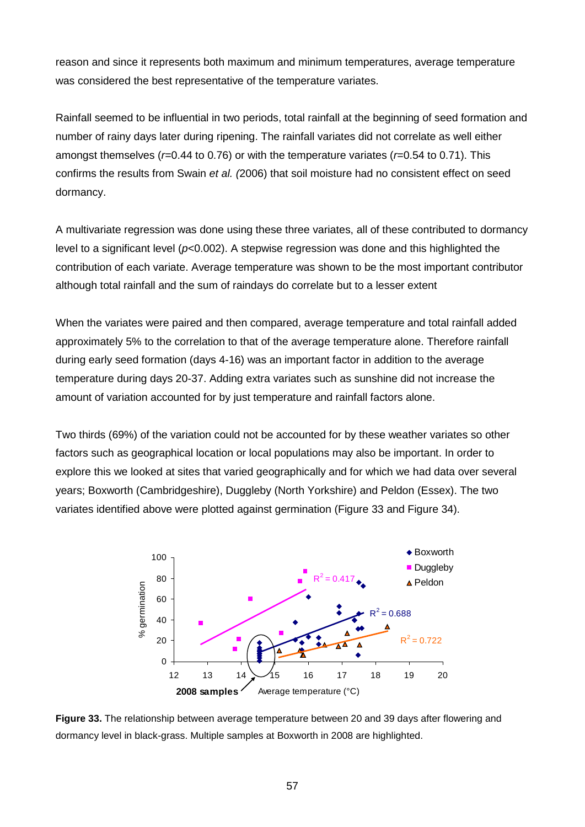reason and since it represents both maximum and minimum temperatures, average temperature was considered the best representative of the temperature variates.

Rainfall seemed to be influential in two periods, total rainfall at the beginning of seed formation and number of rainy days later during ripening. The rainfall variates did not correlate as well either amongst themselves (*r*=0.44 to 0.76) or with the temperature variates (*r*=0.54 to 0.71). This confirms the results from Swain *et al. (*2006) that soil moisture had no consistent effect on seed dormancy.

A multivariate regression was done using these three variates, all of these contributed to dormancy level to a significant level (*p*<0.002). A stepwise regression was done and this highlighted the contribution of each variate. Average temperature was shown to be the most important contributor although total rainfall and the sum of raindays do correlate but to a lesser extent

When the variates were paired and then compared, average temperature and total rainfall added approximately 5% to the correlation to that of the average temperature alone. Therefore rainfall during early seed formation (days 4-16) was an important factor in addition to the average temperature during days 20-37. Adding extra variates such as sunshine did not increase the amount of variation accounted for by just temperature and rainfall factors alone.

Two thirds (69%) of the variation could not be accounted for by these weather variates so other factors such as geographical location or local populations may also be important. In order to explore this we looked at sites that varied geographically and for which we had data over several years; Boxworth (Cambridgeshire), Duggleby (North Yorkshire) and Peldon (Essex). The two variates identified above were plotted against germination (Figure 33 and Figure 34).



**Figure 33.** The relationship between average temperature between 20 and 39 days after flowering and dormancy level in black-grass. Multiple samples at Boxworth in 2008 are highlighted.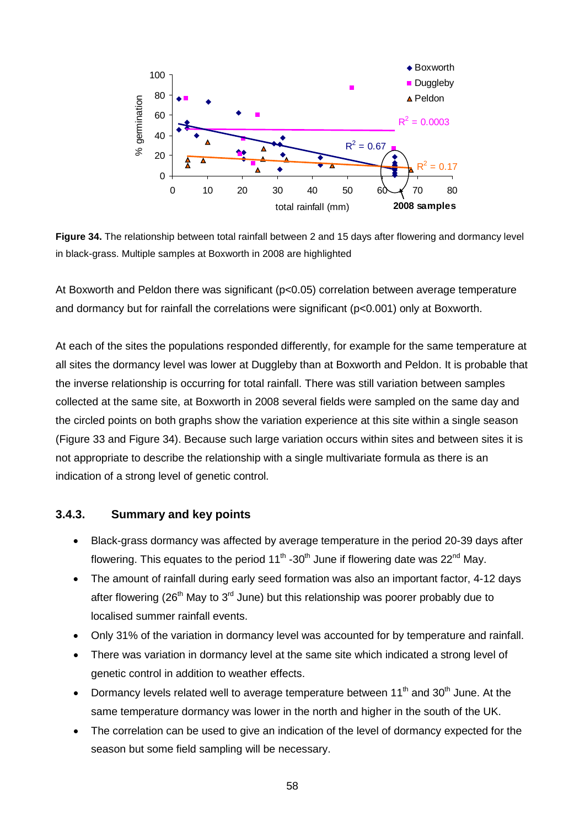

**Figure 34.** The relationship between total rainfall between 2 and 15 days after flowering and dormancy level in black-grass. Multiple samples at Boxworth in 2008 are highlighted

At Boxworth and Peldon there was significant ( $p<0.05$ ) correlation between average temperature and dormancy but for rainfall the correlations were significant (p<0.001) only at Boxworth.

At each of the sites the populations responded differently, for example for the same temperature at all sites the dormancy level was lower at Duggleby than at Boxworth and Peldon. It is probable that the inverse relationship is occurring for total rainfall. There was still variation between samples collected at the same site, at Boxworth in 2008 several fields were sampled on the same day and the circled points on both graphs show the variation experience at this site within a single season (Figure 33 and Figure 34). Because such large variation occurs within sites and between sites it is not appropriate to describe the relationship with a single multivariate formula as there is an indication of a strong level of genetic control.

## **3.4.3. Summary and key points**

- Black-grass dormancy was affected by average temperature in the period 20-39 days after flowering. This equates to the period  $11<sup>th</sup>$  -30<sup>th</sup> June if flowering date was 22<sup>nd</sup> May.
- The amount of rainfall during early seed formation was also an important factor, 4-12 days after flowering (26<sup>th</sup> May to 3<sup>rd</sup> June) but this relationship was poorer probably due to localised summer rainfall events.
- Only 31% of the variation in dormancy level was accounted for by temperature and rainfall.
- There was variation in dormancy level at the same site which indicated a strong level of genetic control in addition to weather effects.
- Dormancy levels related well to average temperature between  $11<sup>th</sup>$  and  $30<sup>th</sup>$  June. At the same temperature dormancy was lower in the north and higher in the south of the UK.
- The correlation can be used to give an indication of the level of dormancy expected for the season but some field sampling will be necessary.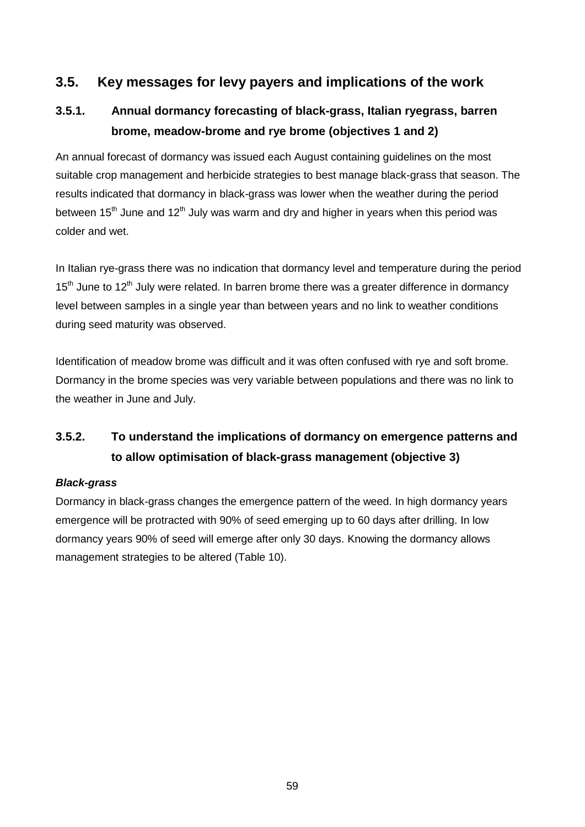# **3.5. Key messages for levy payers and implications of the work**

# **3.5.1. Annual dormancy forecasting of black-grass, Italian ryegrass, barren brome, meadow-brome and rye brome (objectives 1 and 2)**

An annual forecast of dormancy was issued each August containing guidelines on the most suitable crop management and herbicide strategies to best manage black-grass that season. The results indicated that dormancy in black-grass was lower when the weather during the period between 15<sup>th</sup> June and 12<sup>th</sup> July was warm and dry and higher in years when this period was colder and wet.

In Italian rye-grass there was no indication that dormancy level and temperature during the period  $15<sup>th</sup>$  June to  $12<sup>th</sup>$  July were related. In barren brome there was a greater difference in dormancy level between samples in a single year than between years and no link to weather conditions during seed maturity was observed.

Identification of meadow brome was difficult and it was often confused with rye and soft brome. Dormancy in the brome species was very variable between populations and there was no link to the weather in June and July.

# **3.5.2. To understand the implications of dormancy on emergence patterns and to allow optimisation of black-grass management (objective 3)**

## *Black-grass*

Dormancy in black-grass changes the emergence pattern of the weed. In high dormancy years emergence will be protracted with 90% of seed emerging up to 60 days after drilling. In low dormancy years 90% of seed will emerge after only 30 days. Knowing the dormancy allows management strategies to be altered (Table 10).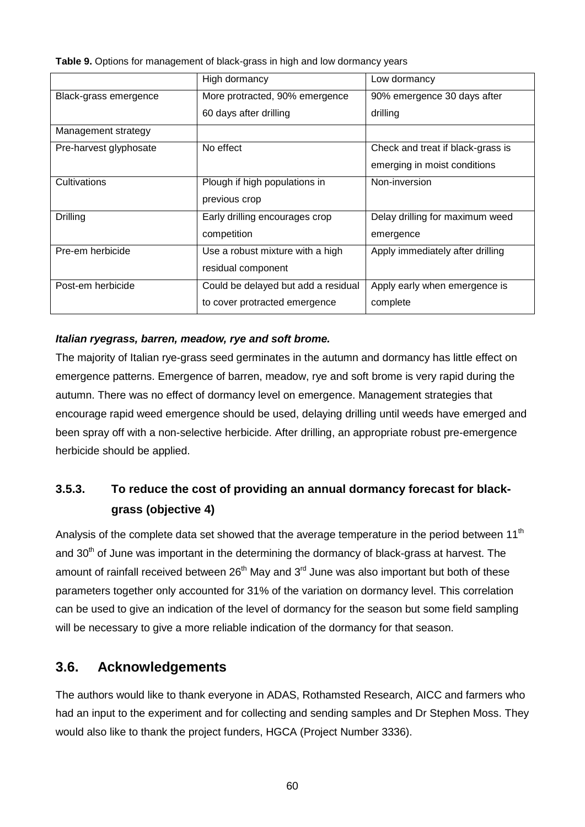**Table 9.** Options for management of black-grass in high and low dormancy years

|                        | High dormancy                       | Low dormancy                      |
|------------------------|-------------------------------------|-----------------------------------|
| Black-grass emergence  | More protracted, 90% emergence      | 90% emergence 30 days after       |
|                        | 60 days after drilling              | drilling                          |
| Management strategy    |                                     |                                   |
| Pre-harvest glyphosate | No effect                           | Check and treat if black-grass is |
|                        |                                     | emerging in moist conditions      |
| Cultivations           | Plough if high populations in       | Non-inversion                     |
|                        | previous crop                       |                                   |
| Drilling               | Early drilling encourages crop      | Delay drilling for maximum weed   |
|                        | competition                         | emergence                         |
| Pre-em herbicide       | Use a robust mixture with a high    | Apply immediately after drilling  |
|                        | residual component                  |                                   |
| Post-em herbicide      | Could be delayed but add a residual | Apply early when emergence is     |
|                        | to cover protracted emergence       | complete                          |

# *Italian ryegrass, barren, meadow, rye and soft brome.*

The majority of Italian rye-grass seed germinates in the autumn and dormancy has little effect on emergence patterns. Emergence of barren, meadow, rye and soft brome is very rapid during the autumn. There was no effect of dormancy level on emergence. Management strategies that encourage rapid weed emergence should be used, delaying drilling until weeds have emerged and been spray off with a non-selective herbicide. After drilling, an appropriate robust pre-emergence herbicide should be applied.

# **3.5.3. To reduce the cost of providing an annual dormancy forecast for blackgrass (objective 4)**

Analysis of the complete data set showed that the average temperature in the period between 11<sup>th</sup> and 30<sup>th</sup> of June was important in the determining the dormancy of black-grass at harvest. The amount of rainfall received between  $26<sup>th</sup>$  May and  $3<sup>rd</sup>$  June was also important but both of these parameters together only accounted for 31% of the variation on dormancy level. This correlation can be used to give an indication of the level of dormancy for the season but some field sampling will be necessary to give a more reliable indication of the dormancy for that season.

# **3.6. Acknowledgements**

The authors would like to thank everyone in ADAS, Rothamsted Research, AICC and farmers who had an input to the experiment and for collecting and sending samples and Dr Stephen Moss. They would also like to thank the project funders, HGCA (Project Number 3336).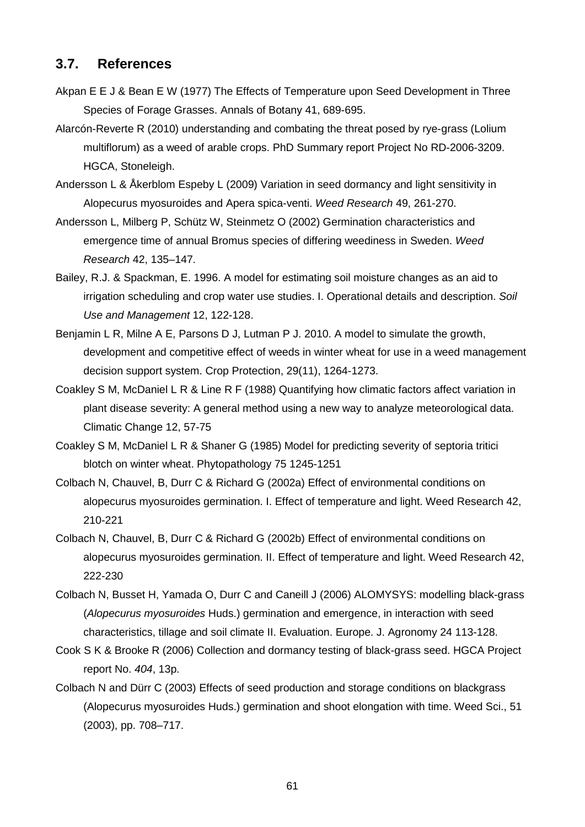# **3.7. References**

- Akpan E E J & Bean E W (1977) The Effects of Temperature upon Seed Development in Three Species of Forage Grasses. Annals of Botany 41, 689-695.
- Alarcón-Reverte R (2010) understanding and combating the threat posed by rye-grass (Lolium multiflorum) as a weed of arable crops. PhD Summary report Project No RD-2006-3209. HGCA, Stoneleigh.
- Andersson L & Åkerblom Espeby L (2009) Variation in seed dormancy and light sensitivity in Alopecurus myosuroides and Apera spica-venti. *Weed Research* 49, 261-270.
- Andersson L, Milberg P, Schütz W, Steinmetz O (2002) Germination characteristics and emergence time of annual Bromus species of differing weediness in Sweden. *Weed Research* 42, 135–147.
- Bailey, R.J. & Spackman, E. 1996. A model for estimating soil moisture changes as an aid to irrigation scheduling and crop water use studies. I. Operational details and description. *Soil Use and Management* 12, 122-128.
- Benjamin L R, Milne A E, Parsons D J, Lutman P J. 2010. A model to simulate the growth, development and competitive effect of weeds in winter wheat for use in a weed management decision support system. Crop Protection, 29(11), 1264-1273.
- Coakley S M, McDaniel L R & Line R F (1988) Quantifying how climatic factors affect variation in plant disease severity: A general method using a new way to analyze meteorological data. Climatic Change 12, 57-75
- Coakley S M, McDaniel L R & Shaner G (1985) Model for predicting severity of septoria tritici blotch on winter wheat. Phytopathology 75 1245-1251
- Colbach N, Chauvel, B, Durr C & Richard G (2002a) Effect of environmental conditions on alopecurus myosuroides germination. I. Effect of temperature and light. Weed Research 42, 210-221
- Colbach N, Chauvel, B, Durr C & Richard G (2002b) Effect of environmental conditions on alopecurus myosuroides germination. II. Effect of temperature and light. Weed Research 42, 222-230
- Colbach N, Busset H, Yamada O, Durr C and Caneill J (2006) ALOMYSYS: modelling black-grass (*Alopecurus myosuroides* Huds.) germination and emergence, in interaction with seed characteristics, tillage and soil climate II. Evaluation. Europe. J. Agronomy 24 113-128.
- Cook S K & Brooke R (2006) Collection and dormancy testing of black-grass seed. HGCA Project report No. *404*, 13p.
- Colbach N and Dürr C (2003) Effects of seed production and storage conditions on blackgrass (Alopecurus myosuroides Huds.) germination and shoot elongation with time. Weed Sci., 51 (2003), pp. 708–717.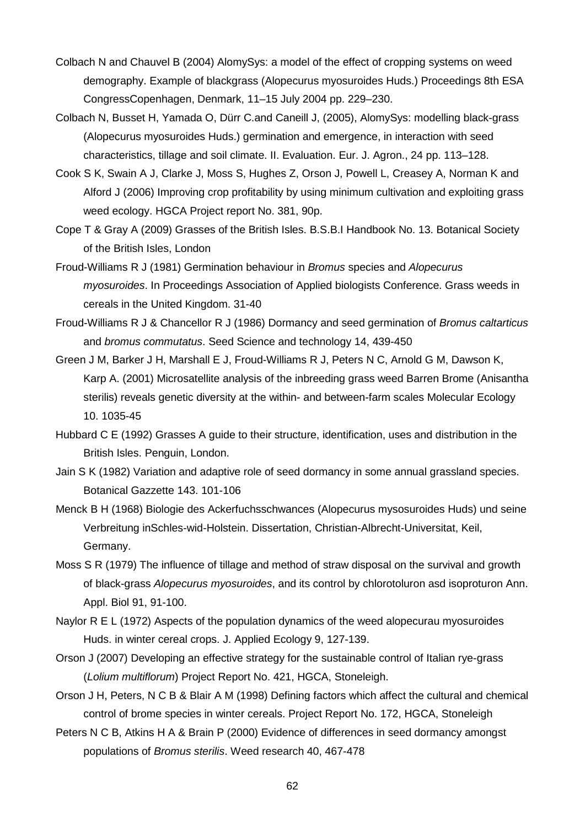- Colbach N and Chauvel B (2004) AlomySys: a model of the effect of cropping systems on weed demography. Example of blackgrass (Alopecurus myosuroides Huds.) Proceedings 8th ESA CongressCopenhagen, Denmark, 11–15 July 2004 pp. 229–230.
- Colbach N, Busset H, Yamada O, Dürr C.and Caneill J, (2005), AlomySys: modelling black-grass (Alopecurus myosuroides Huds.) germination and emergence, in interaction with seed characteristics, tillage and soil climate. II. Evaluation. Eur. J. Agron., 24 pp. 113–128.
- Cook S K, Swain A J, Clarke J, Moss S, Hughes Z, Orson J, Powell L, Creasey A, Norman K and Alford J (2006) Improving crop profitability by using minimum cultivation and exploiting grass weed ecology. HGCA Project report No. 381, 90p.
- Cope T & Gray A (2009) Grasses of the British Isles. B.S.B.I Handbook No. 13. Botanical Society of the British Isles, London
- Froud-Williams R J (1981) Germination behaviour in *Bromus* species and *Alopecurus myosuroides*. In Proceedings Association of Applied biologists Conference. Grass weeds in cereals in the United Kingdom. 31-40
- Froud-Williams R J & Chancellor R J (1986) Dormancy and seed germination of *Bromus caltarticus* and *bromus commutatus*. Seed Science and technology 14, 439-450
- Green J M, Barker J H, Marshall E J, Froud-Williams R J, Peters N C, Arnold G M, Dawson K, Karp A. (2001) Microsatellite analysis of the inbreeding grass weed Barren Brome (Anisantha sterilis) reveals genetic diversity at the within- and between-farm scales Molecular Ecology 10. 1035-45
- Hubbard C E (1992) Grasses A guide to their structure, identification, uses and distribution in the British Isles. Penguin, London.
- Jain S K (1982) Variation and adaptive role of seed dormancy in some annual grassland species. Botanical Gazzette 143. 101-106
- Menck B H (1968) Biologie des Ackerfuchsschwances (Alopecurus mysosuroides Huds) und seine Verbreitung inSchles-wid-Holstein. Dissertation, Christian-Albrecht-Universitat, Keil, Germany.
- Moss S R (1979) The influence of tillage and method of straw disposal on the survival and growth of black-grass *Alopecurus myosuroides*, and its control by chlorotoluron asd isoproturon Ann. Appl. Biol 91, 91-100.
- Naylor R E L (1972) Aspects of the population dynamics of the weed alopecurau myosuroides Huds. in winter cereal crops. J. Applied Ecology 9, 127-139.
- Orson J (2007) Developing an effective strategy for the sustainable control of Italian rye-grass (*Lolium multiflorum*) Project Report No. 421, HGCA, Stoneleigh.
- Orson J H, Peters, N C B & Blair A M (1998) Defining factors which affect the cultural and chemical control of brome species in winter cereals. Project Report No. 172, HGCA, Stoneleigh
- Peters N C B, Atkins H A & Brain P (2000) Evidence of differences in seed dormancy amongst populations of *Bromus sterilis*. Weed research 40, 467-478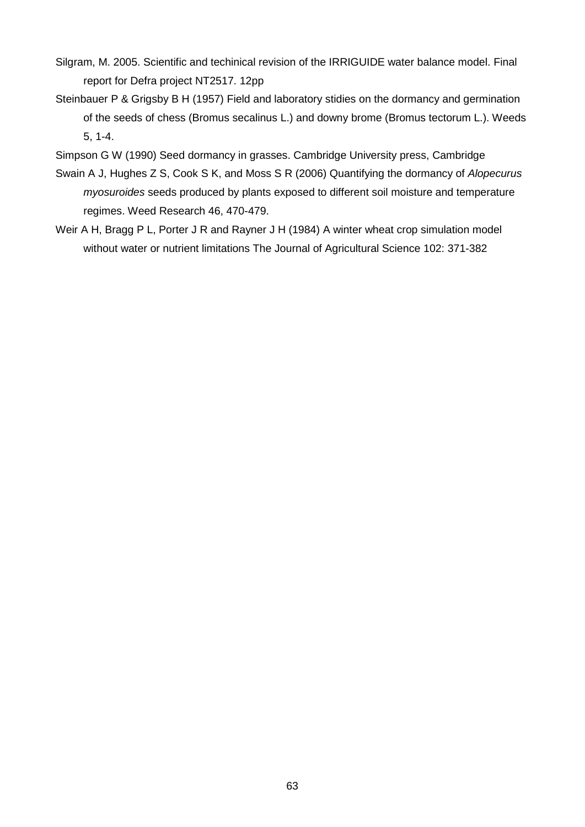- Silgram, M. 2005. Scientific and techinical revision of the IRRIGUIDE water balance model. Final report for Defra project NT2517. 12pp
- Steinbauer P & Grigsby B H (1957) Field and laboratory stidies on the dormancy and germination of the seeds of chess (Bromus secalinus L.) and downy brome (Bromus tectorum L.). Weeds 5, 1-4.
- Simpson G W (1990) Seed dormancy in grasses. Cambridge University press, Cambridge
- Swain A J, Hughes Z S, Cook S K, and Moss S R (2006) Quantifying the dormancy of *Alopecurus myosuroides* seeds produced by plants exposed to different soil moisture and temperature regimes. Weed Research 46, 470-479.
- Weir A H, Bragg P L, Porter J R and Rayner J H (1984) A winter wheat crop simulation model without water or nutrient limitations The Journal of Agricultural Science 102: 371-382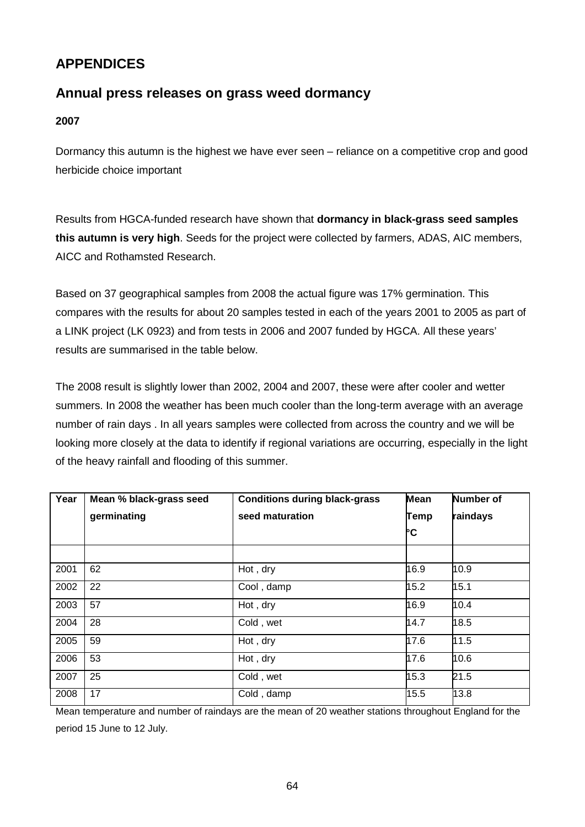# **APPENDICES**

# **Annual press releases on grass weed dormancy**

# **2007**

Dormancy this autumn is the highest we have ever seen – reliance on a competitive crop and good herbicide choice important

Results from HGCA-funded research have shown that **dormancy in black-grass seed samples this autumn is very high**. Seeds for the project were collected by farmers, ADAS, AIC members, AICC and Rothamsted Research.

Based on 37 geographical samples from 2008 the actual figure was 17% germination. This compares with the results for about 20 samples tested in each of the years 2001 to 2005 as part of a LINK project (LK 0923) and from tests in 2006 and 2007 funded by HGCA. All these years' results are summarised in the table below.

The 2008 result is slightly lower than 2002, 2004 and 2007, these were after cooler and wetter summers. In 2008 the weather has been much cooler than the long-term average with an average number of rain days . In all years samples were collected from across the country and we will be looking more closely at the data to identify if regional variations are occurring, especially in the light of the heavy rainfall and flooding of this summer.

| Year | Mean % black-grass seed | <b>Conditions during black-grass</b> | <b>Mean</b> | <b>Number of</b> |
|------|-------------------------|--------------------------------------|-------------|------------------|
|      | germinating             | seed maturation                      | Temp        | raindays         |
|      |                         |                                      | ŀc          |                  |
|      |                         |                                      |             |                  |
| 2001 | 62                      | Hot, dry                             | 16.9        | 10.9             |
| 2002 | 22                      | Cool, damp                           | 15.2        | 15.1             |
| 2003 | 57                      | Hot, dry                             | 16.9        | 10.4             |
| 2004 | 28                      | Cold, wet                            | 14.7        | 18.5             |
| 2005 | 59                      | Hot, dry                             | 17.6        | 11.5             |
| 2006 | 53                      | Hot, dry                             | 17.6        | 10.6             |
| 2007 | 25                      | Cold, wet                            | 15.3        | 21.5             |
| 2008 | 17                      | Cold, damp                           | 15.5        | 13.8             |

Mean temperature and number of raindays are the mean of 20 weather stations throughout England for the period 15 June to 12 July.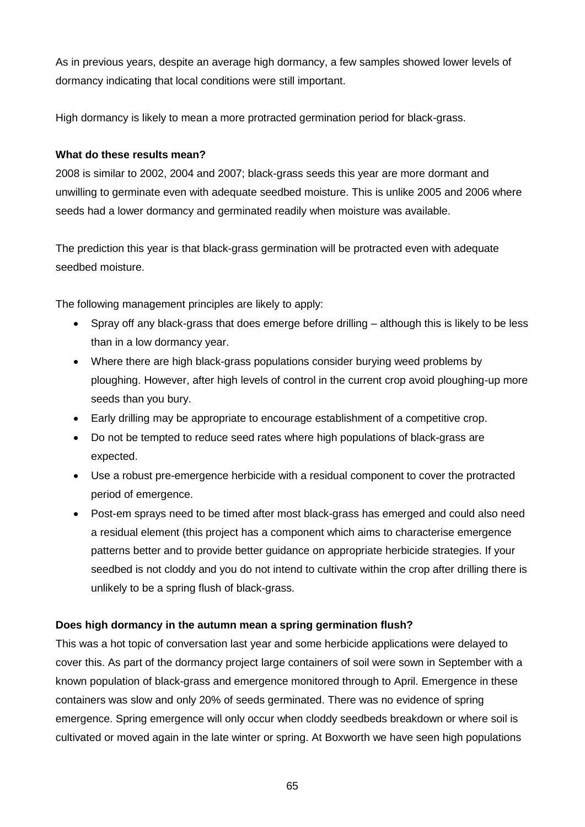As in previous years, despite an average high dormancy, a few samples showed lower levels of dormancy indicating that local conditions were still important.

High dormancy is likely to mean a more protracted germination period for black-grass.

# **What do these results mean?**

2008 is similar to 2002, 2004 and 2007; black-grass seeds this year are more dormant and unwilling to germinate even with adequate seedbed moisture. This is unlike 2005 and 2006 where seeds had a lower dormancy and germinated readily when moisture was available.

The prediction this year is that black-grass germination will be protracted even with adequate seedbed moisture.

The following management principles are likely to apply:

- Spray off any black-grass that does emerge before drilling although this is likely to be less than in a low dormancy year.
- Where there are high black-grass populations consider burying weed problems by ploughing. However, after high levels of control in the current crop avoid ploughing-up more seeds than you bury.
- Early drilling may be appropriate to encourage establishment of a competitive crop.
- Do not be tempted to reduce seed rates where high populations of black-grass are expected.
- Use a robust pre-emergence herbicide with a residual component to cover the protracted period of emergence.
- Post-em sprays need to be timed after most black-grass has emerged and could also need a residual element (this project has a component which aims to characterise emergence patterns better and to provide better guidance on appropriate herbicide strategies. If your seedbed is not cloddy and you do not intend to cultivate within the crop after drilling there is unlikely to be a spring flush of black-grass.

# **Does high dormancy in the autumn mean a spring germination flush?**

This was a hot topic of conversation last year and some herbicide applications were delayed to cover this. As part of the dormancy project large containers of soil were sown in September with a known population of black-grass and emergence monitored through to April. Emergence in these containers was slow and only 20% of seeds germinated. There was no evidence of spring emergence. Spring emergence will only occur when cloddy seedbeds breakdown or where soil is cultivated or moved again in the late winter or spring. At Boxworth we have seen high populations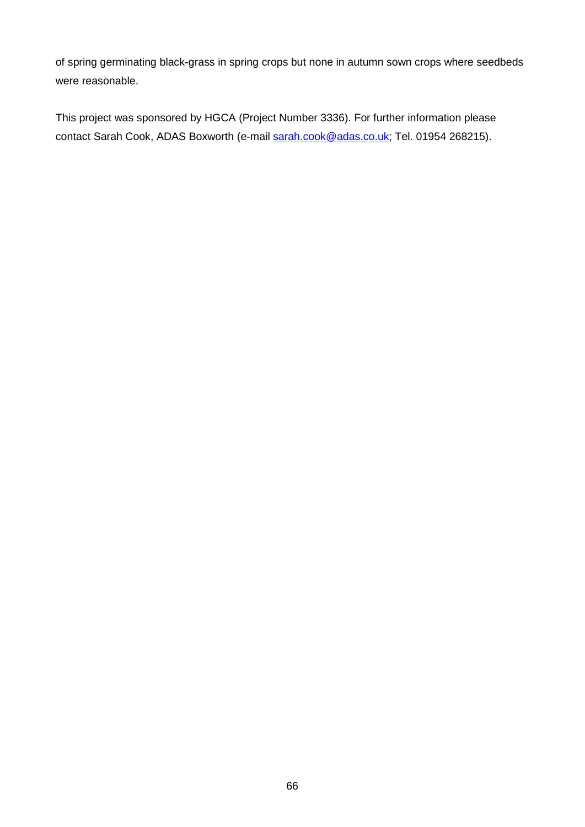of spring germinating black-grass in spring crops but none in autumn sown crops where seedbeds were reasonable.

This project was sponsored by HGCA (Project Number 3336). For further information please contact Sarah Cook, ADAS Boxworth (e-mail [sarah.cook@adas.co.uk;](mailto:sarah.cook@adas.co.uk) Tel. 01954 268215).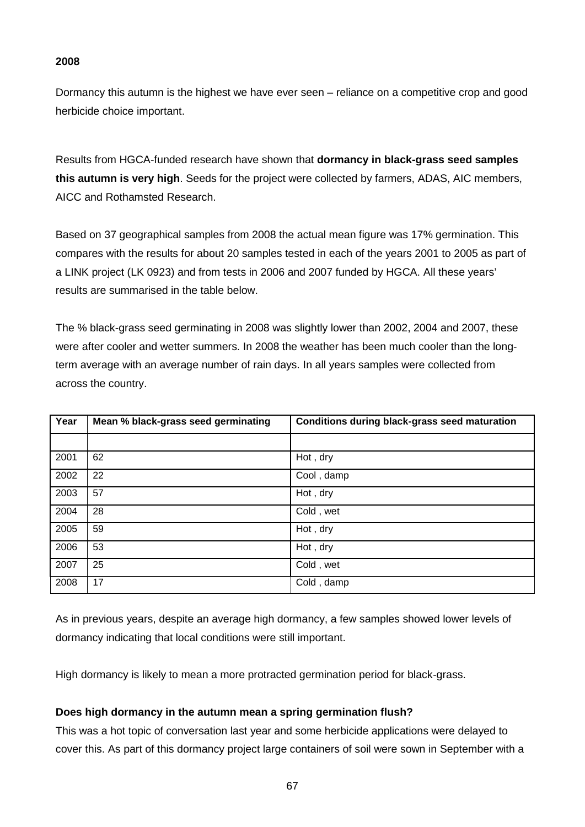## **2008**

Dormancy this autumn is the highest we have ever seen – reliance on a competitive crop and good herbicide choice important.

Results from HGCA-funded research have shown that **dormancy in black-grass seed samples this autumn is very high**. Seeds for the project were collected by farmers, ADAS, AIC members, AICC and Rothamsted Research.

Based on 37 geographical samples from 2008 the actual mean figure was 17% germination. This compares with the results for about 20 samples tested in each of the years 2001 to 2005 as part of a LINK project (LK 0923) and from tests in 2006 and 2007 funded by HGCA. All these years' results are summarised in the table below.

The % black-grass seed germinating in 2008 was slightly lower than 2002, 2004 and 2007, these were after cooler and wetter summers. In 2008 the weather has been much cooler than the longterm average with an average number of rain days. In all years samples were collected from across the country.

| Year | Mean % black-grass seed germinating | <b>Conditions during black-grass seed maturation</b> |
|------|-------------------------------------|------------------------------------------------------|
|      |                                     |                                                      |
| 2001 | 62                                  | Hot, dry                                             |
| 2002 | 22                                  | Cool, damp                                           |
| 2003 | 57                                  | Hot, dry                                             |
| 2004 | 28                                  | Cold, wet                                            |
| 2005 | 59                                  | Hot, dry                                             |
| 2006 | 53                                  | Hot, dry                                             |
| 2007 | 25                                  | Cold, wet                                            |
| 2008 | 17                                  | Cold, damp                                           |

As in previous years, despite an average high dormancy, a few samples showed lower levels of dormancy indicating that local conditions were still important.

High dormancy is likely to mean a more protracted germination period for black-grass.

### **Does high dormancy in the autumn mean a spring germination flush?**

This was a hot topic of conversation last year and some herbicide applications were delayed to cover this. As part of this dormancy project large containers of soil were sown in September with a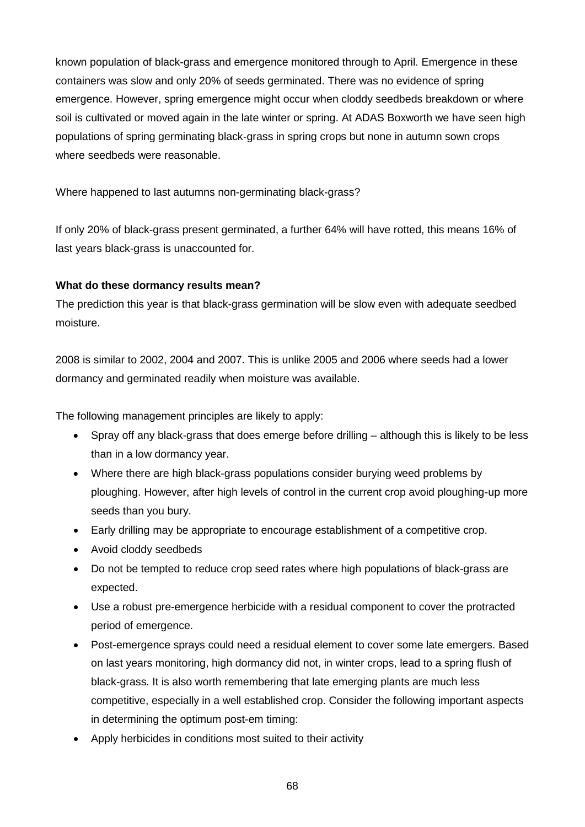known population of black-grass and emergence monitored through to April. Emergence in these containers was slow and only 20% of seeds germinated. There was no evidence of spring emergence. However, spring emergence might occur when cloddy seedbeds breakdown or where soil is cultivated or moved again in the late winter or spring. At ADAS Boxworth we have seen high populations of spring germinating black-grass in spring crops but none in autumn sown crops where seedbeds were reasonable.

Where happened to last autumns non-germinating black-grass?

If only 20% of black-grass present germinated, a further 64% will have rotted, this means 16% of last years black-grass is unaccounted for.

### **What do these dormancy results mean?**

The prediction this year is that black-grass germination will be slow even with adequate seedbed moisture.

2008 is similar to 2002, 2004 and 2007. This is unlike 2005 and 2006 where seeds had a lower dormancy and germinated readily when moisture was available.

The following management principles are likely to apply:

- Spray off any black-grass that does emerge before drilling although this is likely to be less than in a low dormancy year.
- Where there are high black-grass populations consider burying weed problems by ploughing. However, after high levels of control in the current crop avoid ploughing-up more seeds than you bury.
- Early drilling may be appropriate to encourage establishment of a competitive crop.
- Avoid cloddy seedbeds
- Do not be tempted to reduce crop seed rates where high populations of black-grass are expected.
- Use a robust pre-emergence herbicide with a residual component to cover the protracted period of emergence.
- Post-emergence sprays could need a residual element to cover some late emergers. Based on last years monitoring, high dormancy did not, in winter crops, lead to a spring flush of black-grass. It is also worth remembering that late emerging plants are much less competitive, especially in a well established crop. Consider the following important aspects in determining the optimum post-em timing:
- Apply herbicides in conditions most suited to their activity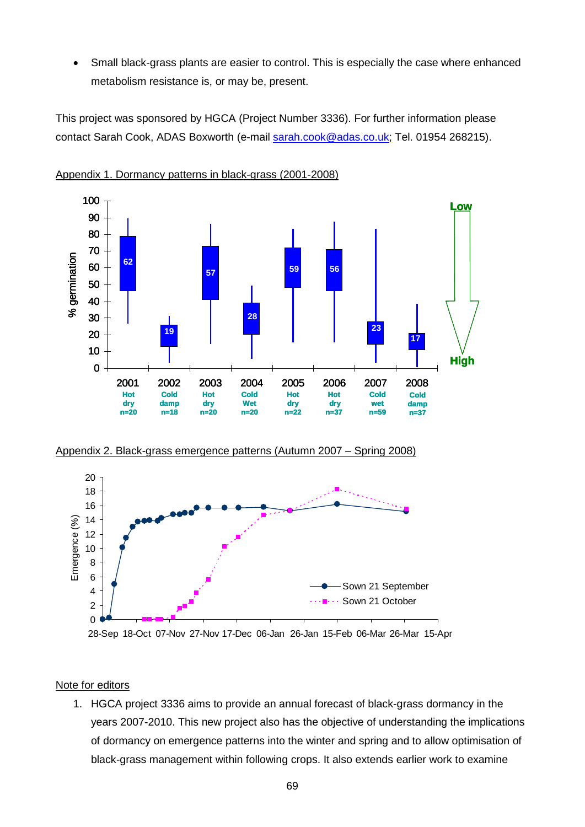• Small black-grass plants are easier to control. This is especially the case where enhanced metabolism resistance is, or may be, present.

This project was sponsored by HGCA (Project Number 3336). For further information please contact Sarah Cook, ADAS Boxworth (e-mail [sarah.cook@adas.co.uk;](mailto:sarah.cook@adas.co.uk) Tel. 01954 268215).



Appendix 1. Dormancy patterns in black-grass (2001-2008)





28-Sep 18-Oct 07-Nov 27-Nov 17-Dec 06-Jan 26-Jan 15-Feb 06-Mar 26-Mar 15-Apr

## Note for editors

1. HGCA project 3336 aims to provide an annual forecast of black-grass dormancy in the years 2007-2010. This new project also has the objective of understanding the implications of dormancy on emergence patterns into the winter and spring and to allow optimisation of black-grass management within following crops. It also extends earlier work to examine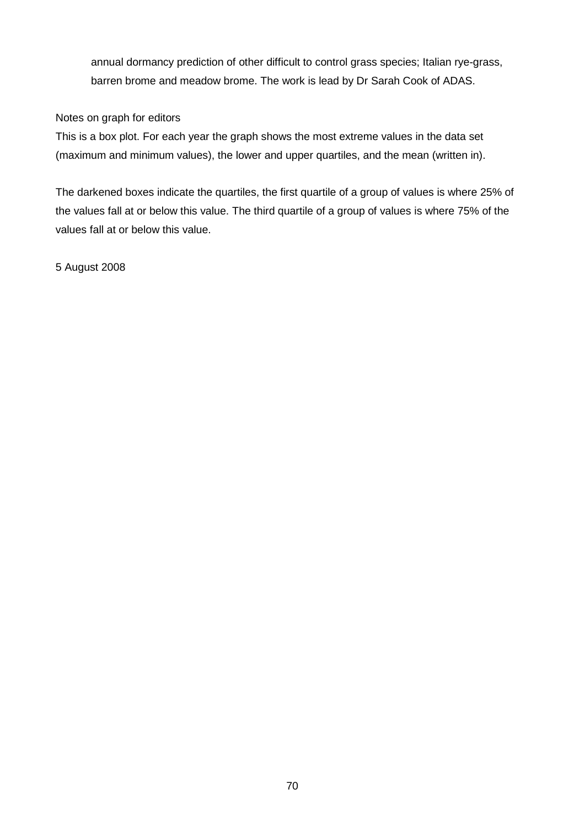annual dormancy prediction of other difficult to control grass species; Italian rye-grass, barren brome and meadow brome. The work is lead by Dr Sarah Cook of ADAS.

## Notes on graph for editors

This is a box plot. For each year the graph shows the most extreme values in the data set (maximum and minimum values), the lower and upper quartiles, and the mean (written in).

The darkened boxes indicate the quartiles, the first quartile of a group of values is where 25% of the values fall at or below this value. The third quartile of a group of values is where 75% of the values fall at or below this value.

5 August 2008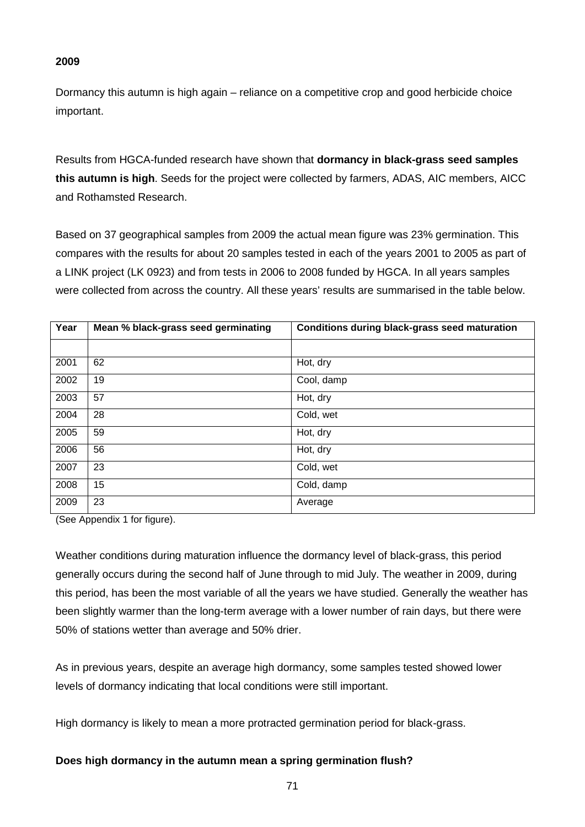## **2009**

Dormancy this autumn is high again – reliance on a competitive crop and good herbicide choice important.

Results from HGCA-funded research have shown that **dormancy in black-grass seed samples this autumn is high**. Seeds for the project were collected by farmers, ADAS, AIC members, AICC and Rothamsted Research.

Based on 37 geographical samples from 2009 the actual mean figure was 23% germination. This compares with the results for about 20 samples tested in each of the years 2001 to 2005 as part of a LINK project (LK 0923) and from tests in 2006 to 2008 funded by HGCA. In all years samples were collected from across the country. All these years' results are summarised in the table below.

| Year | Mean % black-grass seed germinating | Conditions during black-grass seed maturation |
|------|-------------------------------------|-----------------------------------------------|
|      |                                     |                                               |
| 2001 | 62                                  | Hot, dry                                      |
| 2002 | 19                                  | Cool, damp                                    |
| 2003 | 57                                  | Hot, dry                                      |
| 2004 | 28                                  | Cold, wet                                     |
| 2005 | 59                                  | Hot, dry                                      |
| 2006 | 56                                  | Hot, dry                                      |
| 2007 | 23                                  | Cold, wet                                     |
| 2008 | 15                                  | Cold, damp                                    |
| 2009 | 23                                  | Average                                       |

(See Appendix 1 for figure).

Weather conditions during maturation influence the dormancy level of black-grass, this period generally occurs during the second half of June through to mid July. The weather in 2009, during this period, has been the most variable of all the years we have studied. Generally the weather has been slightly warmer than the long-term average with a lower number of rain days, but there were 50% of stations wetter than average and 50% drier.

As in previous years, despite an average high dormancy, some samples tested showed lower levels of dormancy indicating that local conditions were still important.

High dormancy is likely to mean a more protracted germination period for black-grass.

## **Does high dormancy in the autumn mean a spring germination flush?**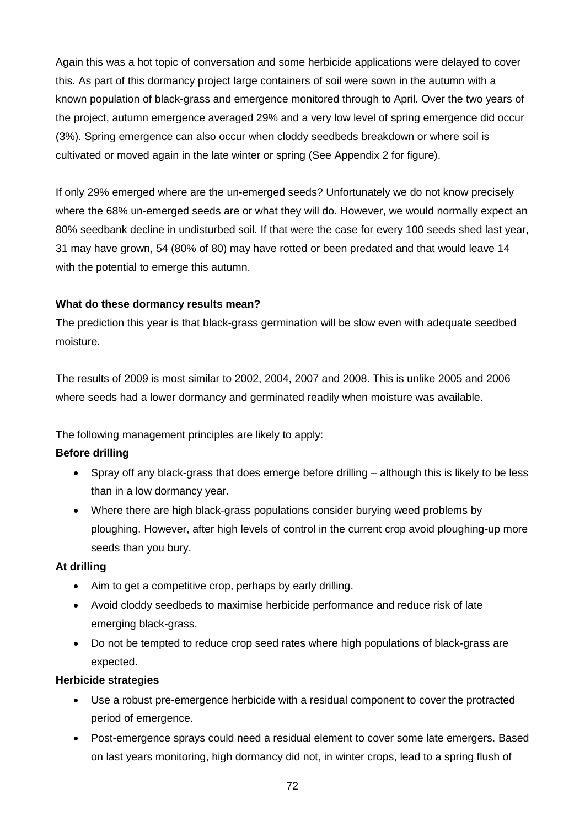Again this was a hot topic of conversation and some herbicide applications were delayed to cover this. As part of this dormancy project large containers of soil were sown in the autumn with a known population of black-grass and emergence monitored through to April. Over the two years of the project, autumn emergence averaged 29% and a very low level of spring emergence did occur (3%). Spring emergence can also occur when cloddy seedbeds breakdown or where soil is cultivated or moved again in the late winter or spring (See Appendix 2 for figure).

If only 29% emerged where are the un-emerged seeds? Unfortunately we do not know precisely where the 68% un-emerged seeds are or what they will do. However, we would normally expect an 80% seedbank decline in undisturbed soil. If that were the case for every 100 seeds shed last year, 31 may have grown, 54 (80% of 80) may have rotted or been predated and that would leave 14 with the potential to emerge this autumn.

# **What do these dormancy results mean?**

The prediction this year is that black-grass germination will be slow even with adequate seedbed moisture.

The results of 2009 is most similar to 2002, 2004, 2007 and 2008. This is unlike 2005 and 2006 where seeds had a lower dormancy and germinated readily when moisture was available.

The following management principles are likely to apply:

# **Before drilling**

- Spray off any black-grass that does emerge before drilling although this is likely to be less than in a low dormancy year.
- Where there are high black-grass populations consider burying weed problems by ploughing. However, after high levels of control in the current crop avoid ploughing-up more seeds than you bury.

## **At drilling**

- Aim to get a competitive crop, perhaps by early drilling.
- Avoid cloddy seedbeds to maximise herbicide performance and reduce risk of late emerging black-grass.
- Do not be tempted to reduce crop seed rates where high populations of black-grass are expected.

## **Herbicide strategies**

- Use a robust pre-emergence herbicide with a residual component to cover the protracted period of emergence.
- Post-emergence sprays could need a residual element to cover some late emergers. Based on last years monitoring, high dormancy did not, in winter crops, lead to a spring flush of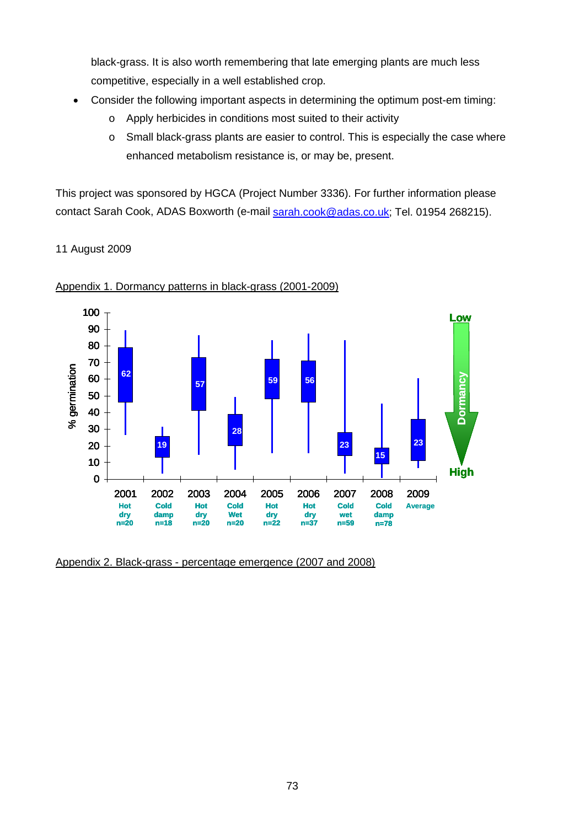black-grass. It is also worth remembering that late emerging plants are much less competitive, especially in a well established crop.

- Consider the following important aspects in determining the optimum post-em timing:
	- o Apply herbicides in conditions most suited to their activity
	- o Small black-grass plants are easier to control. This is especially the case where enhanced metabolism resistance is, or may be, present.

This project was sponsored by HGCA (Project Number 3336). For further information please contact Sarah Cook, ADAS Boxworth (e-mail [sarah.cook@adas.co.uk;](mailto:sarah.cook@adas.co.uk) Tel. 01954 268215).

11 August 2009



#### Appendix 1. Dormancy patterns in black-grass (2001-2009)

Appendix 2. Black-grass - percentage emergence (2007 and 2008)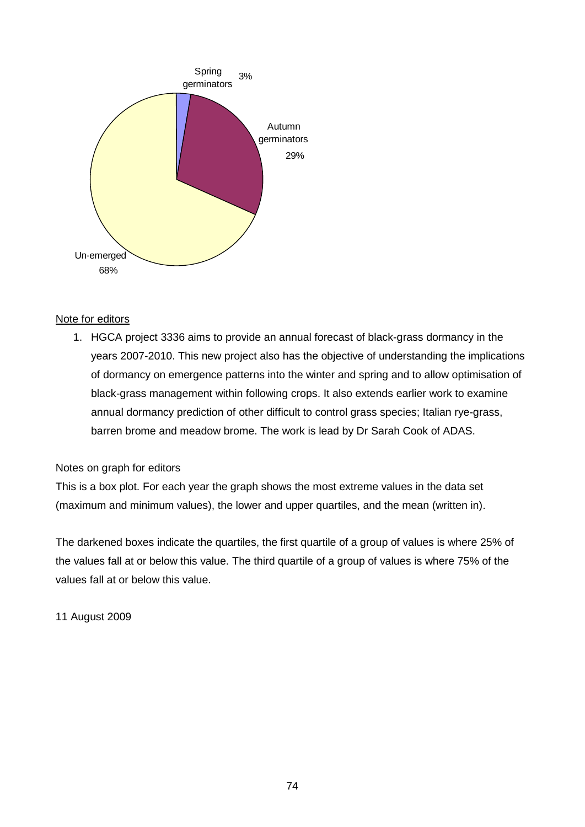

### Note for editors

1. HGCA project 3336 aims to provide an annual forecast of black-grass dormancy in the years 2007-2010. This new project also has the objective of understanding the implications of dormancy on emergence patterns into the winter and spring and to allow optimisation of black-grass management within following crops. It also extends earlier work to examine annual dormancy prediction of other difficult to control grass species; Italian rye-grass, barren brome and meadow brome. The work is lead by Dr Sarah Cook of ADAS.

### Notes on graph for editors

This is a box plot. For each year the graph shows the most extreme values in the data set (maximum and minimum values), the lower and upper quartiles, and the mean (written in).

The darkened boxes indicate the quartiles, the first quartile of a group of values is where 25% of the values fall at or below this value. The third quartile of a group of values is where 75% of the values fall at or below this value.

11 August 2009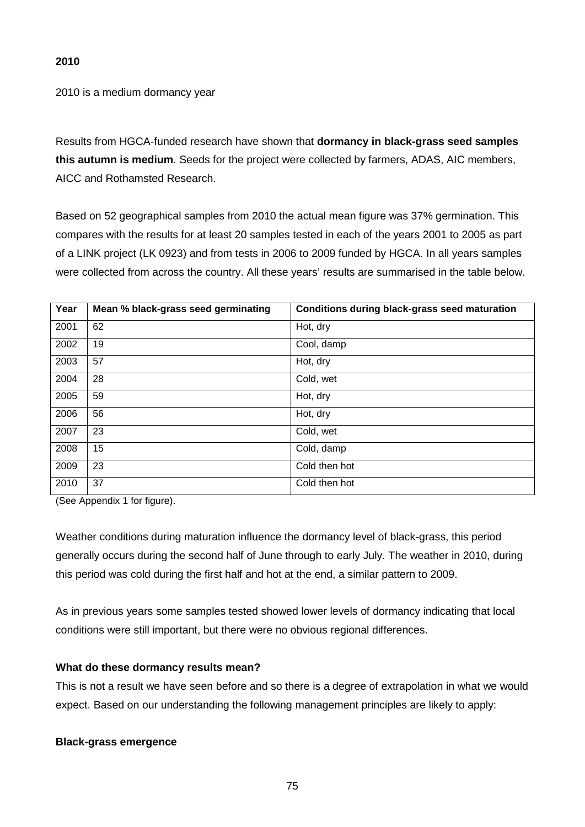2010 is a medium dormancy year

Results from HGCA-funded research have shown that **dormancy in black-grass seed samples this autumn is medium**. Seeds for the project were collected by farmers, ADAS, AIC members, AICC and Rothamsted Research.

Based on 52 geographical samples from 2010 the actual mean figure was 37% germination. This compares with the results for at least 20 samples tested in each of the years 2001 to 2005 as part of a LINK project (LK 0923) and from tests in 2006 to 2009 funded by HGCA. In all years samples were collected from across the country. All these years' results are summarised in the table below.

| Year | Mean % black-grass seed germinating | <b>Conditions during black-grass seed maturation</b> |
|------|-------------------------------------|------------------------------------------------------|
| 2001 | 62                                  | Hot, dry                                             |
| 2002 | 19                                  | Cool, damp                                           |
| 2003 | 57                                  | Hot, dry                                             |
| 2004 | 28                                  | Cold, wet                                            |
| 2005 | 59                                  | Hot, dry                                             |
| 2006 | 56                                  | Hot, dry                                             |
| 2007 | 23                                  | Cold, wet                                            |
| 2008 | 15                                  | Cold, damp                                           |
| 2009 | 23                                  | Cold then hot                                        |
| 2010 | 37                                  | Cold then hot                                        |

(See Appendix 1 for figure).

Weather conditions during maturation influence the dormancy level of black-grass, this period generally occurs during the second half of June through to early July. The weather in 2010, during this period was cold during the first half and hot at the end, a similar pattern to 2009.

As in previous years some samples tested showed lower levels of dormancy indicating that local conditions were still important, but there were no obvious regional differences.

### **What do these dormancy results mean?**

This is not a result we have seen before and so there is a degree of extrapolation in what we would expect. Based on our understanding the following management principles are likely to apply:

### **Black-grass emergence**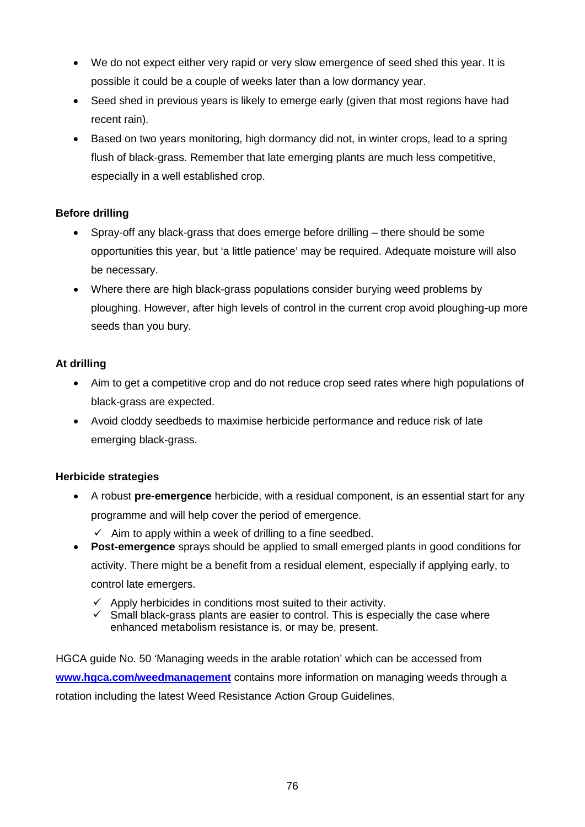- We do not expect either very rapid or very slow emergence of seed shed this year. It is possible it could be a couple of weeks later than a low dormancy year.
- Seed shed in previous years is likely to emerge early (given that most regions have had recent rain).
- Based on two years monitoring, high dormancy did not, in winter crops, lead to a spring flush of black-grass. Remember that late emerging plants are much less competitive, especially in a well established crop.

## **Before drilling**

- Spray-off any black-grass that does emerge before drilling there should be some opportunities this year, but 'a little patience' may be required. Adequate moisture will also be necessary.
- Where there are high black-grass populations consider burying weed problems by ploughing. However, after high levels of control in the current crop avoid ploughing-up more seeds than you bury.

## **At drilling**

- Aim to get a competitive crop and do not reduce crop seed rates where high populations of black-grass are expected.
- Avoid cloddy seedbeds to maximise herbicide performance and reduce risk of late emerging black-grass.

## **Herbicide strategies**

- A robust **pre-emergence** herbicide, with a residual component, is an essential start for any programme and will help cover the period of emergence.
- $\checkmark$  Aim to apply within a week of drilling to a fine seedbed. • **Post-emergence** sprays should be applied to small emerged plants in good conditions for activity. There might be a benefit from a residual element, especially if applying early, to

control late emergers.

- $\checkmark$  Apply herbicides in conditions most suited to their activity.
- $\checkmark$  Small black-grass plants are easier to control. This is especially the case where enhanced metabolism resistance is, or may be, present.

HGCA guide No. 50 'Managing weeds in the arable rotation' which can be accessed from **[www.hgca.com/weedmanagement](http://www.hgca.com/weedmanagement)** contains more information on managing weeds through a rotation including the latest Weed Resistance Action Group Guidelines.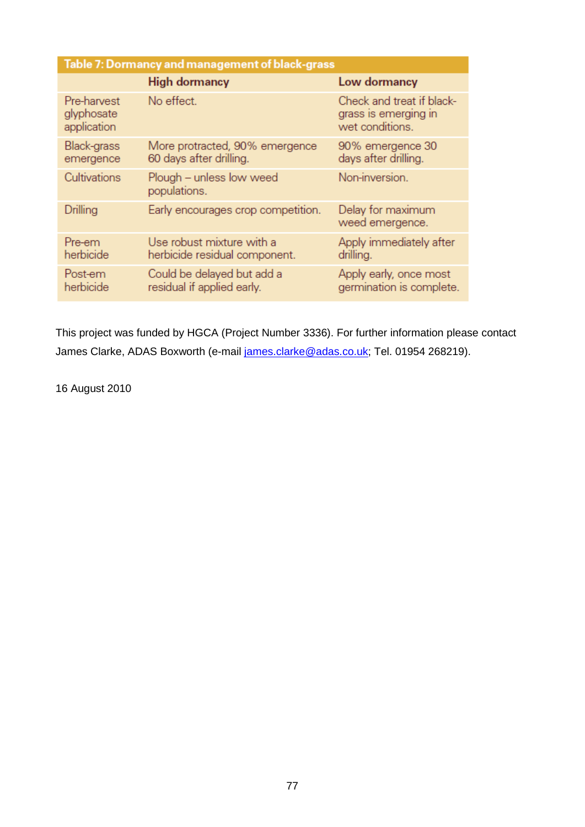| Table 7: Dormancy and management of black-grass |                                                            |                                                                      |  |  |
|-------------------------------------------------|------------------------------------------------------------|----------------------------------------------------------------------|--|--|
|                                                 | <b>High dormancy</b>                                       | Low dormancy                                                         |  |  |
| Pre-harvest<br>glyphosate<br>application        | No effect.                                                 | Check and treat if black-<br>grass is emerging in<br>wet conditions. |  |  |
| Black-grass<br>emergence                        | More protracted, 90% emergence<br>60 days after drilling.  | 90% emergence 30<br>days after drilling.                             |  |  |
| Cultivations                                    | Plough – unless low weed<br>populations.                   | Non-inversion.                                                       |  |  |
| Drilling                                        | Early encourages crop competition.                         | Delay for maximum<br>weed emergence.                                 |  |  |
| Pre-em<br>herbicide                             | Use robust mixture with a<br>herbicide residual component. | Apply immediately after<br>drilling.                                 |  |  |
| Post-em<br>herbicide                            | Could be delayed but add a<br>residual if applied early.   | Apply early, once most<br>germination is complete.                   |  |  |

This project was funded by HGCA (Project Number 3336). For further information please contact James Clarke, ADAS Boxworth (e-mail [james.clarke@adas.co.uk;](mailto:james.clarke@adas.co.uk) Tel. 01954 268219).

16 August 2010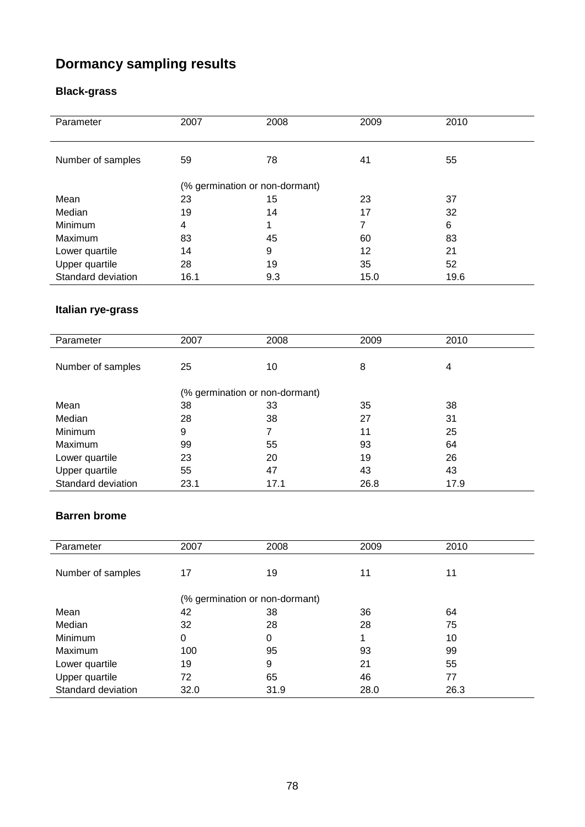# **Dormancy sampling results**

# **Black-grass**

| Parameter          | 2007                           | 2008 | 2009 | 2010 |
|--------------------|--------------------------------|------|------|------|
| Number of samples  | 59                             | 78   | 41   | 55   |
|                    | (% germination or non-dormant) |      |      |      |
| Mean               | 23                             | 15   | 23   | 37   |
| Median             | 19                             | 14   | 17   | 32   |
| Minimum            | 4                              |      | 7    | 6    |
| Maximum            | 83                             | 45   | 60   | 83   |
| Lower quartile     | 14                             | 9    | 12   | 21   |
| Upper quartile     | 28                             | 19   | 35   | 52   |
| Standard deviation | 16.1                           | 9.3  | 15.0 | 19.6 |

# **Italian rye-grass**

| Parameter          | 2007                           | 2008 | 2009 | 2010 |  |
|--------------------|--------------------------------|------|------|------|--|
|                    |                                |      |      |      |  |
| Number of samples  | 25                             | 10   | 8    | 4    |  |
|                    | (% germination or non-dormant) |      |      |      |  |
| Mean               | 38                             | 33   | 35   | 38   |  |
| Median             | 28                             | 38   | 27   | 31   |  |
| Minimum            | 9                              |      | 11   | 25   |  |
| Maximum            | 99                             | 55   | 93   | 64   |  |
| Lower quartile     | 23                             | 20   | 19   | 26   |  |
| Upper quartile     | 55                             | 47   | 43   | 43   |  |
| Standard deviation | 23.1                           | 17.1 | 26.8 | 17.9 |  |

## **Barren brome**

| Parameter          | 2007                           | 2008 | 2009 | 2010 |  |
|--------------------|--------------------------------|------|------|------|--|
|                    |                                |      |      |      |  |
| Number of samples  | 17                             | 19   | 11   | 11   |  |
|                    | (% germination or non-dormant) |      |      |      |  |
| Mean               | 42                             | 38   | 36   | 64   |  |
| Median             | 32                             | 28   | 28   | 75   |  |
| Minimum            | 0                              | 0    | 1    | 10   |  |
| Maximum            | 100                            | 95   | 93   | 99   |  |
| Lower quartile     | 19                             | 9    | 21   | 55   |  |
| Upper quartile     | 72                             | 65   | 46   | 77   |  |
| Standard deviation | 32.0                           | 31.9 | 28.0 | 26.3 |  |